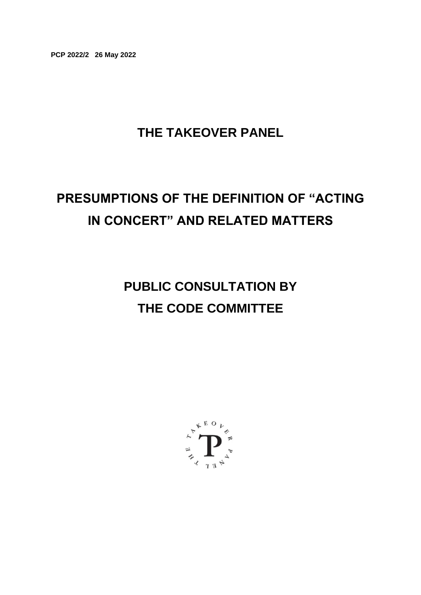**PCP 2022/2 26 May 2022**

# **THE TAKEOVER PANEL**

# **PRESUMPTIONS OF THE DEFINITION OF "ACTING IN CONCERT" AND RELATED MATTERS**

**PUBLIC CONSULTATION BY THE CODE COMMITTEE**

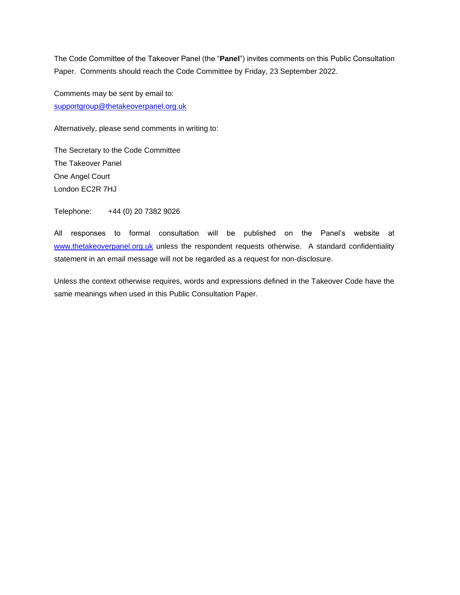The Code Committee of the Takeover Panel (the "**Panel**") invites comments on this Public Consultation Paper. Comments should reach the Code Committee by Friday, 23 September 2022.

Comments may be sent by email to: [supportgroup@thetakeoverpanel.org.uk](mailto:supportgroup@thetakeoverpanel.org.uk)

Alternatively, please send comments in writing to:

The Secretary to the Code Committee The Takeover Panel One Angel Court London EC2R 7HJ

Telephone: +44 (0) 20 7382 9026

All responses to formal consultation will be published on the Panel's website at [www.thetakeoverpanel.org.uk](http://www.thetakeoverpanel.org.uk/) unless the respondent requests otherwise. A standard confidentiality statement in an email message will not be regarded as a request for non-disclosure.

Unless the context otherwise requires, words and expressions defined in the Takeover Code have the same meanings when used in this Public Consultation Paper.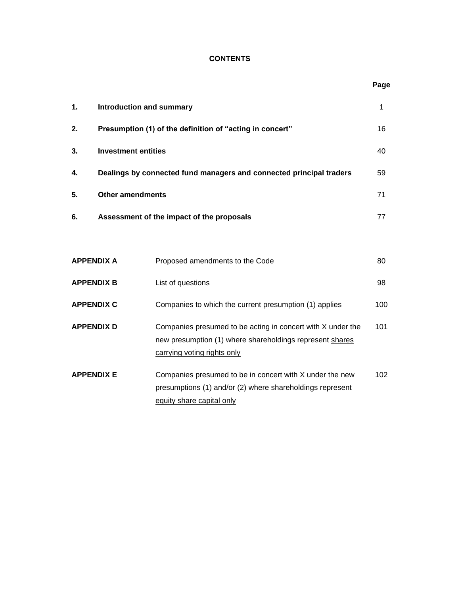# **CONTENTS**

**Page**

| 1.                | <b>Introduction and summary</b>                                     |                                                                                                                                                        |     |
|-------------------|---------------------------------------------------------------------|--------------------------------------------------------------------------------------------------------------------------------------------------------|-----|
| 2.                | Presumption (1) of the definition of "acting in concert"            |                                                                                                                                                        |     |
| 3.                | <b>Investment entities</b>                                          |                                                                                                                                                        | 40  |
| 4.                | Dealings by connected fund managers and connected principal traders |                                                                                                                                                        |     |
| 5.                | <b>Other amendments</b>                                             |                                                                                                                                                        | 71  |
| 6.                | Assessment of the impact of the proposals                           |                                                                                                                                                        | 77  |
|                   |                                                                     |                                                                                                                                                        |     |
| <b>APPENDIX A</b> |                                                                     | Proposed amendments to the Code                                                                                                                        | 80  |
| <b>APPENDIX B</b> |                                                                     | List of questions                                                                                                                                      | 98  |
| <b>APPENDIX C</b> |                                                                     | Companies to which the current presumption (1) applies                                                                                                 | 100 |
| <b>APPENDIX D</b> |                                                                     | Companies presumed to be acting in concert with X under the<br>new presumption (1) where shareholdings represent shares<br>carrying voting rights only | 101 |
| <b>APPENDIX E</b> |                                                                     | Companies presumed to be in concert with X under the new<br>presumptions (1) and/or (2) where shareholdings represent<br>equity share capital only     | 102 |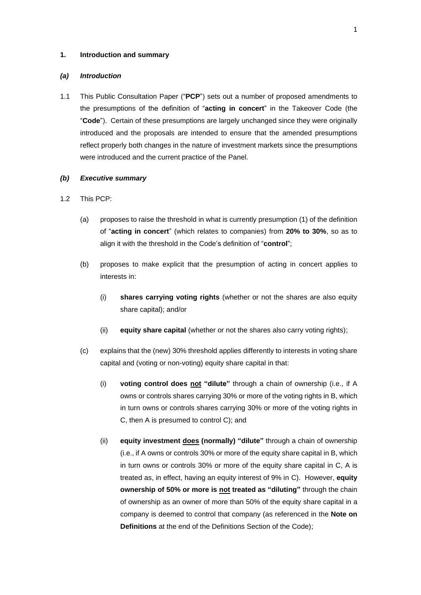### **1. Introduction and summary**

### *(a) Introduction*

1.1 This Public Consultation Paper ("**PCP**") sets out a number of proposed amendments to the presumptions of the definition of "**acting in concert**" in the Takeover Code (the "**Code**"). Certain of these presumptions are largely unchanged since they were originally introduced and the proposals are intended to ensure that the amended presumptions reflect properly both changes in the nature of investment markets since the presumptions were introduced and the current practice of the Panel.

#### *(b) Executive summary*

- 1.2 This PCP:
	- (a) proposes to raise the threshold in what is currently presumption (1) of the definition of "**acting in concert**" (which relates to companies) from **20% to 30%**, so as to align it with the threshold in the Code's definition of "**control**";
	- (b) proposes to make explicit that the presumption of acting in concert applies to interests in:
		- (i) **shares carrying voting rights** (whether or not the shares are also equity share capital); and/or
		- (ii) **equity share capital** (whether or not the shares also carry voting rights);
	- (c) explains that the (new) 30% threshold applies differently to interests in voting share capital and (voting or non-voting) equity share capital in that:
		- (i) **voting control does not "dilute"** through a chain of ownership (i.e., if A owns or controls shares carrying 30% or more of the voting rights in B, which in turn owns or controls shares carrying 30% or more of the voting rights in C, then A is presumed to control C); and
		- (ii) **equity investment does (normally) "dilute"** through a chain of ownership (i.e., if A owns or controls 30% or more of the equity share capital in B, which in turn owns or controls 30% or more of the equity share capital in C, A is treated as, in effect, having an equity interest of 9% in C). However, **equity ownership of 50% or more is not treated as "diluting"** through the chain of ownership as an owner of more than 50% of the equity share capital in a company is deemed to control that company (as referenced in the **Note on Definitions** at the end of the Definitions Section of the Code);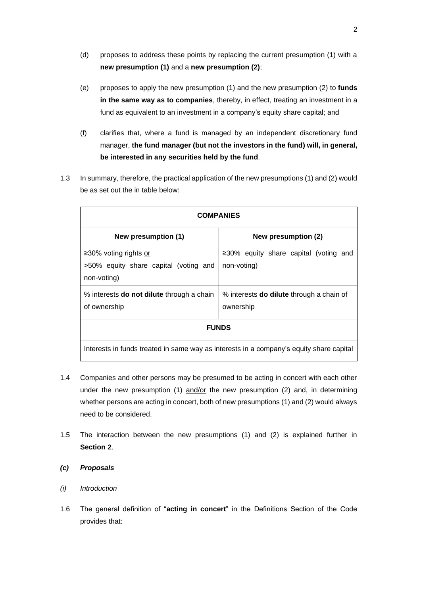- (d) proposes to address these points by replacing the current presumption (1) with a **new presumption (1)** and a **new presumption (2)**;
- (e) proposes to apply the new presumption (1) and the new presumption (2) to **funds in the same way as to companies**, thereby, in effect, treating an investment in a fund as equivalent to an investment in a company's equity share capital; and
- (f) clarifies that, where a fund is managed by an independent discretionary fund manager, **the fund manager (but not the investors in the fund) will, in general, be interested in any securities held by the fund**.
- 1.3 In summary, therefore, the practical application of the new presumptions (1) and (2) would be as set out the in table below:

| <b>COMPANIES</b>                                                                        |                                                              |  |  |  |
|-----------------------------------------------------------------------------------------|--------------------------------------------------------------|--|--|--|
| New presumption (1)                                                                     | New presumption (2)                                          |  |  |  |
| ≥30% voting rights or<br>>50% equity share capital (voting and<br>non-voting)           | $\geq$ 30% equity share capital (voting and<br>non-voting)   |  |  |  |
| % interests <b>do not dilute</b> through a chain<br>of ownership                        | % interests <b>do dilute</b> through a chain of<br>ownership |  |  |  |
| <b>FUNDS</b>                                                                            |                                                              |  |  |  |
| Interests in funds treated in same way as interests in a company's equity share capital |                                                              |  |  |  |

- 1.4 Companies and other persons may be presumed to be acting in concert with each other under the new presumption (1) and/or the new presumption (2) and, in determining whether persons are acting in concert, both of new presumptions (1) and (2) would always need to be considered.
- 1.5 The interaction between the new presumptions (1) and (2) is explained further in **Section 2**.
- *(c) Proposals*
- *(i) Introduction*
- 1.6 The general definition of "**acting in concert**" in the Definitions Section of the Code provides that: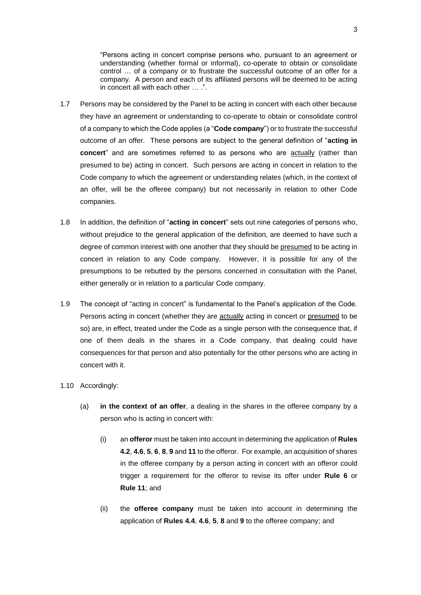"Persons acting in concert comprise persons who, pursuant to an agreement or understanding (whether formal or informal), co-operate to obtain or consolidate control … of a company or to frustrate the successful outcome of an offer for a company. A person and each of its affiliated persons will be deemed to be acting in concert all with each other … .".

- 1.7 Persons may be considered by the Panel to be acting in concert with each other because they have an agreement or understanding to co-operate to obtain or consolidate control of a company to which the Code applies (a "**Code company**") or to frustrate the successful outcome of an offer. These persons are subject to the general definition of "**acting in concert**" and are sometimes referred to as persons who are actually (rather than presumed to be) acting in concert. Such persons are acting in concert in relation to the Code company to which the agreement or understanding relates (which, in the context of an offer, will be the offeree company) but not necessarily in relation to other Code companies.
- 1.8 In addition, the definition of "**acting in concert**" sets out nine categories of persons who, without prejudice to the general application of the definition, are deemed to have such a degree of common interest with one another that they should be presumed to be acting in concert in relation to any Code company. However, it is possible for any of the presumptions to be rebutted by the persons concerned in consultation with the Panel, either generally or in relation to a particular Code company.
- 1.9 The concept of "acting in concert" is fundamental to the Panel's application of the Code. Persons acting in concert (whether they are actually acting in concert or presumed to be so) are, in effect, treated under the Code as a single person with the consequence that, if one of them deals in the shares in a Code company, that dealing could have consequences for that person and also potentially for the other persons who are acting in concert with it.

## 1.10 Accordingly:

- (a) **in the context of an offer**, a dealing in the shares in the offeree company by a person who is acting in concert with:
	- (i) an **offeror** must be taken into account in determining the application of **Rules 4.2**, **4.6**, **5**, **6**, **8**, **9** and **11** to the offeror. For example, an acquisition of shares in the offeree company by a person acting in concert with an offeror could trigger a requirement for the offeror to revise its offer under **Rule 6** or **Rule 11**; and
	- (ii) the **offeree company** must be taken into account in determining the application of **Rules 4.4**, **4.6**, **5**, **8** and **9** to the offeree company; and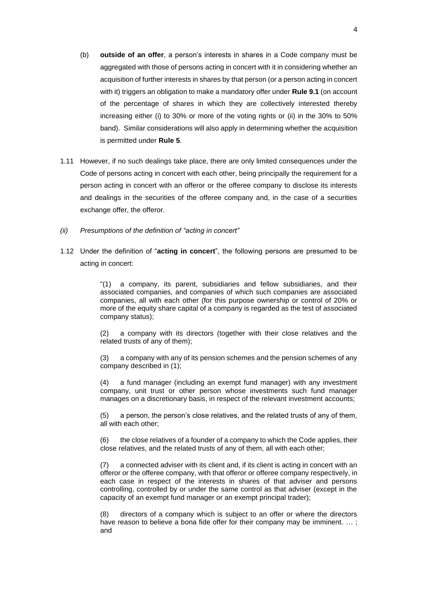- (b) **outside of an offer**, a person's interests in shares in a Code company must be aggregated with those of persons acting in concert with it in considering whether an acquisition of further interests in shares by that person (or a person acting in concert with it) triggers an obligation to make a mandatory offer under **Rule 9.1** (on account of the percentage of shares in which they are collectively interested thereby increasing either (i) to 30% or more of the voting rights or (ii) in the 30% to 50% band). Similar considerations will also apply in determining whether the acquisition is permitted under **Rule 5**.
- 1.11 However, if no such dealings take place, there are only limited consequences under the Code of persons acting in concert with each other, being principally the requirement for a person acting in concert with an offeror or the offeree company to disclose its interests and dealings in the securities of the offeree company and, in the case of a securities exchange offer, the offeror.
- *(ii) Presumptions of the definition of "acting in concert"*
- 1.12 Under the definition of "**acting in concert**", the following persons are presumed to be acting in concert:

"(1) a company, its parent, subsidiaries and fellow subsidiaries, and their associated companies, and companies of which such companies are associated companies, all with each other (for this purpose ownership or control of 20% or more of the equity share capital of a company is regarded as the test of associated company status);

(2) a company with its directors (together with their close relatives and the related trusts of any of them);

(3) a company with any of its pension schemes and the pension schemes of any company described in (1);

(4) a fund manager (including an exempt fund manager) with any investment company, unit trust or other person whose investments such fund manager manages on a discretionary basis, in respect of the relevant investment accounts;

(5) a person, the person's close relatives, and the related trusts of any of them, all with each other;

(6) the close relatives of a founder of a company to which the Code applies, their close relatives, and the related trusts of any of them, all with each other;

(7) a connected adviser with its client and, if its client is acting in concert with an offeror or the offeree company, with that offeror or offeree company respectively, in each case in respect of the interests in shares of that adviser and persons controlling, controlled by or under the same control as that adviser (except in the capacity of an exempt fund manager or an exempt principal trader);

(8) directors of a company which is subject to an offer or where the directors have reason to believe a bona fide offer for their company may be imminent. ... ; and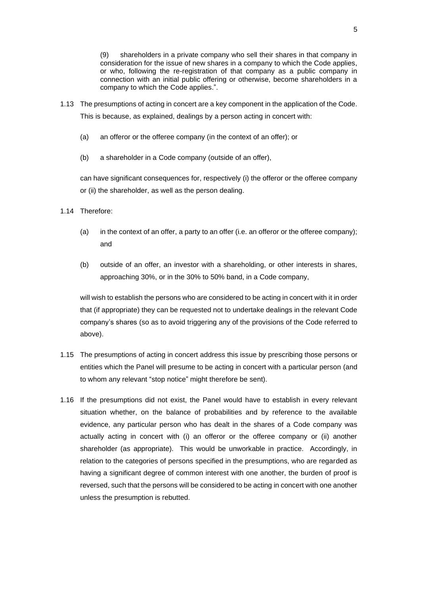(9) shareholders in a private company who sell their shares in that company in consideration for the issue of new shares in a company to which the Code applies, or who, following the re-registration of that company as a public company in connection with an initial public offering or otherwise, become shareholders in a company to which the Code applies.".

- 1.13 The presumptions of acting in concert are a key component in the application of the Code. This is because, as explained, dealings by a person acting in concert with:
	- (a) an offeror or the offeree company (in the context of an offer); or
	- (b) a shareholder in a Code company (outside of an offer),

can have significant consequences for, respectively (i) the offeror or the offeree company or (ii) the shareholder, as well as the person dealing.

- 1.14 Therefore:
	- (a) in the context of an offer, a party to an offer (i.e. an offeror or the offeree company); and
	- (b) outside of an offer, an investor with a shareholding, or other interests in shares, approaching 30%, or in the 30% to 50% band, in a Code company,

will wish to establish the persons who are considered to be acting in concert with it in order that (if appropriate) they can be requested not to undertake dealings in the relevant Code company's shares (so as to avoid triggering any of the provisions of the Code referred to above).

- 1.15 The presumptions of acting in concert address this issue by prescribing those persons or entities which the Panel will presume to be acting in concert with a particular person (and to whom any relevant "stop notice" might therefore be sent).
- 1.16 If the presumptions did not exist, the Panel would have to establish in every relevant situation whether, on the balance of probabilities and by reference to the available evidence, any particular person who has dealt in the shares of a Code company was actually acting in concert with (i) an offeror or the offeree company or (ii) another shareholder (as appropriate). This would be unworkable in practice. Accordingly, in relation to the categories of persons specified in the presumptions, who are regarded as having a significant degree of common interest with one another, the burden of proof is reversed, such that the persons will be considered to be acting in concert with one another unless the presumption is rebutted.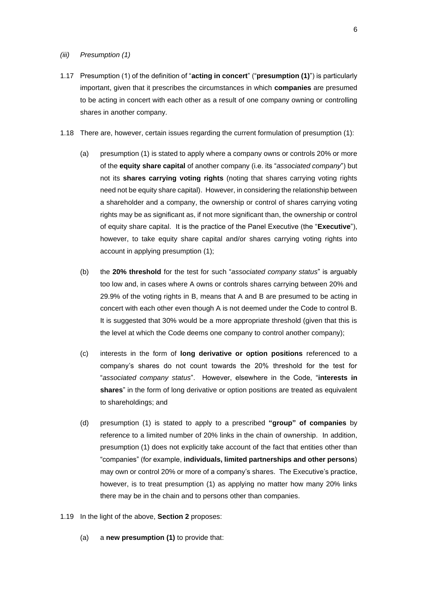#### *(iii) Presumption (1)*

- 1.17 Presumption (1) of the definition of "**acting in concert**" ("**presumption (1)**") is particularly important, given that it prescribes the circumstances in which **companies** are presumed to be acting in concert with each other as a result of one company owning or controlling shares in another company.
- 1.18 There are, however, certain issues regarding the current formulation of presumption (1):
	- (a) presumption (1) is stated to apply where a company owns or controls 20% or more of the **equity share capital** of another company (i.e. its "*associated company*") but not its **shares carrying voting rights** (noting that shares carrying voting rights need not be equity share capital). However, in considering the relationship between a shareholder and a company, the ownership or control of shares carrying voting rights may be as significant as, if not more significant than, the ownership or control of equity share capital. It is the practice of the Panel Executive (the "**Executive**"), however, to take equity share capital and/or shares carrying voting rights into account in applying presumption (1);
	- (b) the **20% threshold** for the test for such "*associated company status*" is arguably too low and, in cases where A owns or controls shares carrying between 20% and 29.9% of the voting rights in B, means that A and B are presumed to be acting in concert with each other even though A is not deemed under the Code to control B. It is suggested that 30% would be a more appropriate threshold (given that this is the level at which the Code deems one company to control another company);
	- (c) interests in the form of **long derivative or option positions** referenced to a company's shares do not count towards the 20% threshold for the test for "*associated company status*". However, elsewhere in the Code, "**interests in shares**" in the form of long derivative or option positions are treated as equivalent to shareholdings; and
	- (d) presumption (1) is stated to apply to a prescribed **"group" of companies** by reference to a limited number of 20% links in the chain of ownership. In addition, presumption (1) does not explicitly take account of the fact that entities other than "companies" (for example, **individuals, limited partnerships and other persons**) may own or control 20% or more of a company's shares. The Executive's practice, however, is to treat presumption (1) as applying no matter how many 20% links there may be in the chain and to persons other than companies.
- 1.19 In the light of the above, **Section 2** proposes:
	- (a) a **new presumption (1)** to provide that: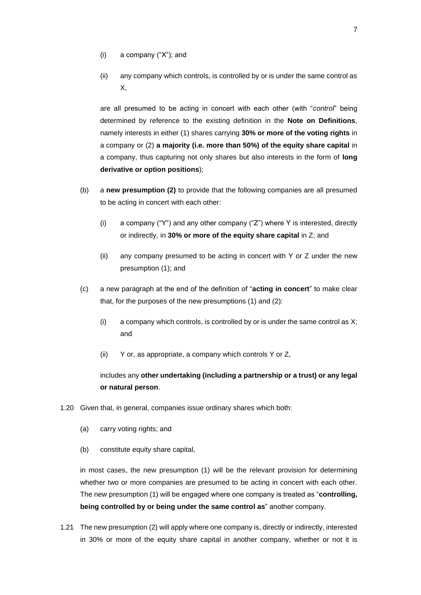- (i) a company ("X"); and
- (ii) any company which controls, is controlled by or is under the same control as X,

are all presumed to be acting in concert with each other (with "*control*" being determined by reference to the existing definition in the **Note on Definitions**, namely interests in either (1) shares carrying **30% or more of the voting rights** in a company or (2) **a majority (i.e. more than 50%) of the equity share capital** in a company, thus capturing not only shares but also interests in the form of **long derivative or option positions**);

- (b) a **new presumption (2)** to provide that the following companies are all presumed to be acting in concert with each other:
	- (i) a company ("Y") and any other company ("Z") where Y is interested, directly or indirectly, in **30% or more of the equity share capital** in Z; and
	- (ii) any company presumed to be acting in concert with Y or Z under the new presumption (1); and
- (c) a new paragraph at the end of the definition of "**acting in concert**" to make clear that, for the purposes of the new presumptions (1) and (2):
	- (i) a company which controls, is controlled by or is under the same control as  $X$ ; and
	- (ii) Y or, as appropriate, a company which controls Y or Z,

# includes any **other undertaking (including a partnership or a trust) or any legal or natural person**.

- 1.20 Given that, in general, companies issue ordinary shares which both:
	- (a) carry voting rights; and
	- (b) constitute equity share capital,

in most cases, the new presumption (1) will be the relevant provision for determining whether two or more companies are presumed to be acting in concert with each other. The new presumption (1) will be engaged where one company is treated as "**controlling, being controlled by or being under the same control as**" another company.

1.21 The new presumption (2) will apply where one company is, directly or indirectly, interested in 30% or more of the equity share capital in another company, whether or not it is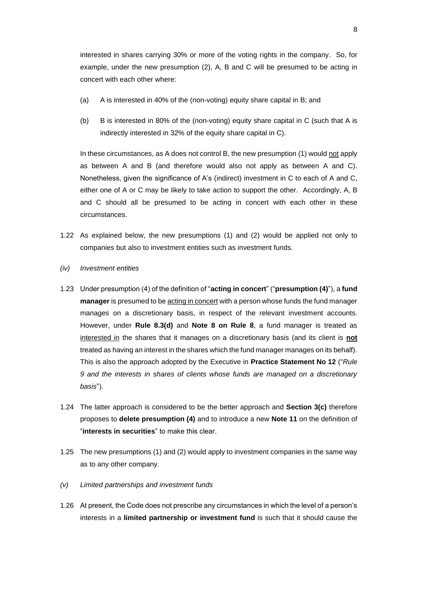interested in shares carrying 30% or more of the voting rights in the company. So, for example, under the new presumption (2), A, B and C will be presumed to be acting in concert with each other where:

- (a) A is interested in 40% of the (non-voting) equity share capital in B; and
- (b) B is interested in 80% of the (non-voting) equity share capital in C (such that A is indirectly interested in 32% of the equity share capital in C).

In these circumstances, as A does not control B, the new presumption (1) would not apply as between A and B (and therefore would also not apply as between A and C). Nonetheless, given the significance of A's (indirect) investment in C to each of A and C, either one of A or C may be likely to take action to support the other. Accordingly, A, B and C should all be presumed to be acting in concert with each other in these circumstances.

- 1.22 As explained below, the new presumptions (1) and (2) would be applied not only to companies but also to investment entities such as investment funds.
- *(iv) Investment entities*
- 1.23 Under presumption (4) of the definition of "**acting in concert**" ("**presumption (4)**"), a **fund manager** is presumed to be acting in concert with a person whose funds the fund manager manages on a discretionary basis, in respect of the relevant investment accounts. However, under **Rule 8.3(d)** and **Note 8 on Rule 8**, a fund manager is treated as interested in the shares that it manages on a discretionary basis (and its client is **not** treated as having an interest in the shares which the fund manager manages on its behalf). This is also the approach adopted by the Executive in **Practice Statement No 12** ("*Rule 9 and the interests in shares of clients whose funds are managed on a discretionary basis*").
- 1.24 The latter approach is considered to be the better approach and **Section 3(c)** therefore proposes to **delete presumption (4)** and to introduce a new **Note 11** on the definition of "**interests in securities**" to make this clear.
- 1.25 The new presumptions (1) and (2) would apply to investment companies in the same way as to any other company.
- *(v) Limited partnerships and investment funds*
- 1.26 At present, the Code does not prescribe any circumstances in which the level of a person's interests in a **limited partnership or investment fund** is such that it should cause the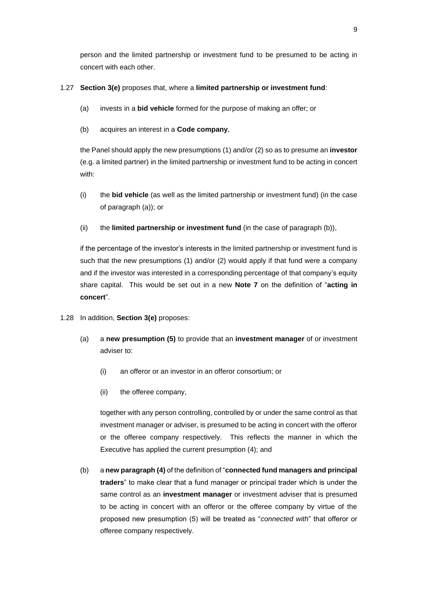person and the limited partnership or investment fund to be presumed to be acting in concert with each other.

# 1.27 **Section 3(e)** proposes that, where a **limited partnership or investment fund**:

- (a) invests in a **bid vehicle** formed for the purpose of making an offer; or
- (b) acquires an interest in a **Code company**,

the Panel should apply the new presumptions (1) and/or (2) so as to presume an **investor** (e.g. a limited partner) in the limited partnership or investment fund to be acting in concert with:

- (i) the **bid vehicle** (as well as the limited partnership or investment fund) (in the case of paragraph (a)); or
- (ii) the **limited partnership or investment fund** (in the case of paragraph (b)),

if the percentage of the investor's interests in the limited partnership or investment fund is such that the new presumptions (1) and/or (2) would apply if that fund were a company and if the investor was interested in a corresponding percentage of that company's equity share capital. This would be set out in a new **Note 7** on the definition of "**acting in concert**".

- 1.28 In addition, **Section 3(e)** proposes:
	- (a) a **new presumption (5)** to provide that an **investment manager** of or investment adviser to:
		- (i) an offeror or an investor in an offeror consortium; or
		- (ii) the offeree company,

together with any person controlling, controlled by or under the same control as that investment manager or adviser, is presumed to be acting in concert with the offeror or the offeree company respectively. This reflects the manner in which the Executive has applied the current presumption (4); and

(b) a **new paragraph (4)** of the definition of "**connected fund managers and principal traders**" to make clear that a fund manager or principal trader which is under the same control as an **investment manager** or investment adviser that is presumed to be acting in concert with an offeror or the offeree company by virtue of the proposed new presumption (5) will be treated as "*connected with*" that offeror or offeree company respectively.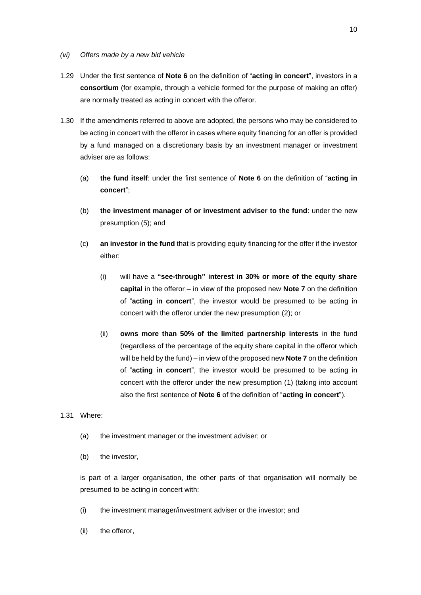- *(vi) Offers made by a new bid vehicle*
- 1.29 Under the first sentence of **Note 6** on the definition of "**acting in concert**", investors in a **consortium** (for example, through a vehicle formed for the purpose of making an offer) are normally treated as acting in concert with the offeror.
- 1.30 If the amendments referred to above are adopted, the persons who may be considered to be acting in concert with the offeror in cases where equity financing for an offer is provided by a fund managed on a discretionary basis by an investment manager or investment adviser are as follows:
	- (a) **the fund itself**: under the first sentence of **Note 6** on the definition of "**acting in concert**";
	- (b) **the investment manager of or investment adviser to the fund**: under the new presumption (5); and
	- (c) **an investor in the fund** that is providing equity financing for the offer if the investor either:
		- (i) will have a **"see-through" interest in 30% or more of the equity share capital** in the offeror – in view of the proposed new **Note 7** on the definition of "**acting in concert**", the investor would be presumed to be acting in concert with the offeror under the new presumption (2); or
		- (ii) **owns more than 50% of the limited partnership interests** in the fund (regardless of the percentage of the equity share capital in the offeror which will be held by the fund) – in view of the proposed new **Note 7** on the definition of "**acting in concert**", the investor would be presumed to be acting in concert with the offeror under the new presumption (1) (taking into account also the first sentence of **Note 6** of the definition of "**acting in concert**").

1.31 Where:

- (a) the investment manager or the investment adviser; or
- (b) the investor,

is part of a larger organisation, the other parts of that organisation will normally be presumed to be acting in concert with:

- (i) the investment manager/investment adviser or the investor; and
- (ii) the offeror,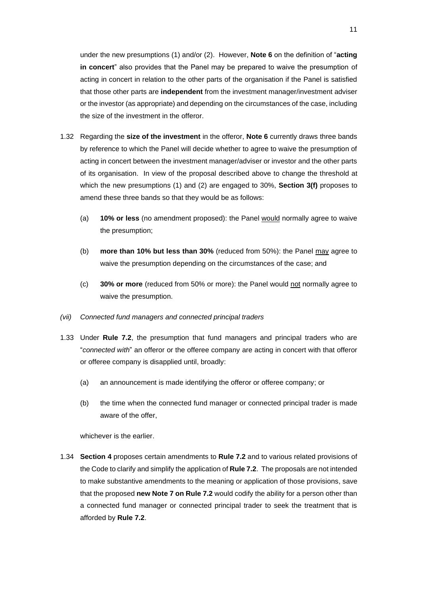under the new presumptions (1) and/or (2). However, **Note 6** on the definition of "**acting in concert**" also provides that the Panel may be prepared to waive the presumption of acting in concert in relation to the other parts of the organisation if the Panel is satisfied that those other parts are **independent** from the investment manager/investment adviser or the investor (as appropriate) and depending on the circumstances of the case, including the size of the investment in the offeror.

- 1.32 Regarding the **size of the investment** in the offeror, **Note 6** currently draws three bands by reference to which the Panel will decide whether to agree to waive the presumption of acting in concert between the investment manager/adviser or investor and the other parts of its organisation. In view of the proposal described above to change the threshold at which the new presumptions (1) and (2) are engaged to 30%, **Section 3(f)** proposes to amend these three bands so that they would be as follows:
	- (a) **10% or less** (no amendment proposed): the Panel would normally agree to waive the presumption;
	- (b) **more than 10% but less than 30%** (reduced from 50%): the Panel may agree to waive the presumption depending on the circumstances of the case; and
	- (c) **30% or more** (reduced from 50% or more): the Panel would not normally agree to waive the presumption.
- *(vii) Connected fund managers and connected principal traders*
- 1.33 Under **Rule 7.2**, the presumption that fund managers and principal traders who are "*connected with*" an offeror or the offeree company are acting in concert with that offeror or offeree company is disapplied until, broadly:
	- (a) an announcement is made identifying the offeror or offeree company; or
	- (b) the time when the connected fund manager or connected principal trader is made aware of the offer,

whichever is the earlier.

1.34 **Section 4** proposes certain amendments to **Rule 7.2** and to various related provisions of the Code to clarify and simplify the application of **Rule 7.2**. The proposals are not intended to make substantive amendments to the meaning or application of those provisions, save that the proposed **new Note 7 on Rule 7.2** would codify the ability for a person other than a connected fund manager or connected principal trader to seek the treatment that is afforded by **Rule 7.2**.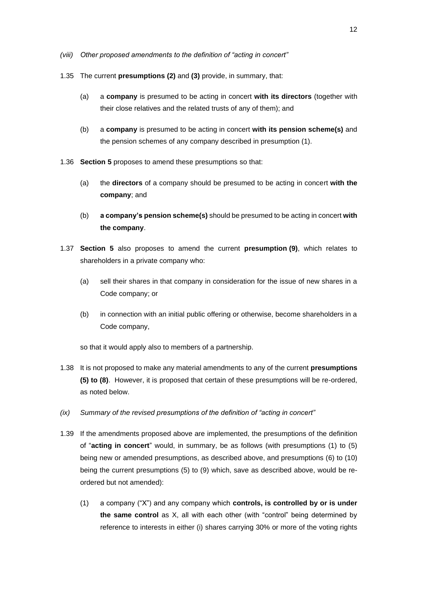- *(viii) Other proposed amendments to the definition of "acting in concert"*
- 1.35 The current **presumptions (2)** and **(3)** provide, in summary, that:
	- (a) a **company** is presumed to be acting in concert **with its directors** (together with their close relatives and the related trusts of any of them); and
	- (b) a **company** is presumed to be acting in concert **with its pension scheme(s)** and the pension schemes of any company described in presumption (1).
- 1.36 **Section 5** proposes to amend these presumptions so that:
	- (a) the **directors** of a company should be presumed to be acting in concert **with the company**; and
	- (b) **a company's pension scheme(s)** should be presumed to be acting in concert **with the company**.
- 1.37 **Section 5** also proposes to amend the current **presumption (9)**, which relates to shareholders in a private company who:
	- (a) sell their shares in that company in consideration for the issue of new shares in a Code company; or
	- (b) in connection with an initial public offering or otherwise, become shareholders in a Code company,

so that it would apply also to members of a partnership.

- 1.38 It is not proposed to make any material amendments to any of the current **presumptions (5) to (8)**. However, it is proposed that certain of these presumptions will be re-ordered, as noted below.
- *(ix) Summary of the revised presumptions of the definition of "acting in concert"*
- 1.39 If the amendments proposed above are implemented, the presumptions of the definition of "**acting in concert**" would, in summary, be as follows (with presumptions (1) to (5) being new or amended presumptions, as described above, and presumptions (6) to (10) being the current presumptions (5) to (9) which, save as described above, would be reordered but not amended):
	- (1) a company ("X") and any company which **controls, is controlled by or is under the same control** as X, all with each other (with "control" being determined by reference to interests in either (i) shares carrying 30% or more of the voting rights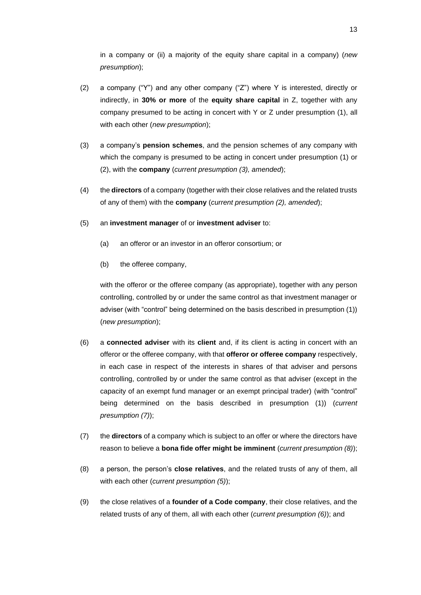in a company or (ii) a majority of the equity share capital in a company) (*new presumption*);

- (2) a company ("Y") and any other company ("Z") where Y is interested, directly or indirectly, in **30% or more** of the **equity share capital** in Z, together with any company presumed to be acting in concert with Y or Z under presumption (1), all with each other (*new presumption*);
- (3) a company's **pension schemes**, and the pension schemes of any company with which the company is presumed to be acting in concert under presumption (1) or (2), with the **company** (*current presumption (3), amended*);
- (4) the **directors** of a company (together with their close relatives and the related trusts of any of them) with the **company** (*current presumption (2), amended*);
- (5) an **investment manager** of or **investment adviser** to:
	- (a) an offeror or an investor in an offeror consortium; or
	- (b) the offeree company,

with the offeror or the offeree company (as appropriate), together with any person controlling, controlled by or under the same control as that investment manager or adviser (with "control" being determined on the basis described in presumption (1)) (*new presumption*);

- (6) a **connected adviser** with its **client** and, if its client is acting in concert with an offeror or the offeree company, with that **offeror or offeree company** respectively, in each case in respect of the interests in shares of that adviser and persons controlling, controlled by or under the same control as that adviser (except in the capacity of an exempt fund manager or an exempt principal trader) (with "control" being determined on the basis described in presumption (1)) (*current presumption (7)*);
- (7) the **directors** of a company which is subject to an offer or where the directors have reason to believe a **bona fide offer might be imminent** (*current presumption (8)*);
- (8) a person, the person's **close relatives**, and the related trusts of any of them, all with each other (*current presumption (5)*);
- (9) the close relatives of a **founder of a Code company**, their close relatives, and the related trusts of any of them, all with each other (*current presumption (6)*); and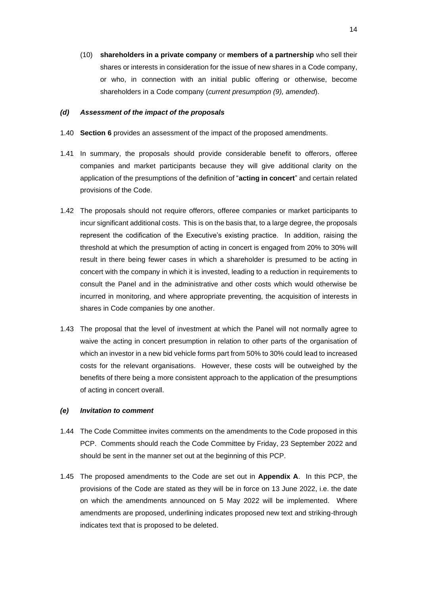(10) **shareholders in a private company** or **members of a partnership** who sell their shares or interests in consideration for the issue of new shares in a Code company, or who, in connection with an initial public offering or otherwise, become shareholders in a Code company (*current presumption (9), amended*).

# *(d) Assessment of the impact of the proposals*

- 1.40 **Section 6** provides an assessment of the impact of the proposed amendments.
- 1.41 In summary, the proposals should provide considerable benefit to offerors, offeree companies and market participants because they will give additional clarity on the application of the presumptions of the definition of "**acting in concert**" and certain related provisions of the Code.
- 1.42 The proposals should not require offerors, offeree companies or market participants to incur significant additional costs. This is on the basis that, to a large degree, the proposals represent the codification of the Executive's existing practice. In addition, raising the threshold at which the presumption of acting in concert is engaged from 20% to 30% will result in there being fewer cases in which a shareholder is presumed to be acting in concert with the company in which it is invested, leading to a reduction in requirements to consult the Panel and in the administrative and other costs which would otherwise be incurred in monitoring, and where appropriate preventing, the acquisition of interests in shares in Code companies by one another.
- 1.43 The proposal that the level of investment at which the Panel will not normally agree to waive the acting in concert presumption in relation to other parts of the organisation of which an investor in a new bid vehicle forms part from 50% to 30% could lead to increased costs for the relevant organisations. However, these costs will be outweighed by the benefits of there being a more consistent approach to the application of the presumptions of acting in concert overall.

#### *(e) Invitation to comment*

- 1.44 The Code Committee invites comments on the amendments to the Code proposed in this PCP. Comments should reach the Code Committee by Friday, 23 September 2022 and should be sent in the manner set out at the beginning of this PCP.
- 1.45 The proposed amendments to the Code are set out in **Appendix A**. In this PCP, the provisions of the Code are stated as they will be in force on 13 June 2022, i.e. the date on which the amendments announced on 5 May 2022 will be implemented. Where amendments are proposed, underlining indicates proposed new text and striking-through indicates text that is proposed to be deleted.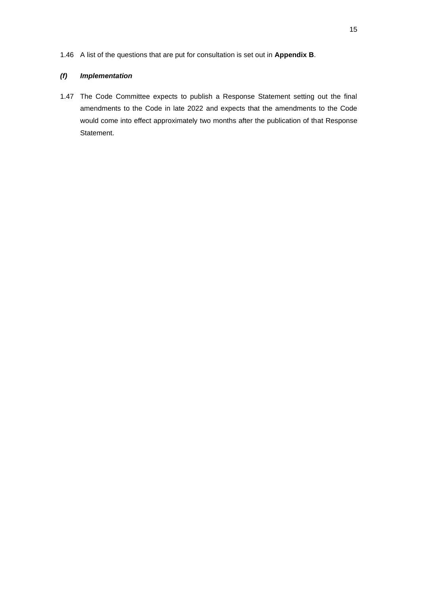1.46 A list of the questions that are put for consultation is set out in **Appendix B**.

# *(f) Implementation*

1.47 The Code Committee expects to publish a Response Statement setting out the final amendments to the Code in late 2022 and expects that the amendments to the Code would come into effect approximately two months after the publication of that Response Statement.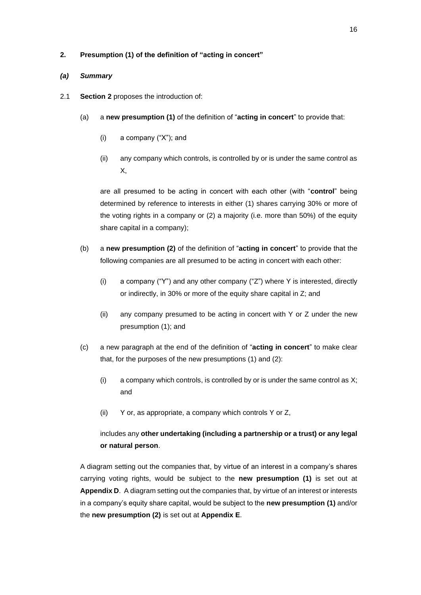# **2. Presumption (1) of the definition of "acting in concert"**

# *(a) Summary*

- 2.1 **Section 2** proposes the introduction of:
	- (a) a **new presumption (1)** of the definition of "**acting in concert**" to provide that:
		- (i) a company ("X"); and
		- (ii) any company which controls, is controlled by or is under the same control as X,

are all presumed to be acting in concert with each other (with "**control**" being determined by reference to interests in either (1) shares carrying 30% or more of the voting rights in a company or (2) a majority (i.e. more than 50%) of the equity share capital in a company);

- (b) a **new presumption (2)** of the definition of "**acting in concert**" to provide that the following companies are all presumed to be acting in concert with each other:
	- (i) a company ("Y") and any other company ("Z") where Y is interested, directly or indirectly, in 30% or more of the equity share capital in Z; and
	- (ii) any company presumed to be acting in concert with Y or Z under the new presumption (1); and
- (c) a new paragraph at the end of the definition of "**acting in concert**" to make clear that, for the purposes of the new presumptions (1) and (2):
	- (i) a company which controls, is controlled by or is under the same control as  $X$ ; and
	- (ii) Y or, as appropriate, a company which controls Y or Z,

# includes any **other undertaking (including a partnership or a trust) or any legal or natural person**.

A diagram setting out the companies that, by virtue of an interest in a company's shares carrying voting rights, would be subject to the **new presumption (1)** is set out at **Appendix D**. A diagram setting out the companies that, by virtue of an interest or interests in a company's equity share capital, would be subject to the **new presumption (1)** and/or the **new presumption (2)** is set out at **Appendix E**.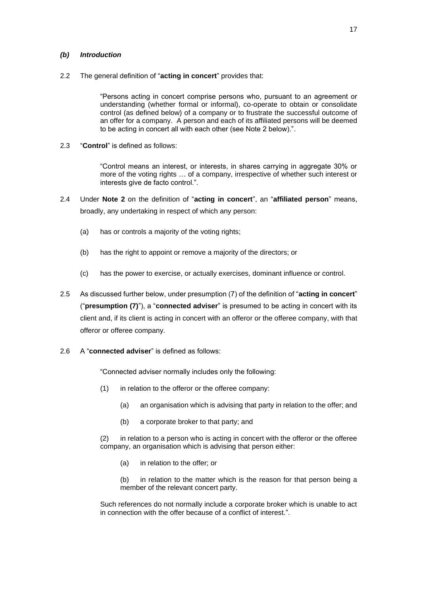## *(b) Introduction*

2.2 The general definition of "**acting in concert**" provides that:

"Persons acting in concert comprise persons who, pursuant to an agreement or understanding (whether formal or informal), co-operate to obtain or consolidate control (as defined below) of a company or to frustrate the successful outcome of an offer for a company. A person and each of its affiliated persons will be deemed to be acting in concert all with each other (see Note 2 below).".

2.3 "**Control**" is defined as follows:

"Control means an interest, or interests, in shares carrying in aggregate 30% or more of the voting rights … of a company, irrespective of whether such interest or interests give de facto control.".

- 2.4 Under **Note 2** on the definition of "**acting in concert**", an "**affiliated person**" means, broadly, any undertaking in respect of which any person:
	- (a) has or controls a majority of the voting rights;
	- (b) has the right to appoint or remove a majority of the directors; or
	- (c) has the power to exercise, or actually exercises, dominant influence or control.
- 2.5 As discussed further below, under presumption (7) of the definition of "**acting in concert**" ("**presumption (7)**"), a "**connected adviser**" is presumed to be acting in concert with its client and, if its client is acting in concert with an offeror or the offeree company, with that offeror or offeree company.
- 2.6 A "**connected adviser**" is defined as follows:

"Connected adviser normally includes only the following:

- (1) in relation to the offeror or the offeree company:
	- (a) an organisation which is advising that party in relation to the offer; and
	- (b) a corporate broker to that party; and

(2) in relation to a person who is acting in concert with the offeror or the offeree company, an organisation which is advising that person either:

(a) in relation to the offer; or

(b) in relation to the matter which is the reason for that person being a member of the relevant concert party.

Such references do not normally include a corporate broker which is unable to act in connection with the offer because of a conflict of interest.".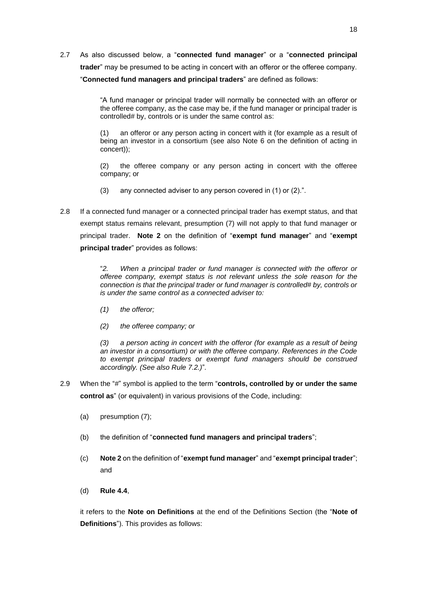2.7 As also discussed below, a "**connected fund manager**" or a "**connected principal trader**" may be presumed to be acting in concert with an offeror or the offeree company. "**Connected fund managers and principal traders**" are defined as follows:

> "A fund manager or principal trader will normally be connected with an offeror or the offeree company, as the case may be, if the fund manager or principal trader is controlled# by, controls or is under the same control as:

> (1) an offeror or any person acting in concert with it (for example as a result of being an investor in a consortium (see also Note 6 on the definition of acting in concert));

> (2) the offeree company or any person acting in concert with the offeree company; or

- (3) any connected adviser to any person covered in (1) or (2).".
- 2.8 If a connected fund manager or a connected principal trader has exempt status, and that exempt status remains relevant, presumption (7) will not apply to that fund manager or principal trader. **Note 2** on the definition of "**exempt fund manager**" and "**exempt principal trader**" provides as follows:

"*2. When a principal trader or fund manager is connected with the offeror or offeree company, exempt status is not relevant unless the sole reason for the connection is that the principal trader or fund manager is controlled# by, controls or is under the same control as a connected adviser to:*

- *(1) the offeror;*
- *(2) the offeree company; or*

*(3) a person acting in concert with the offeror (for example as a result of being an investor in a consortium) or with the offeree company. References in the Code to exempt principal traders or exempt fund managers should be construed accordingly. (See also Rule 7.2.)*"*.*

- 2.9 When the "#" symbol is applied to the term "**controls, controlled by or under the same control as**" (or equivalent) in various provisions of the Code, including:
	- (a) presumption (7);
	- (b) the definition of "**connected fund managers and principal traders**";
	- (c) **Note 2** on the definition of "**exempt fund manager**" and "**exempt principal trader**"; and
	- (d) **Rule 4.4**,

it refers to the **Note on Definitions** at the end of the Definitions Section (the "**Note of Definitions**"). This provides as follows: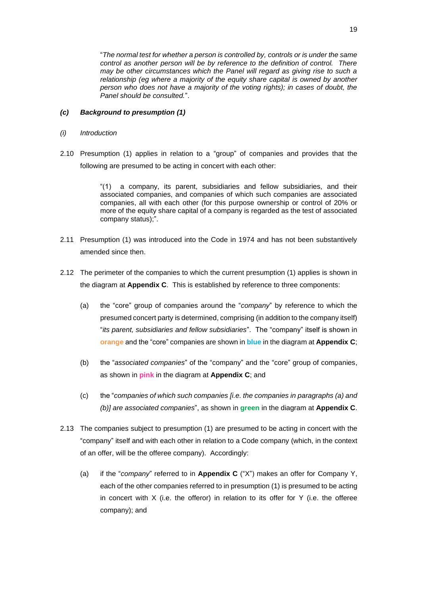"*The normal test for whether a person is controlled by, controls or is under the same control as another person will be by reference to the definition of control. There may be other circumstances which the Panel will regard as giving rise to such a relationship (eg where a majority of the equity share capital is owned by another person who does not have a majority of the voting rights); in cases of doubt, the Panel should be consulted.*".

# *(c) Background to presumption (1)*

- *(i) Introduction*
- 2.10 Presumption (1) applies in relation to a "group" of companies and provides that the following are presumed to be acting in concert with each other:

"(1) a company, its parent, subsidiaries and fellow subsidiaries, and their associated companies, and companies of which such companies are associated companies, all with each other (for this purpose ownership or control of 20% or more of the equity share capital of a company is regarded as the test of associated company status);".

- 2.11 Presumption (1) was introduced into the Code in 1974 and has not been substantively amended since then.
- 2.12 The perimeter of the companies to which the current presumption (1) applies is shown in the diagram at **Appendix C**. This is established by reference to three components:
	- (a) the "core" group of companies around the "*company*" by reference to which the presumed concert party is determined, comprising (in addition to the company itself) "*its parent, subsidiaries and fellow subsidiaries*". The "company" itself is shown in **orange** and the "core" companies are shown in **blue** in the diagram at **Appendix C**;
	- (b) the "*associated companies*" of the "company" and the "core" group of companies, as shown in **pink** in the diagram at **Appendix C**; and
	- (c) the "*companies of which such companies [i.e. the companies in paragraphs (a) and (b)] are associated companies*", as shown in **green** in the diagram at **Appendix C**.
- 2.13 The companies subject to presumption (1) are presumed to be acting in concert with the "company" itself and with each other in relation to a Code company (which, in the context of an offer, will be the offeree company). Accordingly:
	- (a) if the "*company*" referred to in **Appendix C** ("X") makes an offer for Company Y, each of the other companies referred to in presumption (1) is presumed to be acting in concert with  $X$  (i.e. the offeror) in relation to its offer for  $Y$  (i.e. the offeree company); and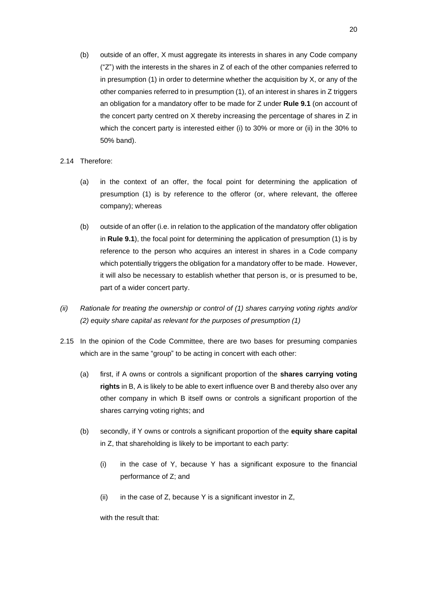- (b) outside of an offer, X must aggregate its interests in shares in any Code company ("Z") with the interests in the shares in Z of each of the other companies referred to in presumption  $(1)$  in order to determine whether the acquisition by  $X$ , or any of the other companies referred to in presumption (1), of an interest in shares in Z triggers an obligation for a mandatory offer to be made for Z under **Rule 9.1** (on account of the concert party centred on X thereby increasing the percentage of shares in Z in which the concert party is interested either (i) to 30% or more or (ii) in the 30% to 50% band).
- 2.14 Therefore:
	- (a) in the context of an offer, the focal point for determining the application of presumption (1) is by reference to the offeror (or, where relevant, the offeree company); whereas
	- (b) outside of an offer (i.e. in relation to the application of the mandatory offer obligation in **Rule 9.1**), the focal point for determining the application of presumption (1) is by reference to the person who acquires an interest in shares in a Code company which potentially triggers the obligation for a mandatory offer to be made. However, it will also be necessary to establish whether that person is, or is presumed to be, part of a wider concert party.
- *(ii) Rationale for treating the ownership or control of (1) shares carrying voting rights and/or (2) equity share capital as relevant for the purposes of presumption (1)*
- 2.15 In the opinion of the Code Committee, there are two bases for presuming companies which are in the same "group" to be acting in concert with each other:
	- (a) first, if A owns or controls a significant proportion of the **shares carrying voting rights** in B, A is likely to be able to exert influence over B and thereby also over any other company in which B itself owns or controls a significant proportion of the shares carrying voting rights; and
	- (b) secondly, if Y owns or controls a significant proportion of the **equity share capital** in Z, that shareholding is likely to be important to each party:
		- (i) in the case of Y, because Y has a significant exposure to the financial performance of Z; and
		- (ii) in the case of Z, because Y is a significant investor in  $Z$ ,

with the result that: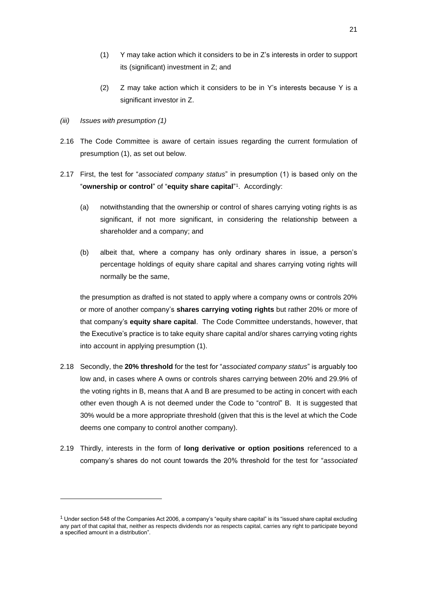- (1) Y may take action which it considers to be in Z's interests in order to support its (significant) investment in Z; and
- (2) Z may take action which it considers to be in Y's interests because Y is a significant investor in Z.
- *(iii) Issues with presumption (1)*
- 2.16 The Code Committee is aware of certain issues regarding the current formulation of presumption (1), as set out below.
- 2.17 First, the test for "*associated company status*" in presumption (1) is based only on the "**ownership or control**" of "**equity share capital**" 1 . Accordingly:
	- (a) notwithstanding that the ownership or control of shares carrying voting rights is as significant, if not more significant, in considering the relationship between a shareholder and a company; and
	- (b) albeit that, where a company has only ordinary shares in issue, a person's percentage holdings of equity share capital and shares carrying voting rights will normally be the same,

the presumption as drafted is not stated to apply where a company owns or controls 20% or more of another company's **shares carrying voting rights** but rather 20% or more of that company's **equity share capital**. The Code Committee understands, however, that the Executive's practice is to take equity share capital and/or shares carrying voting rights into account in applying presumption (1).

- 2.18 Secondly, the **20% threshold** for the test for "*associated company status*" is arguably too low and, in cases where A owns or controls shares carrying between 20% and 29.9% of the voting rights in B, means that A and B are presumed to be acting in concert with each other even though A is not deemed under the Code to "control" B. It is suggested that 30% would be a more appropriate threshold (given that this is the level at which the Code deems one company to control another company).
- 2.19 Thirdly, interests in the form of **long derivative or option positions** referenced to a company's shares do not count towards the 20% threshold for the test for "*associated*

 $1$  Under section 548 of the Companies Act 2006, a company's "equity share capital" is its "issued share capital excluding any part of that capital that, neither as respects dividends nor as respects capital, carries any right to participate beyond a specified amount in a distribution".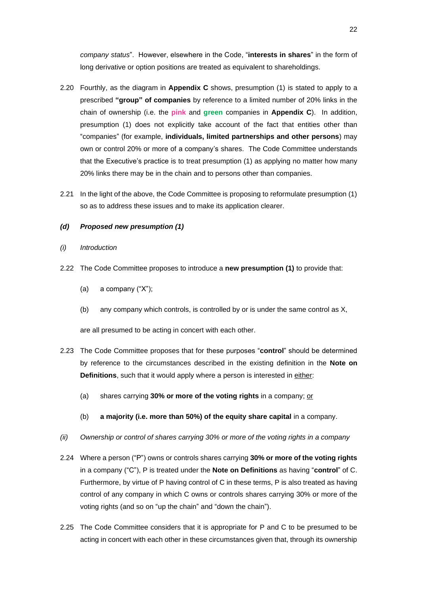*company status*". However, elsewhere in the Code, "**interests in shares**" in the form of long derivative or option positions are treated as equivalent to shareholdings.

- 2.20 Fourthly, as the diagram in **Appendix C** shows, presumption (1) is stated to apply to a prescribed **"group" of companies** by reference to a limited number of 20% links in the chain of ownership (i.e. the **pink** and **green** companies in **Appendix C**). In addition, presumption (1) does not explicitly take account of the fact that entities other than "companies" (for example, **individuals, limited partnerships and other persons**) may own or control 20% or more of a company's shares. The Code Committee understands that the Executive's practice is to treat presumption (1) as applying no matter how many 20% links there may be in the chain and to persons other than companies.
- 2.21 In the light of the above, the Code Committee is proposing to reformulate presumption (1) so as to address these issues and to make its application clearer.

## *(d) Proposed new presumption (1)*

- *(i) Introduction*
- 2.22 The Code Committee proposes to introduce a **new presumption (1)** to provide that:
	- (a) a company ("X");
	- (b) any company which controls, is controlled by or is under the same control as X,

are all presumed to be acting in concert with each other.

- 2.23 The Code Committee proposes that for these purposes "**control**" should be determined by reference to the circumstances described in the existing definition in the **Note on Definitions**, such that it would apply where a person is interested in either:
	- (a) shares carrying **30% or more of the voting rights** in a company; or
	- (b) **a majority (i.e. more than 50%) of the equity share capital** in a company.
- *(ii) Ownership or control of shares carrying 30% or more of the voting rights in a company*
- 2.24 Where a person ("P") owns or controls shares carrying **30% or more of the voting rights**  in a company ("C"), P is treated under the **Note on Definitions** as having "**control**" of C. Furthermore, by virtue of P having control of C in these terms, P is also treated as having control of any company in which C owns or controls shares carrying 30% or more of the voting rights (and so on "up the chain" and "down the chain").
- 2.25 The Code Committee considers that it is appropriate for P and C to be presumed to be acting in concert with each other in these circumstances given that, through its ownership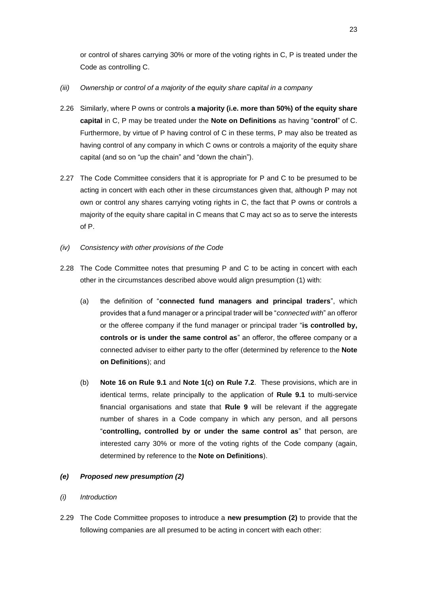or control of shares carrying 30% or more of the voting rights in C, P is treated under the Code as controlling C.

# *(iii) Ownership or control of a majority of the equity share capital in a company*

- 2.26 Similarly, where P owns or controls **a majority (i.e. more than 50%) of the equity share capital** in C, P may be treated under the **Note on Definitions** as having "**control**" of C. Furthermore, by virtue of P having control of C in these terms, P may also be treated as having control of any company in which C owns or controls a majority of the equity share capital (and so on "up the chain" and "down the chain").
- 2.27 The Code Committee considers that it is appropriate for P and C to be presumed to be acting in concert with each other in these circumstances given that, although P may not own or control any shares carrying voting rights in C, the fact that P owns or controls a majority of the equity share capital in C means that C may act so as to serve the interests of P.
- *(iv) Consistency with other provisions of the Code*
- 2.28 The Code Committee notes that presuming P and C to be acting in concert with each other in the circumstances described above would align presumption (1) with:
	- (a) the definition of "**connected fund managers and principal traders**", which provides that a fund manager or a principal trader will be "*connected with*" an offeror or the offeree company if the fund manager or principal trader "**is controlled by, controls or is under the same control as**" an offeror, the offeree company or a connected adviser to either party to the offer (determined by reference to the **Note on Definitions**); and
	- (b) **Note 16 on Rule 9.1** and **Note 1(c) on Rule 7.2**. These provisions, which are in identical terms, relate principally to the application of **Rule 9.1** to multi-service financial organisations and state that **Rule 9** will be relevant if the aggregate number of shares in a Code company in which any person, and all persons "**controlling, controlled by or under the same control as**" that person, are interested carry 30% or more of the voting rights of the Code company (again, determined by reference to the **Note on Definitions**).

# *(e) Proposed new presumption (2)*

## *(i) Introduction*

2.29 The Code Committee proposes to introduce a **new presumption (2)** to provide that the following companies are all presumed to be acting in concert with each other: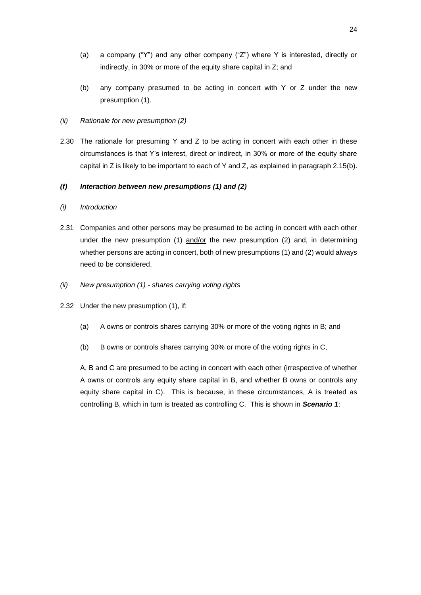- (a) a company ("Y") and any other company ("Z") where Y is interested, directly or indirectly, in 30% or more of the equity share capital in Z; and
- (b) any company presumed to be acting in concert with Y or Z under the new presumption (1).

# *(ii) Rationale for new presumption (2)*

2.30 The rationale for presuming Y and Z to be acting in concert with each other in these circumstances is that Y's interest, direct or indirect, in 30% or more of the equity share capital in Z is likely to be important to each of Y and Z, as explained in paragraph 2.15(b).

# *(f) Interaction between new presumptions (1) and (2)*

## *(i) Introduction*

- 2.31 Companies and other persons may be presumed to be acting in concert with each other under the new presumption (1)  $\frac{\text{and/or}}{\text{or}}$  the new presumption (2) and, in determining whether persons are acting in concert, both of new presumptions (1) and (2) would always need to be considered.
- *(ii) New presumption (1) - shares carrying voting rights*
- 2.32 Under the new presumption (1), if:
	- (a) A owns or controls shares carrying 30% or more of the voting rights in B; and
	- (b) B owns or controls shares carrying 30% or more of the voting rights in C,

A, B and C are presumed to be acting in concert with each other (irrespective of whether A owns or controls any equity share capital in B, and whether B owns or controls any equity share capital in C). This is because, in these circumstances, A is treated as controlling B, which in turn is treated as controlling C. This is shown in *Scenario 1*: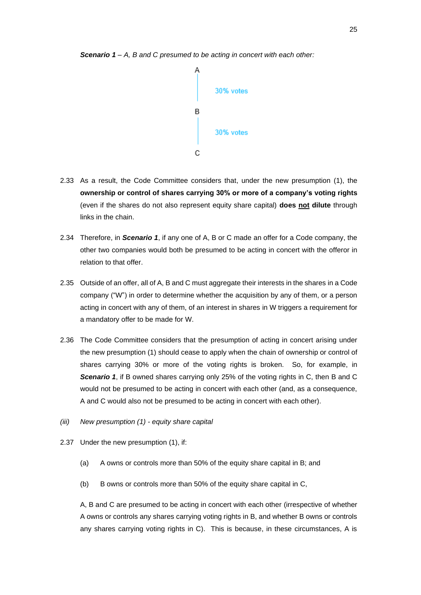



- 2.33 As a result, the Code Committee considers that, under the new presumption (1), the **ownership or control of shares carrying 30% or more of a company's voting rights** (even if the shares do not also represent equity share capital) **does not dilute** through links in the chain.
- 2.34 Therefore, in *Scenario 1*, if any one of A, B or C made an offer for a Code company, the other two companies would both be presumed to be acting in concert with the offeror in relation to that offer.
- 2.35 Outside of an offer, all of A, B and C must aggregate their interests in the shares in a Code company ("W") in order to determine whether the acquisition by any of them, or a person acting in concert with any of them, of an interest in shares in W triggers a requirement for a mandatory offer to be made for W.
- 2.36 The Code Committee considers that the presumption of acting in concert arising under the new presumption (1) should cease to apply when the chain of ownership or control of shares carrying 30% or more of the voting rights is broken. So, for example, in *Scenario 1*, if B owned shares carrying only 25% of the voting rights in C, then B and C would not be presumed to be acting in concert with each other (and, as a consequence, A and C would also not be presumed to be acting in concert with each other).
- *(iii) New presumption (1) - equity share capital*
- 2.37 Under the new presumption (1), if:
	- (a) A owns or controls more than 50% of the equity share capital in B; and
	- (b) B owns or controls more than 50% of the equity share capital in C,

A, B and C are presumed to be acting in concert with each other (irrespective of whether A owns or controls any shares carrying voting rights in B, and whether B owns or controls any shares carrying voting rights in C). This is because, in these circumstances, A is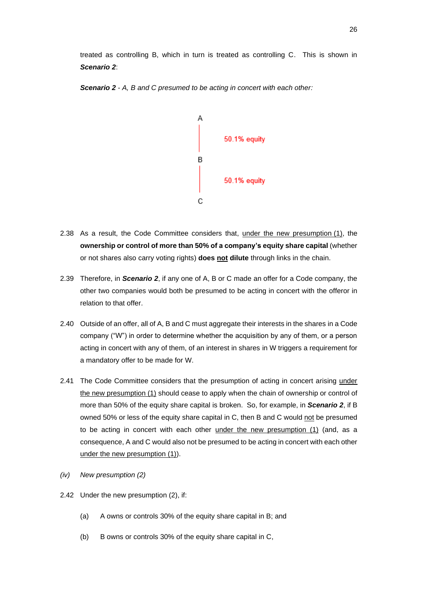treated as controlling B, which in turn is treated as controlling C. This is shown in *Scenario 2*:





- 2.38 As a result, the Code Committee considers that, under the new presumption (1), the **ownership or control of more than 50% of a company's equity share capital** (whether or not shares also carry voting rights) **does not dilute** through links in the chain.
- 2.39 Therefore, in *Scenario 2*, if any one of A, B or C made an offer for a Code company, the other two companies would both be presumed to be acting in concert with the offeror in relation to that offer.
- 2.40 Outside of an offer, all of A, B and C must aggregate their interests in the shares in a Code company ("W") in order to determine whether the acquisition by any of them, or a person acting in concert with any of them, of an interest in shares in W triggers a requirement for a mandatory offer to be made for W.
- 2.41 The Code Committee considers that the presumption of acting in concert arising under the new presumption (1) should cease to apply when the chain of ownership or control of more than 50% of the equity share capital is broken. So, for example, in *Scenario 2*, if B owned 50% or less of the equity share capital in C, then B and C would not be presumed to be acting in concert with each other under the new presumption (1) (and, as a consequence, A and C would also not be presumed to be acting in concert with each other under the new presumption (1)).
- *(iv) New presumption (2)*
- 2.42 Under the new presumption (2), if:
	- (a) A owns or controls 30% of the equity share capital in B; and
	- (b) B owns or controls 30% of the equity share capital in C,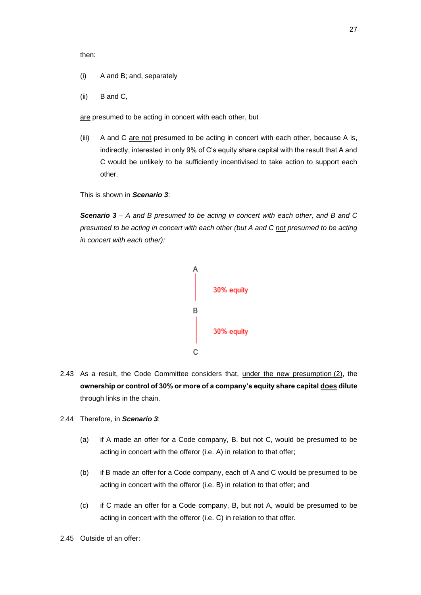then:

- (i) A and B; and, separately
- (ii) B and C,

are presumed to be acting in concert with each other, but

(iii) A and C are not presumed to be acting in concert with each other, because A is, indirectly, interested in only 9% of C's equity share capital with the result that A and C would be unlikely to be sufficiently incentivised to take action to support each other.

This is shown in *Scenario 3*:

*Scenario 3 – A and B presumed to be acting in concert with each other, and B and C presumed to be acting in concert with each other (but A and C not presumed to be acting in concert with each other):*



- 2.43 As a result, the Code Committee considers that, under the new presumption (2), the **ownership or control of 30% or more of a company's equity share capital does dilute** through links in the chain.
- 2.44 Therefore, in *Scenario 3*:
	- (a) if A made an offer for a Code company, B, but not C, would be presumed to be acting in concert with the offeror (i.e. A) in relation to that offer;
	- (b) if B made an offer for a Code company, each of A and C would be presumed to be acting in concert with the offeror (i.e. B) in relation to that offer; and
	- (c) if C made an offer for a Code company, B, but not A, would be presumed to be acting in concert with the offeror (i.e. C) in relation to that offer.
- 2.45 Outside of an offer: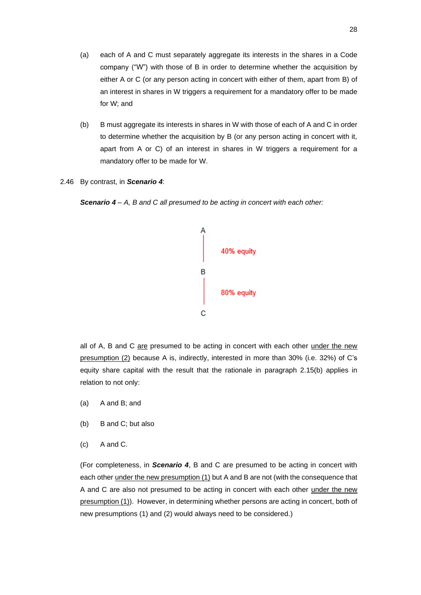- (a) each of A and C must separately aggregate its interests in the shares in a Code company ("W") with those of B in order to determine whether the acquisition by either A or C (or any person acting in concert with either of them, apart from B) of an interest in shares in W triggers a requirement for a mandatory offer to be made for W; and
- (b) B must aggregate its interests in shares in W with those of each of A and C in order to determine whether the acquisition by B (or any person acting in concert with it, apart from A or C) of an interest in shares in W triggers a requirement for a mandatory offer to be made for W.
- 2.46 By contrast, in *Scenario 4*:

*Scenario 4 – A, B and C all presumed to be acting in concert with each other:*



all of A, B and C are presumed to be acting in concert with each other under the new presumption (2) because A is, indirectly, interested in more than 30% (i.e. 32%) of C's equity share capital with the result that the rationale in paragraph 2.15(b) applies in relation to not only:

- (a) A and B; and
- (b) B and C; but also
- (c) A and C.

(For completeness, in *Scenario 4*, B and C are presumed to be acting in concert with each other under the new presumption (1) but A and B are not (with the consequence that A and C are also not presumed to be acting in concert with each other under the new presumption (1)). However, in determining whether persons are acting in concert, both of new presumptions (1) and (2) would always need to be considered.)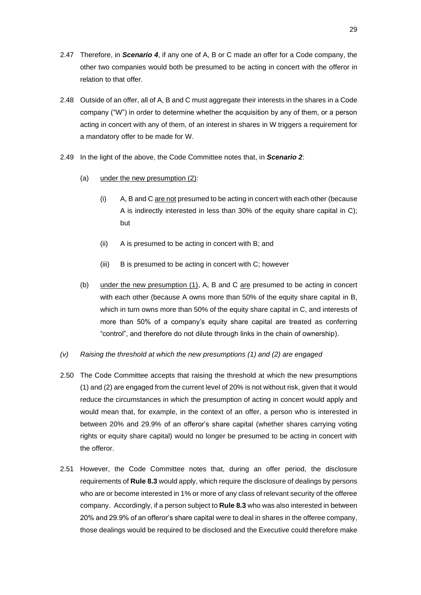- 2.47 Therefore, in *Scenario 4*, if any one of A, B or C made an offer for a Code company, the other two companies would both be presumed to be acting in concert with the offeror in relation to that offer.
- 2.48 Outside of an offer, all of A, B and C must aggregate their interests in the shares in a Code company ("W") in order to determine whether the acquisition by any of them, or a person acting in concert with any of them, of an interest in shares in W triggers a requirement for a mandatory offer to be made for W.
- 2.49 In the light of the above, the Code Committee notes that, in *Scenario 2*:
	- (a) under the new presumption (2):
		- $(i)$  A, B and C are not presumed to be acting in concert with each other (because A is indirectly interested in less than 30% of the equity share capital in C); but
		- (ii) A is presumed to be acting in concert with B; and
		- (iii) B is presumed to be acting in concert with C; however
	- (b) under the new presumption  $(1)$ , A, B and C are presumed to be acting in concert with each other (because A owns more than 50% of the equity share capital in B, which in turn owns more than 50% of the equity share capital in C, and interests of more than 50% of a company's equity share capital are treated as conferring "control", and therefore do not dilute through links in the chain of ownership).
- *(v) Raising the threshold at which the new presumptions (1) and (2) are engaged*
- 2.50 The Code Committee accepts that raising the threshold at which the new presumptions (1) and (2) are engaged from the current level of 20% is not without risk, given that it would reduce the circumstances in which the presumption of acting in concert would apply and would mean that, for example, in the context of an offer, a person who is interested in between 20% and 29.9% of an offeror's share capital (whether shares carrying voting rights or equity share capital) would no longer be presumed to be acting in concert with the offeror.
- 2.51 However, the Code Committee notes that, during an offer period, the disclosure requirements of **Rule 8.3** would apply, which require the disclosure of dealings by persons who are or become interested in 1% or more of any class of relevant security of the offeree company. Accordingly, if a person subject to **Rule 8.3** who was also interested in between 20% and 29.9% of an offeror's share capital were to deal in shares in the offeree company, those dealings would be required to be disclosed and the Executive could therefore make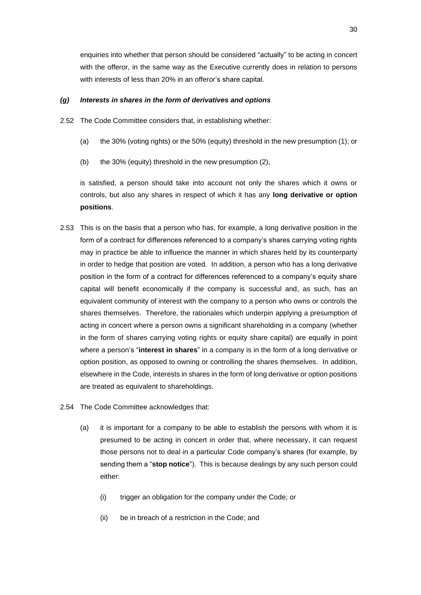enquiries into whether that person should be considered "actually" to be acting in concert with the offeror, in the same way as the Executive currently does in relation to persons with interests of less than 20% in an offeror's share capital.

#### *(g) Interests in shares in the form of derivatives and options*

- 2.52 The Code Committee considers that, in establishing whether:
	- (a) the 30% (voting rights) or the 50% (equity) threshold in the new presumption (1); or
	- (b) the 30% (equity) threshold in the new presumption (2),

is satisfied, a person should take into account not only the shares which it owns or controls, but also any shares in respect of which it has any **long derivative or option positions**.

- 2.53 This is on the basis that a person who has, for example, a long derivative position in the form of a contract for differences referenced to a company's shares carrying voting rights may in practice be able to influence the manner in which shares held by its counterparty in order to hedge that position are voted. In addition, a person who has a long derivative position in the form of a contract for differences referenced to a company's equity share capital will benefit economically if the company is successful and, as such, has an equivalent community of interest with the company to a person who owns or controls the shares themselves. Therefore, the rationales which underpin applying a presumption of acting in concert where a person owns a significant shareholding in a company (whether in the form of shares carrying voting rights or equity share capital) are equally in point where a person's "**interest in shares**" in a company is in the form of a long derivative or option position, as opposed to owning or controlling the shares themselves. In addition, elsewhere in the Code, interests in shares in the form of long derivative or option positions are treated as equivalent to shareholdings.
- 2.54 The Code Committee acknowledges that:
	- (a) it is important for a company to be able to establish the persons with whom it is presumed to be acting in concert in order that, where necessary, it can request those persons not to deal in a particular Code company's shares (for example, by sending them a "**stop notice**"). This is because dealings by any such person could either:
		- (i) trigger an obligation for the company under the Code; or
		- (ii) be in breach of a restriction in the Code; and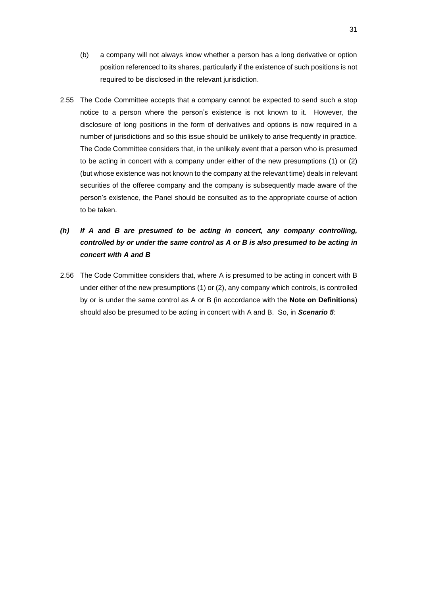- (b) a company will not always know whether a person has a long derivative or option position referenced to its shares, particularly if the existence of such positions is not required to be disclosed in the relevant jurisdiction.
- 2.55 The Code Committee accepts that a company cannot be expected to send such a stop notice to a person where the person's existence is not known to it. However, the disclosure of long positions in the form of derivatives and options is now required in a number of jurisdictions and so this issue should be unlikely to arise frequently in practice. The Code Committee considers that, in the unlikely event that a person who is presumed to be acting in concert with a company under either of the new presumptions (1) or (2) (but whose existence was not known to the company at the relevant time) deals in relevant securities of the offeree company and the company is subsequently made aware of the person's existence, the Panel should be consulted as to the appropriate course of action to be taken.
- *(h) If A and B are presumed to be acting in concert, any company controlling, controlled by or under the same control as A or B is also presumed to be acting in concert with A and B*
- 2.56 The Code Committee considers that, where A is presumed to be acting in concert with B under either of the new presumptions (1) or (2), any company which controls, is controlled by or is under the same control as A or B (in accordance with the **Note on Definitions**) should also be presumed to be acting in concert with A and B. So, in *Scenario 5*: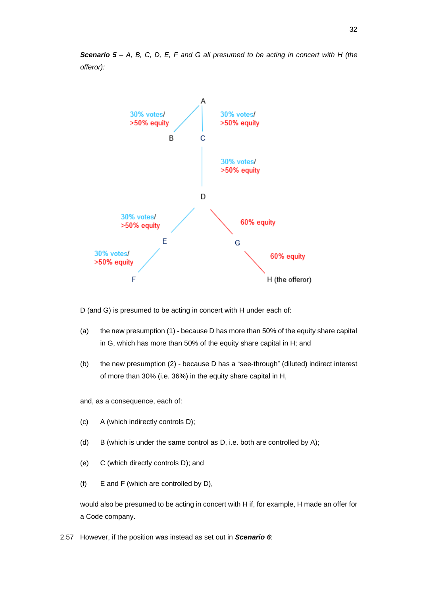



D (and G) is presumed to be acting in concert with H under each of:

- (a) the new presumption (1) because D has more than 50% of the equity share capital in G, which has more than 50% of the equity share capital in H; and
- (b) the new presumption (2) because D has a "see-through" (diluted) indirect interest of more than 30% (i.e. 36%) in the equity share capital in H,

and, as a consequence, each of:

- (c) A (which indirectly controls D);
- (d) B (which is under the same control as D, i.e. both are controlled by A);
- (e) C (which directly controls D); and
- (f) E and F (which are controlled by D),

would also be presumed to be acting in concert with H if, for example, H made an offer for a Code company.

2.57 However, if the position was instead as set out in *Scenario 6*: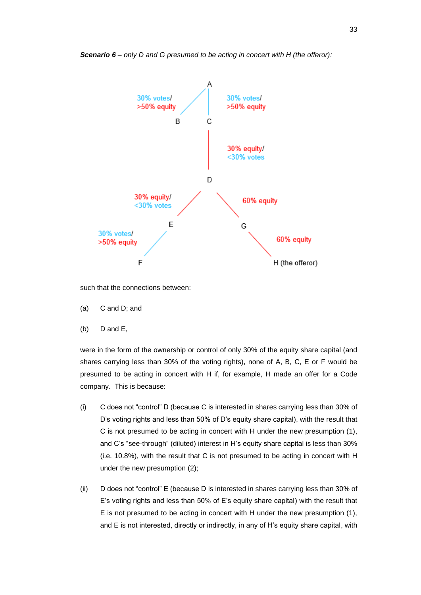

*Scenario 6 – only D and G presumed to be acting in concert with H (the offeror):*

such that the connections between:

- (a) C and D; and
- (b) D and E,

were in the form of the ownership or control of only 30% of the equity share capital (and shares carrying less than 30% of the voting rights), none of A, B, C, E or F would be presumed to be acting in concert with H if, for example, H made an offer for a Code company. This is because:

- (i) C does not "control" D (because C is interested in shares carrying less than 30% of D's voting rights and less than 50% of D's equity share capital), with the result that C is not presumed to be acting in concert with H under the new presumption (1), and C's "see-through" (diluted) interest in H's equity share capital is less than 30% (i.e. 10.8%), with the result that C is not presumed to be acting in concert with H under the new presumption (2);
- (ii) D does not "control" E (because D is interested in shares carrying less than 30% of E's voting rights and less than 50% of E's equity share capital) with the result that E is not presumed to be acting in concert with H under the new presumption (1), and E is not interested, directly or indirectly, in any of H's equity share capital, with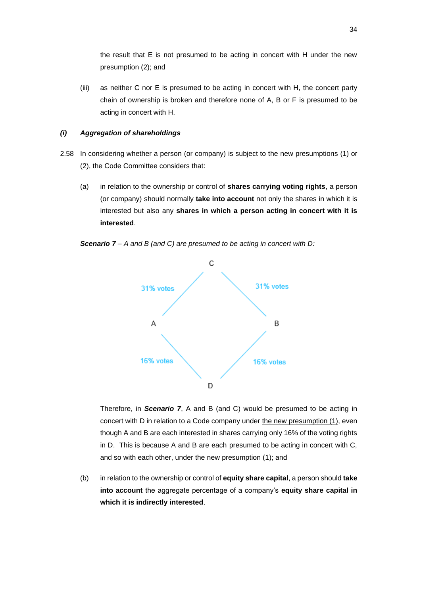the result that E is not presumed to be acting in concert with H under the new presumption (2); and

(iii) as neither C nor E is presumed to be acting in concert with H, the concert party chain of ownership is broken and therefore none of A, B or F is presumed to be acting in concert with H.

### *(i) Aggregation of shareholdings*

- 2.58 In considering whether a person (or company) is subject to the new presumptions (1) or (2), the Code Committee considers that:
	- (a) in relation to the ownership or control of **shares carrying voting rights**, a person (or company) should normally **take into account** not only the shares in which it is interested but also any **shares in which a person acting in concert with it is interested**.

*Scenario 7 – A and B (and C) are presumed to be acting in concert with D:*



Therefore, in *Scenario 7*, A and B (and C) would be presumed to be acting in concert with D in relation to a Code company under the new presumption (1), even though A and B are each interested in shares carrying only 16% of the voting rights in D. This is because A and B are each presumed to be acting in concert with C, and so with each other, under the new presumption (1); and

(b) in relation to the ownership or control of **equity share capital**, a person should **take into account** the aggregate percentage of a company's **equity share capital in which it is indirectly interested**.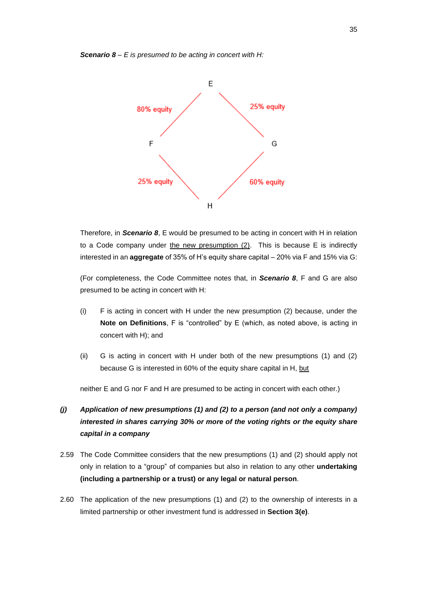#### *Scenario 8 – E is presumed to be acting in concert with H:*



Therefore, in *Scenario 8*, E would be presumed to be acting in concert with H in relation to a Code company under the new presumption (2). This is because E is indirectly interested in an **aggregate** of 35% of H's equity share capital – 20% via F and 15% via G:

(For completeness, the Code Committee notes that, in *Scenario 8*, F and G are also presumed to be acting in concert with H:

- (i) F is acting in concert with H under the new presumption (2) because, under the **Note on Definitions**, F is "controlled" by E (which, as noted above, is acting in concert with H); and
- (ii) G is acting in concert with H under both of the new presumptions (1) and (2) because G is interested in 60% of the equity share capital in H, but

neither E and G nor F and H are presumed to be acting in concert with each other.)

# *(j) Application of new presumptions (1) and (2) to a person (and not only a company) interested in shares carrying 30% or more of the voting rights or the equity share capital in a company*

- 2.59 The Code Committee considers that the new presumptions (1) and (2) should apply not only in relation to a "group" of companies but also in relation to any other **undertaking (including a partnership or a trust) or any legal or natural person**.
- 2.60 The application of the new presumptions (1) and (2) to the ownership of interests in a limited partnership or other investment fund is addressed in **Section 3(e)**.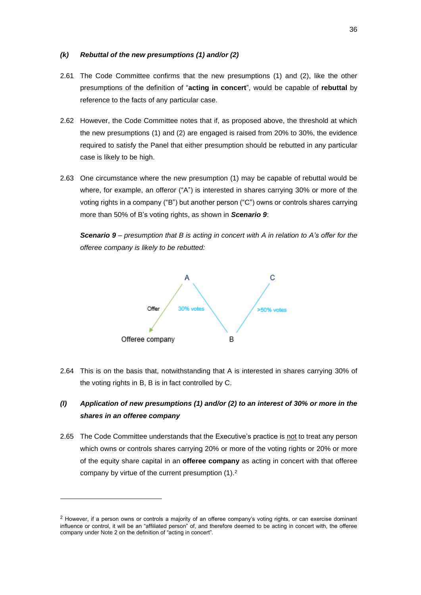#### *(k) Rebuttal of the new presumptions (1) and/or (2)*

- 2.61 The Code Committee confirms that the new presumptions (1) and (2), like the other presumptions of the definition of "**acting in concert**", would be capable of **rebuttal** by reference to the facts of any particular case.
- 2.62 However, the Code Committee notes that if, as proposed above, the threshold at which the new presumptions (1) and (2) are engaged is raised from 20% to 30%, the evidence required to satisfy the Panel that either presumption should be rebutted in any particular case is likely to be high.
- 2.63 One circumstance where the new presumption (1) may be capable of rebuttal would be where, for example, an offeror ("A") is interested in shares carrying 30% or more of the voting rights in a company ("B") but another person ("C") owns or controls shares carrying more than 50% of B's voting rights, as shown in *Scenario 9*:

*Scenario 9 – presumption that B is acting in concert with A in relation to A's offer for the offeree company is likely to be rebutted:*



2.64 This is on the basis that, notwithstanding that A is interested in shares carrying 30% of the voting rights in B, B is in fact controlled by C.

# *(l) Application of new presumptions (1) and/or (2) to an interest of 30% or more in the shares in an offeree company*

2.65 The Code Committee understands that the Executive's practice is not to treat any person which owns or controls shares carrying 20% or more of the voting rights or 20% or more of the equity share capital in an **offeree company** as acting in concert with that offeree company by virtue of the current presumption  $(1)$ .<sup>2</sup>

 $2$  However, if a person owns or controls a majority of an offeree company's voting rights, or can exercise dominant influence or control, it will be an "affiliated person" of, and therefore deemed to be acting in concert with, the offeree company under Note 2 on the definition of "acting in concert".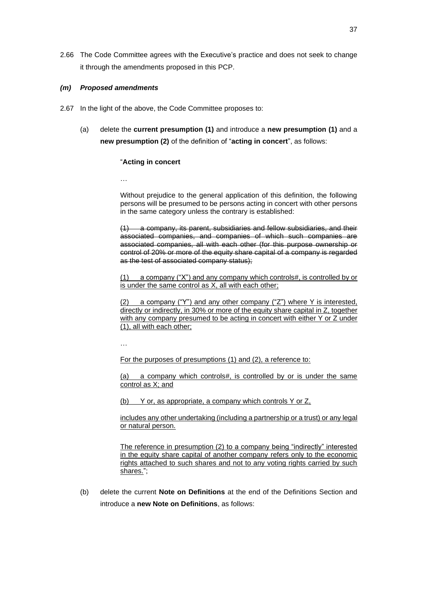2.66 The Code Committee agrees with the Executive's practice and does not seek to change it through the amendments proposed in this PCP.

#### *(m) Proposed amendments*

- 2.67 In the light of the above, the Code Committee proposes to:
	- (a) delete the **current presumption (1)** and introduce a **new presumption (1)** and a **new presumption (2)** of the definition of "**acting in concert**", as follows:

#### "**Acting in concert**

…

Without prejudice to the general application of this definition, the following persons will be presumed to be persons acting in concert with other persons in the same category unless the contrary is established:

(1) a company, its parent, subsidiaries and fellow subsidiaries, and their associated companies, and companies of which such companies are associated companies, all with each other (for this purpose ownership or control of 20% or more of the equity share capital of a company is regarded as the test of associated company status);

(1) a company ("X") and any company which controls#, is controlled by or is under the same control as X, all with each other;

(2) a company ("Y") and any other company ("Z") where Y is interested, directly or indirectly, in 30% or more of the equity share capital in Z, together with any company presumed to be acting in concert with either Y or Z under (1), all with each other;

…

For the purposes of presumptions (1) and (2), a reference to:

(a) a company which controls#, is controlled by or is under the same control as X; and

(b) Y or, as appropriate, a company which controls Y or Z,

includes any other undertaking (including a partnership or a trust) or any legal or natural person.

The reference in presumption (2) to a company being "indirectly" interested in the equity share capital of another company refers only to the economic rights attached to such shares and not to any voting rights carried by such shares.";

(b) delete the current **Note on Definitions** at the end of the Definitions Section and introduce a **new Note on Definitions**, as follows: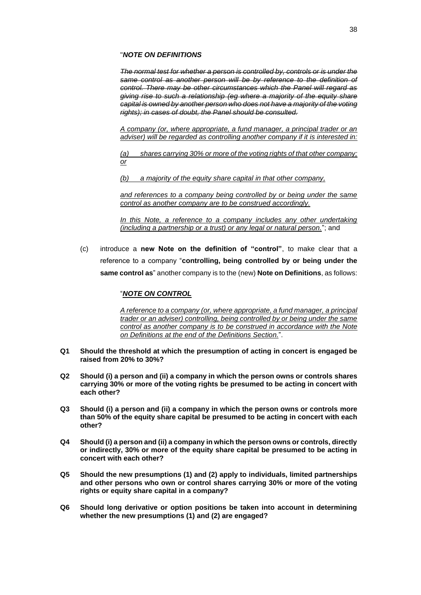#### "*NOTE ON DEFINITIONS*

*The normal test for whether a person is controlled by, controls or is under the same control as another person will be by reference to the definition of control. There may be other circumstances which the Panel will regard as giving rise to such a relationship (eg where a majority of the equity share capital is owned by another person who does not have a majority of the voting rights); in cases of doubt, the Panel should be consulted.*

*A company (or, where appropriate, a fund manager, a principal trader or an adviser) will be regarded as controlling another company if it is interested in:*

*(a) shares carrying 30% or more of the voting rights of that other company; or*

*(b) a majority of the equity share capital in that other company,*

*and references to a company being controlled by or being under the same control as another company are to be construed accordingly.*

*In this Note, a reference to a company includes any other undertaking (including a partnership or a trust) or any legal or natural person.*"; and

(c) introduce a **new Note on the definition of "control"**, to make clear that a reference to a company "**controlling, being controlled by or being under the same control as**" another company is to the (new) **Note on Definitions**, as follows:

## "*NOTE ON CONTROL*

*A reference to a company (or, where appropriate, a fund manager, a principal trader or an adviser) controlling, being controlled by or being under the same control as another company is to be construed in accordance with the Note on Definitions at the end of the Definitions Section.*".

- **Q1 Should the threshold at which the presumption of acting in concert is engaged be raised from 20% to 30%?**
- **Q2 Should (i) a person and (ii) a company in which the person owns or controls shares carrying 30% or more of the voting rights be presumed to be acting in concert with each other?**
- **Q3 Should (i) a person and (ii) a company in which the person owns or controls more than 50% of the equity share capital be presumed to be acting in concert with each other?**
- **Q4 Should (i) a person and (ii) a company in which the person owns or controls, directly or indirectly, 30% or more of the equity share capital be presumed to be acting in concert with each other?**
- **Q5 Should the new presumptions (1) and (2) apply to individuals, limited partnerships and other persons who own or control shares carrying 30% or more of the voting rights or equity share capital in a company?**
- **Q6 Should long derivative or option positions be taken into account in determining whether the new presumptions (1) and (2) are engaged?**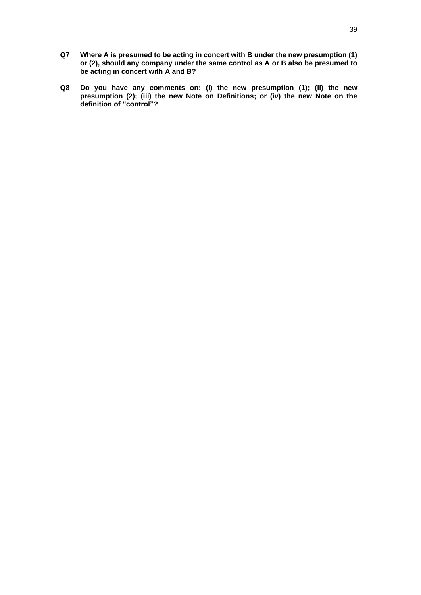- **Q7 Where A is presumed to be acting in concert with B under the new presumption (1) or (2), should any company under the same control as A or B also be presumed to be acting in concert with A and B?**
- **Q8 Do you have any comments on: (i) the new presumption (1); (ii) the new presumption (2); (iii) the new Note on Definitions; or (iv) the new Note on the definition of "control"?**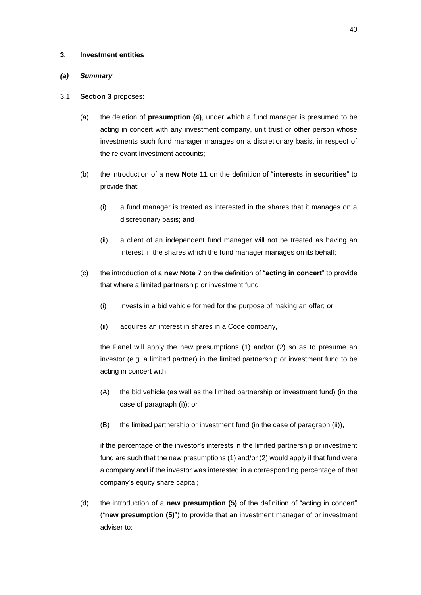#### **3. Investment entities**

# *(a) Summary*

#### 3.1 **Section 3** proposes:

- (a) the deletion of **presumption (4)**, under which a fund manager is presumed to be acting in concert with any investment company, unit trust or other person whose investments such fund manager manages on a discretionary basis, in respect of the relevant investment accounts;
- (b) the introduction of a **new Note 11** on the definition of "**interests in securities**" to provide that:
	- (i) a fund manager is treated as interested in the shares that it manages on a discretionary basis; and
	- (ii) a client of an independent fund manager will not be treated as having an interest in the shares which the fund manager manages on its behalf;
- (c) the introduction of a **new Note 7** on the definition of "**acting in concert**" to provide that where a limited partnership or investment fund:
	- (i) invests in a bid vehicle formed for the purpose of making an offer; or
	- (ii) acquires an interest in shares in a Code company,

the Panel will apply the new presumptions (1) and/or (2) so as to presume an investor (e.g. a limited partner) in the limited partnership or investment fund to be acting in concert with:

- (A) the bid vehicle (as well as the limited partnership or investment fund) (in the case of paragraph (i)); or
- (B) the limited partnership or investment fund (in the case of paragraph (ii)),

if the percentage of the investor's interests in the limited partnership or investment fund are such that the new presumptions (1) and/or (2) would apply if that fund were a company and if the investor was interested in a corresponding percentage of that company's equity share capital;

(d) the introduction of a **new presumption (5)** of the definition of "acting in concert" ("**new presumption (5)**") to provide that an investment manager of or investment adviser to: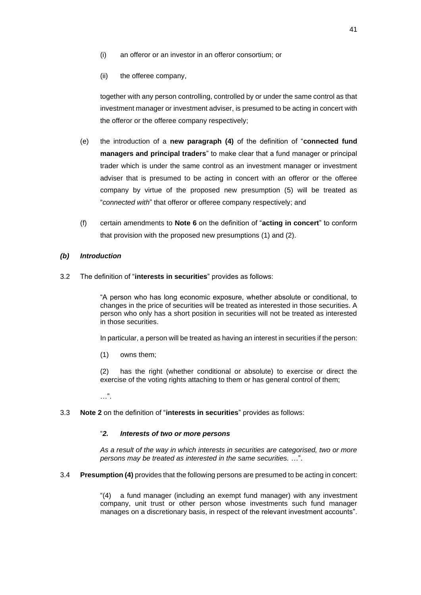- (i) an offeror or an investor in an offeror consortium; or
- (ii) the offeree company,

together with any person controlling, controlled by or under the same control as that investment manager or investment adviser, is presumed to be acting in concert with the offeror or the offeree company respectively;

- (e) the introduction of a **new paragraph (4)** of the definition of "**connected fund managers and principal traders**" to make clear that a fund manager or principal trader which is under the same control as an investment manager or investment adviser that is presumed to be acting in concert with an offeror or the offeree company by virtue of the proposed new presumption (5) will be treated as "*connected with*" that offeror or offeree company respectively; and
- (f) certain amendments to **Note 6** on the definition of "**acting in concert**" to conform that provision with the proposed new presumptions (1) and (2).

# *(b) Introduction*

3.2 The definition of "**interests in securities**" provides as follows:

"A person who has long economic exposure, whether absolute or conditional, to changes in the price of securities will be treated as interested in those securities. A person who only has a short position in securities will not be treated as interested in those securities.

In particular, a person will be treated as having an interest in securities if the person:

(1) owns them;

(2) has the right (whether conditional or absolute) to exercise or direct the exercise of the voting rights attaching to them or has general control of them;

…".

3.3 **Note 2** on the definition of "**interests in securities**" provides as follows:

## "*2. Interests of two or more persons*

*As a result of the way in which interests in securities are categorised, two or more persons may be treated as interested in the same securities.* …".

3.4 **Presumption (4)** provides that the following persons are presumed to be acting in concert:

"(4) a fund manager (including an exempt fund manager) with any investment company, unit trust or other person whose investments such fund manager manages on a discretionary basis, in respect of the relevant investment accounts".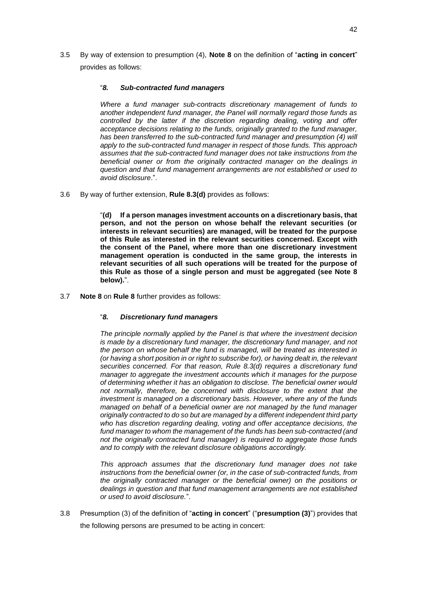3.5 By way of extension to presumption (4), **Note 8** on the definition of "**acting in concert**" provides as follows:

## "*8. Sub-contracted fund managers*

*Where a fund manager sub-contracts discretionary management of funds to another independent fund manager, the Panel will normally regard those funds as controlled by the latter if the discretion regarding dealing, voting and offer acceptance decisions relating to the funds, originally granted to the fund manager, has been transferred to the sub-contracted fund manager and presumption (4) will apply to the sub-contracted fund manager in respect of those funds. This approach assumes that the sub-contracted fund manager does not take instructions from the beneficial owner or from the originally contracted manager on the dealings in question and that fund management arrangements are not established or used to avoid disclosure*.".

3.6 By way of further extension, **Rule 8.3(d)** provides as follows:

"**(d) If a person manages investment accounts on a discretionary basis, that person, and not the person on whose behalf the relevant securities (or interests in relevant securities) are managed, will be treated for the purpose of this Rule as interested in the relevant securities concerned. Except with the consent of the Panel, where more than one discretionary investment management operation is conducted in the same group, the interests in relevant securities of all such operations will be treated for the purpose of this Rule as those of a single person and must be aggregated (see Note 8 below).**".

3.7 **Note 8** on **Rule 8** further provides as follows:

# "*8. Discretionary fund managers*

*The principle normally applied by the Panel is that where the investment decision is made by a discretionary fund manager, the discretionary fund manager, and not the person on whose behalf the fund is managed, will be treated as interested in (or having a short position in or right to subscribe for), or having dealt in, the relevant securities concerned. For that reason, Rule 8.3(d) requires a discretionary fund manager to aggregate the investment accounts which it manages for the purpose of determining whether it has an obligation to disclose. The beneficial owner would not normally, therefore, be concerned with disclosure to the extent that the investment is managed on a discretionary basis. However, where any of the funds managed on behalf of a beneficial owner are not managed by the fund manager originally contracted to do so but are managed by a different independent third party who has discretion regarding dealing, voting and offer acceptance decisions, the fund manager to whom the management of the funds has been sub-contracted (and not the originally contracted fund manager) is required to aggregate those funds and to comply with the relevant disclosure obligations accordingly.*

*This approach assumes that the discretionary fund manager does not take instructions from the beneficial owner (or, in the case of sub-contracted funds, from the originally contracted manager or the beneficial owner) on the positions or dealings in question and that fund management arrangements are not established or used to avoid disclosure.*".

3.8 Presumption (3) of the definition of "**acting in concert**" ("**presumption (3)**") provides that the following persons are presumed to be acting in concert: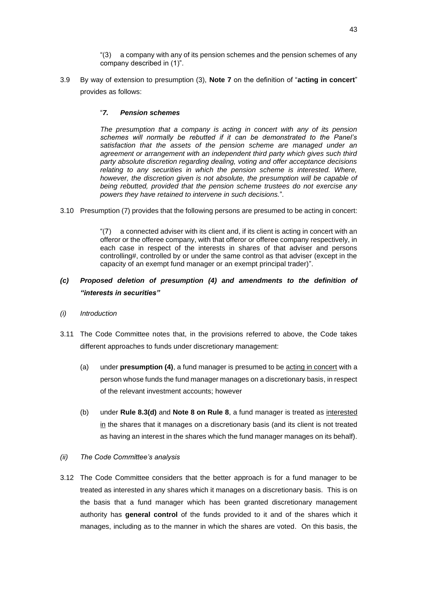"(3) a company with any of its pension schemes and the pension schemes of any company described in (1)".

3.9 By way of extension to presumption (3), **Note 7** on the definition of "**acting in concert**" provides as follows:

## "*7. Pension schemes*

*The presumption that a company is acting in concert with any of its pension schemes will normally be rebutted if it can be demonstrated to the Panel's satisfaction that the assets of the pension scheme are managed under an agreement or arrangement with an independent third party which gives such third party absolute discretion regarding dealing, voting and offer acceptance decisions relating to any securities in which the pension scheme is interested. Where, however, the discretion given is not absolute, the presumption will be capable of being rebutted, provided that the pension scheme trustees do not exercise any powers they have retained to intervene in such decisions.*"*.*

3.10 Presumption (7) provides that the following persons are presumed to be acting in concert:

"(7) a connected adviser with its client and, if its client is acting in concert with an offeror or the offeree company, with that offeror or offeree company respectively, in each case in respect of the interests in shares of that adviser and persons controlling#, controlled by or under the same control as that adviser (except in the capacity of an exempt fund manager or an exempt principal trader)".

# *(c) Proposed deletion of presumption (4) and amendments to the definition of "interests in securities"*

- *(i) Introduction*
- 3.11 The Code Committee notes that, in the provisions referred to above, the Code takes different approaches to funds under discretionary management:
	- (a) under **presumption (4)**, a fund manager is presumed to be acting in concert with a person whose funds the fund manager manages on a discretionary basis, in respect of the relevant investment accounts; however
	- (b) under **Rule 8.3(d)** and **Note 8 on Rule 8**, a fund manager is treated as interested in the shares that it manages on a discretionary basis (and its client is not treated as having an interest in the shares which the fund manager manages on its behalf).
- *(ii) The Code Committee's analysis*
- 3.12 The Code Committee considers that the better approach is for a fund manager to be treated as interested in any shares which it manages on a discretionary basis. This is on the basis that a fund manager which has been granted discretionary management authority has **general control** of the funds provided to it and of the shares which it manages, including as to the manner in which the shares are voted. On this basis, the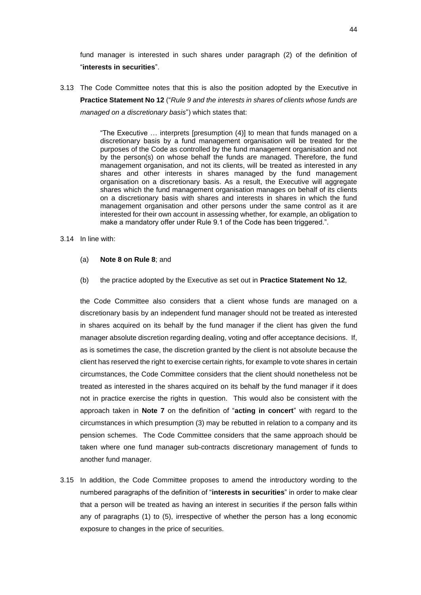fund manager is interested in such shares under paragraph (2) of the definition of "**interests in securities**".

3.13 The Code Committee notes that this is also the position adopted by the Executive in **Practice Statement No 12** ("*Rule 9 and the interests in shares of clients whose funds are managed on a discretionary basis*") which states that:

> "The Executive … interprets [presumption (4)] to mean that funds managed on a discretionary basis by a fund management organisation will be treated for the purposes of the Code as controlled by the fund management organisation and not by the person(s) on whose behalf the funds are managed. Therefore, the fund management organisation, and not its clients, will be treated as interested in any shares and other interests in shares managed by the fund management organisation on a discretionary basis. As a result, the Executive will aggregate shares which the fund management organisation manages on behalf of its clients on a discretionary basis with shares and interests in shares in which the fund management organisation and other persons under the same control as it are interested for their own account in assessing whether, for example, an obligation to make a mandatory offer under Rule 9.1 of the Code has been triggered.".

#### 3.14 In line with:

- (a) **Note 8 on Rule 8**; and
- (b) the practice adopted by the Executive as set out in **Practice Statement No 12**,

the Code Committee also considers that a client whose funds are managed on a discretionary basis by an independent fund manager should not be treated as interested in shares acquired on its behalf by the fund manager if the client has given the fund manager absolute discretion regarding dealing, voting and offer acceptance decisions. If, as is sometimes the case, the discretion granted by the client is not absolute because the client has reserved the right to exercise certain rights, for example to vote shares in certain circumstances, the Code Committee considers that the client should nonetheless not be treated as interested in the shares acquired on its behalf by the fund manager if it does not in practice exercise the rights in question. This would also be consistent with the approach taken in **Note 7** on the definition of "**acting in concert**" with regard to the circumstances in which presumption (3) may be rebutted in relation to a company and its pension schemes. The Code Committee considers that the same approach should be taken where one fund manager sub-contracts discretionary management of funds to another fund manager.

3.15 In addition, the Code Committee proposes to amend the introductory wording to the numbered paragraphs of the definition of "**interests in securities**" in order to make clear that a person will be treated as having an interest in securities if the person falls within any of paragraphs (1) to (5), irrespective of whether the person has a long economic exposure to changes in the price of securities.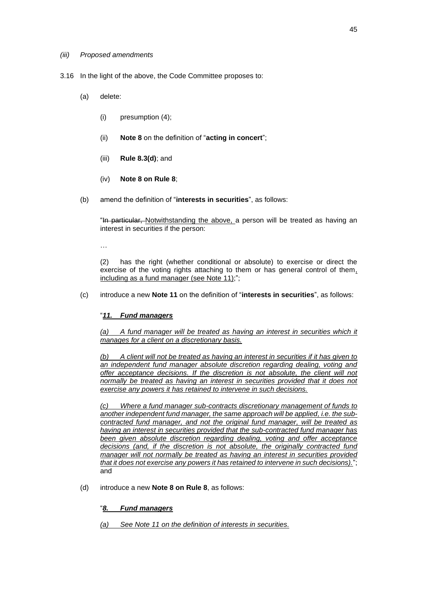#### *(iii) Proposed amendments*

- 3.16 In the light of the above, the Code Committee proposes to:
	- (a) delete:
		- (i) presumption (4);
		- (ii) **Note 8** on the definition of "**acting in concert**";
		- (iii) **Rule 8.3(d)**; and
		- (iv) **Note 8 on Rule 8**;
	- (b) amend the definition of "**interests in securities**", as follows:

"In particular, Notwithstanding the above, a person will be treated as having an interest in securities if the person:

…

(2) has the right (whether conditional or absolute) to exercise or direct the exercise of the voting rights attaching to them or has general control of them, including as a fund manager (see Note 11);";

(c) introduce a new **Note 11** on the definition of "**interests in securities**", as follows:

# "*11. Fund managers*

*(a) A fund manager will be treated as having an interest in securities which it manages for a client on a discretionary basis.*

*(b) A client will not be treated as having an interest in securities if it has given to an independent fund manager absolute discretion regarding dealing, voting and offer acceptance decisions. If the discretion is not absolute, the client will not normally be treated as having an interest in securities provided that it does not exercise any powers it has retained to intervene in such decisions.*

*(c) Where a fund manager sub-contracts discretionary management of funds to another independent fund manager, the same approach will be applied, i.e. the subcontracted fund manager, and not the original fund manager, will be treated as having an interest in securities provided that the sub-contracted fund manager has been given absolute discretion regarding dealing, voting and offer acceptance decisions (and, if the discretion is not absolute, the originally contracted fund manager will not normally be treated as having an interest in securities provided that it does not exercise any powers it has retained to intervene in such decisions).*"; and

(d) introduce a new **Note 8 on Rule 8**, as follows:

# "*8. Fund managers*

*(a) See Note 11 on the definition of interests in securities.*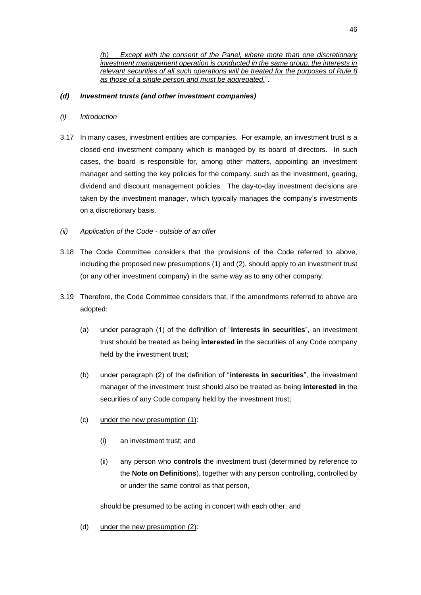Except with the consent of the Panel, where more than one discretionary *investment management operation is conducted in the same group, the interests in relevant securities of all such operations will be treated for the purposes of Rule 8 as those of a single person and must be aggregated.*".

## *(d) Investment trusts (and other investment companies)*

- *(i) Introduction*
- 3.17 In many cases, investment entities are companies. For example, an investment trust is a closed-end investment company which is managed by its board of directors. In such cases, the board is responsible for, among other matters, appointing an investment manager and setting the key policies for the company, such as the investment, gearing, dividend and discount management policies. The day-to-day investment decisions are taken by the investment manager, which typically manages the company's investments on a discretionary basis.
- *(ii) Application of the Code - outside of an offer*
- 3.18 The Code Committee considers that the provisions of the Code referred to above, including the proposed new presumptions (1) and (2), should apply to an investment trust (or any other investment company) in the same way as to any other company.
- 3.19 Therefore, the Code Committee considers that, if the amendments referred to above are adopted:
	- (a) under paragraph (1) of the definition of "**interests in securities**", an investment trust should be treated as being **interested in** the securities of any Code company held by the investment trust;
	- (b) under paragraph (2) of the definition of "**interests in securities**", the investment manager of the investment trust should also be treated as being **interested in** the securities of any Code company held by the investment trust;
	- (c) under the new presumption (1):
		- (i) an investment trust; and
		- (ii) any person who **controls** the investment trust (determined by reference to the **Note on Definitions**), together with any person controlling, controlled by or under the same control as that person,

should be presumed to be acting in concert with each other; and

(d) under the new presumption (2):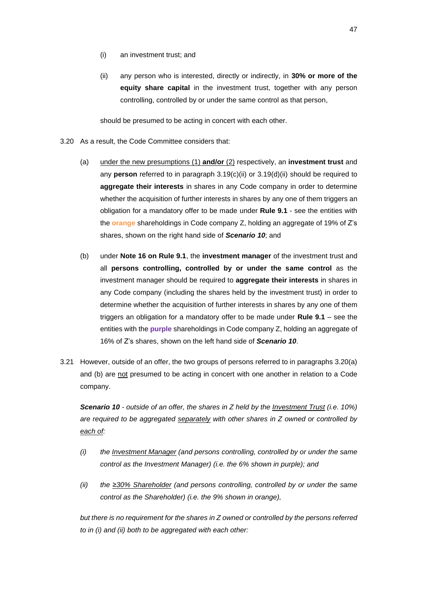- (i) an investment trust; and
- (ii) any person who is interested, directly or indirectly, in **30% or more of the equity share capital** in the investment trust, together with any person controlling, controlled by or under the same control as that person,

should be presumed to be acting in concert with each other.

- 3.20 As a result, the Code Committee considers that:
	- (a) under the new presumptions (1) **and/or** (2) respectively, an **investment trust** and any **person** referred to in paragraph 3.19(c)(ii) or 3.19(d)(ii) should be required to **aggregate their interests** in shares in any Code company in order to determine whether the acquisition of further interests in shares by any one of them triggers an obligation for a mandatory offer to be made under **Rule 9.1** - see the entities with the **orange** shareholdings in Code company Z, holding an aggregate of 19% of Z's shares, shown on the right hand side of *Scenario 10*; and
	- (b) under **Note 16 on Rule 9.1**, the **investment manager** of the investment trust and all **persons controlling, controlled by or under the same control** as the investment manager should be required to **aggregate their interests** in shares in any Code company (including the shares held by the investment trust) in order to determine whether the acquisition of further interests in shares by any one of them triggers an obligation for a mandatory offer to be made under **Rule 9.1** – see the entities with the **purple** shareholdings in Code company Z, holding an aggregate of 16% of Z's shares, shown on the left hand side of *Scenario 10*.
- 3.21 However, outside of an offer, the two groups of persons referred to in paragraphs 3.20(a) and (b) are not presumed to be acting in concert with one another in relation to a Code company.

*Scenario 10 - outside of an offer, the shares in Z held by the Investment Trust (i.e. 10%) are required to be aggregated separately with other shares in Z owned or controlled by each of:*

- *(i) the Investment Manager (and persons controlling, controlled by or under the same control as the Investment Manager) (i.e. the 6% shown in purple); and*
- *(ii) the ≥30% Shareholder (and persons controlling, controlled by or under the same control as the Shareholder) (i.e. the 9% shown in orange),*

*but there is no requirement for the shares in Z owned or controlled by the persons referred to in (i) and (ii) both to be aggregated with each other:*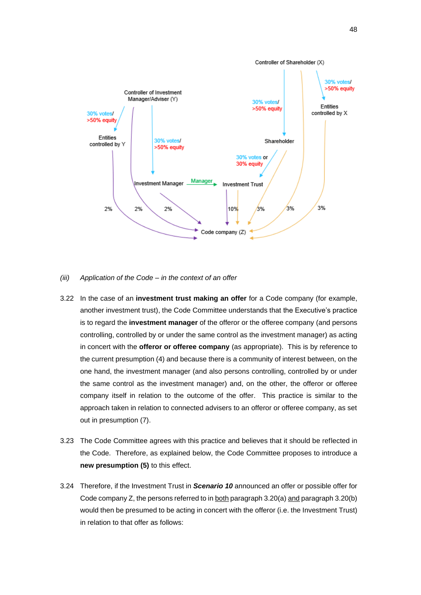

#### *(iii) Application of the Code – in the context of an offer*

- 3.22 In the case of an **investment trust making an offer** for a Code company (for example, another investment trust), the Code Committee understands that the Executive's practice is to regard the **investment manager** of the offeror or the offeree company (and persons controlling, controlled by or under the same control as the investment manager) as acting in concert with the **offeror or offeree company** (as appropriate). This is by reference to the current presumption (4) and because there is a community of interest between, on the one hand, the investment manager (and also persons controlling, controlled by or under the same control as the investment manager) and, on the other, the offeror or offeree company itself in relation to the outcome of the offer. This practice is similar to the approach taken in relation to connected advisers to an offeror or offeree company, as set out in presumption (7).
- 3.23 The Code Committee agrees with this practice and believes that it should be reflected in the Code. Therefore, as explained below, the Code Committee proposes to introduce a **new presumption (5)** to this effect.
- 3.24 Therefore, if the Investment Trust in *Scenario 10* announced an offer or possible offer for Code company Z, the persons referred to in both paragraph 3.20(a) and paragraph 3.20(b) would then be presumed to be acting in concert with the offeror (i.e. the Investment Trust) in relation to that offer as follows: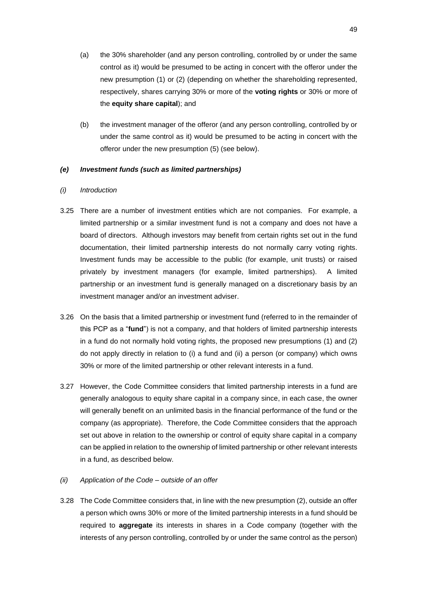- (a) the 30% shareholder (and any person controlling, controlled by or under the same control as it) would be presumed to be acting in concert with the offeror under the new presumption (1) or (2) (depending on whether the shareholding represented, respectively, shares carrying 30% or more of the **voting rights** or 30% or more of the **equity share capital**); and
- (b) the investment manager of the offeror (and any person controlling, controlled by or under the same control as it) would be presumed to be acting in concert with the offeror under the new presumption (5) (see below).

## *(e) Investment funds (such as limited partnerships)*

#### *(i) Introduction*

- 3.25 There are a number of investment entities which are not companies. For example, a limited partnership or a similar investment fund is not a company and does not have a board of directors. Although investors may benefit from certain rights set out in the fund documentation, their limited partnership interests do not normally carry voting rights. Investment funds may be accessible to the public (for example, unit trusts) or raised privately by investment managers (for example, limited partnerships). A limited partnership or an investment fund is generally managed on a discretionary basis by an investment manager and/or an investment adviser.
- 3.26 On the basis that a limited partnership or investment fund (referred to in the remainder of this PCP as a "**fund**") is not a company, and that holders of limited partnership interests in a fund do not normally hold voting rights, the proposed new presumptions (1) and (2) do not apply directly in relation to (i) a fund and (ii) a person (or company) which owns 30% or more of the limited partnership or other relevant interests in a fund.
- 3.27 However, the Code Committee considers that limited partnership interests in a fund are generally analogous to equity share capital in a company since, in each case, the owner will generally benefit on an unlimited basis in the financial performance of the fund or the company (as appropriate). Therefore, the Code Committee considers that the approach set out above in relation to the ownership or control of equity share capital in a company can be applied in relation to the ownership of limited partnership or other relevant interests in a fund, as described below.
- *(ii) Application of the Code – outside of an offer*
- 3.28 The Code Committee considers that, in line with the new presumption (2), outside an offer a person which owns 30% or more of the limited partnership interests in a fund should be required to **aggregate** its interests in shares in a Code company (together with the interests of any person controlling, controlled by or under the same control as the person)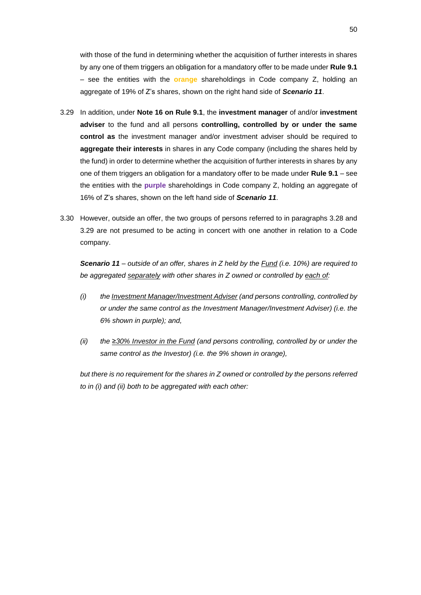with those of the fund in determining whether the acquisition of further interests in shares by any one of them triggers an obligation for a mandatory offer to be made under **Rule 9.1** – see the entities with the **orange** shareholdings in Code company Z, holding an aggregate of 19% of Z's shares, shown on the right hand side of *Scenario 11*.

- 3.29 In addition, under **Note 16 on Rule 9.1**, the **investment manager** of and/or **investment adviser** to the fund and all persons **controlling, controlled by or under the same control as** the investment manager and/or investment adviser should be required to **aggregate their interests** in shares in any Code company (including the shares held by the fund) in order to determine whether the acquisition of further interests in shares by any one of them triggers an obligation for a mandatory offer to be made under **Rule 9.1** – see the entities with the **purple** shareholdings in Code company Z, holding an aggregate of 16% of Z's shares, shown on the left hand side of *Scenario 11*.
- 3.30 However, outside an offer, the two groups of persons referred to in paragraphs 3.28 and 3.29 are not presumed to be acting in concert with one another in relation to a Code company.

*Scenario 11 – outside of an offer, shares in Z held by the Fund (i.e. 10%) are required to be aggregated separately with other shares in Z owned or controlled by each of:*

- *(i) the Investment Manager/Investment Adviser (and persons controlling, controlled by or under the same control as the Investment Manager/Investment Adviser) (i.e. the 6% shown in purple); and,*
- *(ii) the ≥30% Investor in the Fund (and persons controlling, controlled by or under the same control as the Investor) (i.e. the 9% shown in orange),*

*but there is no requirement for the shares in Z owned or controlled by the persons referred to in (i) and (ii) both to be aggregated with each other:*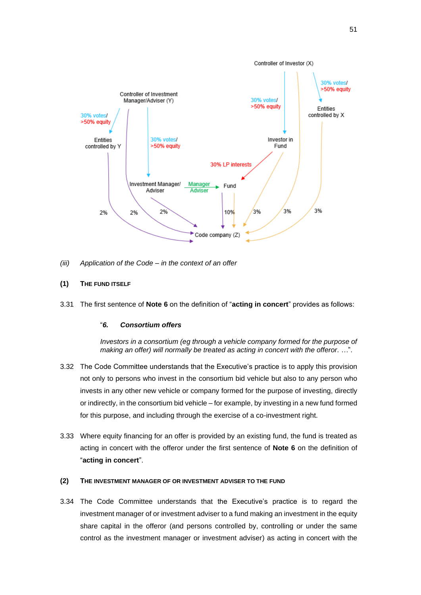

- *(iii) Application of the Code – in the context of an offer*
- **(1) THE FUND ITSELF**
- 3.31 The first sentence of **Note 6** on the definition of "**acting in concert**" provides as follows:

### "*6. Consortium offers*

*Investors in a consortium (eg through a vehicle company formed for the purpose of making an offer) will normally be treated as acting in concert with the offeror. …*".

- 3.32 The Code Committee understands that the Executive's practice is to apply this provision not only to persons who invest in the consortium bid vehicle but also to any person who invests in any other new vehicle or company formed for the purpose of investing, directly or indirectly, in the consortium bid vehicle – for example, by investing in a new fund formed for this purpose, and including through the exercise of a co-investment right.
- 3.33 Where equity financing for an offer is provided by an existing fund, the fund is treated as acting in concert with the offeror under the first sentence of **Note 6** on the definition of "**acting in concert**".

### **(2) THE INVESTMENT MANAGER OF OR INVESTMENT ADVISER TO THE FUND**

3.34 The Code Committee understands that the Executive's practice is to regard the investment manager of or investment adviser to a fund making an investment in the equity share capital in the offeror (and persons controlled by, controlling or under the same control as the investment manager or investment adviser) as acting in concert with the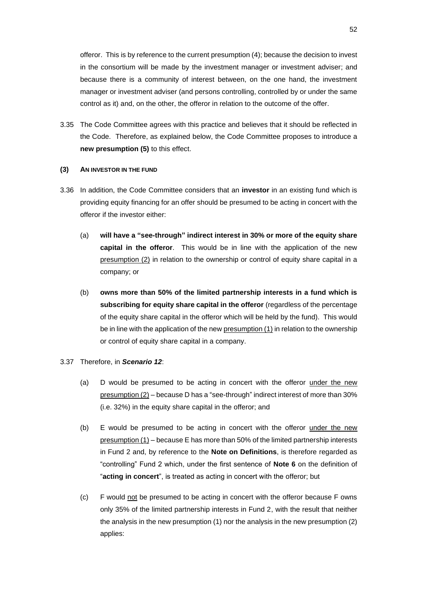offeror. This is by reference to the current presumption (4); because the decision to invest in the consortium will be made by the investment manager or investment adviser; and because there is a community of interest between, on the one hand, the investment manager or investment adviser (and persons controlling, controlled by or under the same control as it) and, on the other, the offeror in relation to the outcome of the offer.

3.35 The Code Committee agrees with this practice and believes that it should be reflected in the Code. Therefore, as explained below, the Code Committee proposes to introduce a **new presumption (5)** to this effect.

#### **(3) AN INVESTOR IN THE FUND**

- 3.36 In addition, the Code Committee considers that an **investor** in an existing fund which is providing equity financing for an offer should be presumed to be acting in concert with the offeror if the investor either:
	- (a) **will have a "see-through" indirect interest in 30% or more of the equity share capital in the offeror**. This would be in line with the application of the new presumption (2) in relation to the ownership or control of equity share capital in a company; or
	- (b) **owns more than 50% of the limited partnership interests in a fund which is subscribing for equity share capital in the offeror** (regardless of the percentage of the equity share capital in the offeror which will be held by the fund). This would be in line with the application of the new presumption (1) in relation to the ownership or control of equity share capital in a company.

# 3.37 Therefore, in *Scenario 12*:

- (a) D would be presumed to be acting in concert with the offeror under the new presumption (2) – because D has a "see-through" indirect interest of more than 30% (i.e. 32%) in the equity share capital in the offeror; and
- (b) E would be presumed to be acting in concert with the offeror under the new presumption (1) – because E has more than 50% of the limited partnership interests in Fund 2 and, by reference to the **Note on Definitions**, is therefore regarded as "controlling" Fund 2 which, under the first sentence of **Note 6** on the definition of "**acting in concert**", is treated as acting in concert with the offeror; but
- (c) F would not be presumed to be acting in concert with the offeror because F owns only 35% of the limited partnership interests in Fund 2, with the result that neither the analysis in the new presumption (1) nor the analysis in the new presumption (2) applies: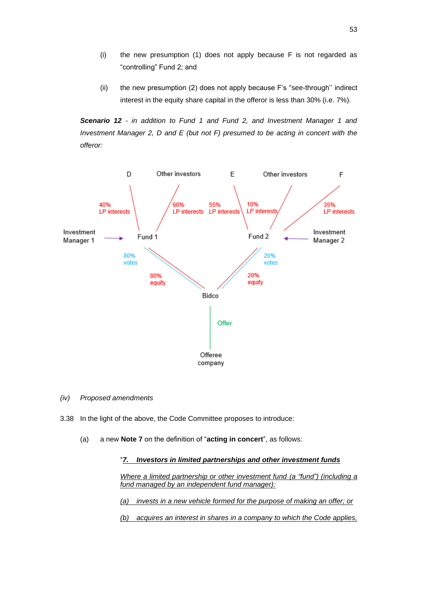- (i) the new presumption (1) does not apply because F is not regarded as "controlling" Fund 2; and
- (ii) the new presumption (2) does not apply because F's "see-through'' indirect interest in the equity share capital in the offeror is less than 30% (i.e. 7%).

*Scenario 12 - in addition to Fund 1 and Fund 2, and Investment Manager 1 and Investment Manager 2, D and E (but not F) presumed to be acting in concert with the offeror:*



- *(iv) Proposed amendments*
- 3.38 In the light of the above, the Code Committee proposes to introduce:
	- (a) a new **Note 7** on the definition of "**acting in concert**", as follows:

#### "*7. Investors in limited partnerships and other investment funds*

*Where a limited partnership or other investment fund (a "fund") (including a fund managed by an independent fund manager):*

*(a) invests in a new vehicle formed for the purpose of making an offer; or*

*(b) acquires an interest in shares in a company to which the Code applies,*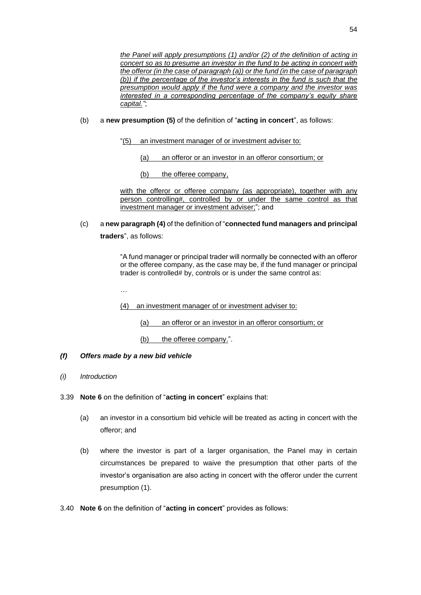*the Panel will apply presumptions (1) and/or (2) of the definition of acting in concert so as to presume an investor in the fund to be acting in concert with the offeror (in the case of paragraph (a)) or the fund (in the case of paragraph (b)) if the percentage of the investor's interests in the fund is such that the presumption would apply if the fund were a company and the investor was interested in a corresponding percentage of the company's equity share capital."*;

- (b) a **new presumption (5)** of the definition of "**acting in concert**", as follows:
	- "(5) an investment manager of or investment adviser to:
		- (a) an offeror or an investor in an offeror consortium; or
		- (b) the offeree company,

with the offeror or offeree company (as appropriate), together with any person controlling#, controlled by or under the same control as that investment manager or investment adviser;"; and

(c) a **new paragraph (4)** of the definition of "**connected fund managers and principal traders**", as follows:

> "A fund manager or principal trader will normally be connected with an offeror or the offeree company, as the case may be, if the fund manager or principal trader is controlled# by, controls or is under the same control as:

…

- (4) an investment manager of or investment adviser to:
	- (a) an offeror or an investor in an offeror consortium; or
	- (b) the offeree company.".

# *(f) Offers made by a new bid vehicle*

- *(i) Introduction*
- 3.39 **Note 6** on the definition of "**acting in concert**" explains that:
	- (a) an investor in a consortium bid vehicle will be treated as acting in concert with the offeror; and
	- (b) where the investor is part of a larger organisation, the Panel may in certain circumstances be prepared to waive the presumption that other parts of the investor's organisation are also acting in concert with the offeror under the current presumption (1).
- 3.40 **Note 6** on the definition of "**acting in concert**" provides as follows: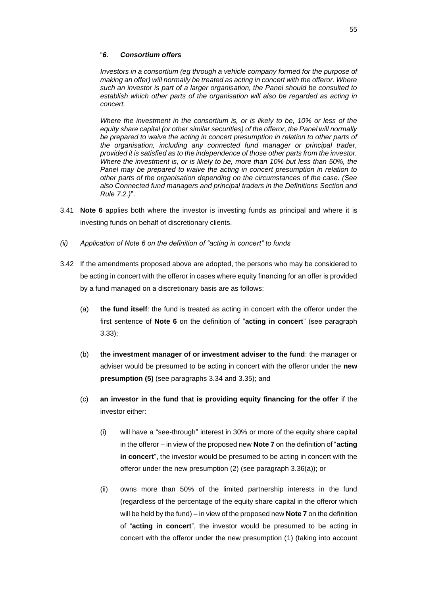#### "*6. Consortium offers*

*Investors in a consortium (eg through a vehicle company formed for the purpose of making an offer) will normally be treated as acting in concert with the offeror. Where such an investor is part of a larger organisation, the Panel should be consulted to establish which other parts of the organisation will also be regarded as acting in concert.* 

*Where the investment in the consortium is, or is likely to be, 10% or less of the equity share capital (or other similar securities) of the offeror, the Panel will normally*  be prepared to waive the acting in concert presumption in relation to other parts of *the organisation, including any connected fund manager or principal trader, provided it is satisfied as to the independence of those other parts from the investor. Where the investment is, or is likely to be, more than 10% but less than 50%, the Panel may be prepared to waive the acting in concert presumption in relation to other parts of the organisation depending on the circumstances of the case. (See also Connected fund managers and principal traders in the Definitions Section and Rule 7.2.)*".

- 3.41 **Note 6** applies both where the investor is investing funds as principal and where it is investing funds on behalf of discretionary clients.
- *(ii) Application of Note 6 on the definition of "acting in concert" to funds*
- 3.42 If the amendments proposed above are adopted, the persons who may be considered to be acting in concert with the offeror in cases where equity financing for an offer is provided by a fund managed on a discretionary basis are as follows:
	- (a) **the fund itself**: the fund is treated as acting in concert with the offeror under the first sentence of **Note 6** on the definition of "**acting in concert**" (see paragraph 3.33);
	- (b) **the investment manager of or investment adviser to the fund**: the manager or adviser would be presumed to be acting in concert with the offeror under the **new presumption (5)** (see paragraphs 3.34 and 3.35); and
	- (c) **an investor in the fund that is providing equity financing for the offer** if the investor either:
		- (i) will have a "see-through" interest in 30% or more of the equity share capital in the offeror – in view of the proposed new **Note 7** on the definition of "**acting in concert**", the investor would be presumed to be acting in concert with the offeror under the new presumption (2) (see paragraph 3.36(a)); or
		- (ii) owns more than 50% of the limited partnership interests in the fund (regardless of the percentage of the equity share capital in the offeror which will be held by the fund) – in view of the proposed new **Note 7** on the definition of "**acting in concert**", the investor would be presumed to be acting in concert with the offeror under the new presumption (1) (taking into account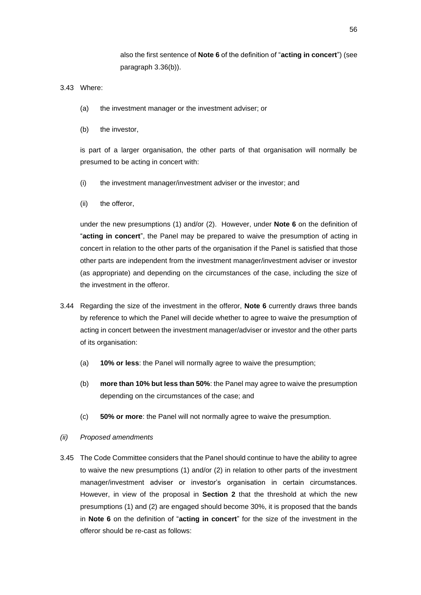also the first sentence of **Note 6** of the definition of "**acting in concert**") (see paragraph 3.36(b)).

### 3.43 Where:

- (a) the investment manager or the investment adviser; or
- (b) the investor,

is part of a larger organisation, the other parts of that organisation will normally be presumed to be acting in concert with:

- (i) the investment manager/investment adviser or the investor; and
- (ii) the offeror,

under the new presumptions (1) and/or (2). However, under **Note 6** on the definition of "**acting in concert**", the Panel may be prepared to waive the presumption of acting in concert in relation to the other parts of the organisation if the Panel is satisfied that those other parts are independent from the investment manager/investment adviser or investor (as appropriate) and depending on the circumstances of the case, including the size of the investment in the offeror.

- 3.44 Regarding the size of the investment in the offeror, **Note 6** currently draws three bands by reference to which the Panel will decide whether to agree to waive the presumption of acting in concert between the investment manager/adviser or investor and the other parts of its organisation:
	- (a) **10% or less**: the Panel will normally agree to waive the presumption;
	- (b) **more than 10% but less than 50%**: the Panel may agree to waive the presumption depending on the circumstances of the case; and
	- (c) **50% or more**: the Panel will not normally agree to waive the presumption.

#### *(ii) Proposed amendments*

3.45 The Code Committee considers that the Panel should continue to have the ability to agree to waive the new presumptions (1) and/or (2) in relation to other parts of the investment manager/investment adviser or investor's organisation in certain circumstances. However, in view of the proposal in **Section 2** that the threshold at which the new presumptions (1) and (2) are engaged should become 30%, it is proposed that the bands in **Note 6** on the definition of "**acting in concert**" for the size of the investment in the offeror should be re-cast as follows: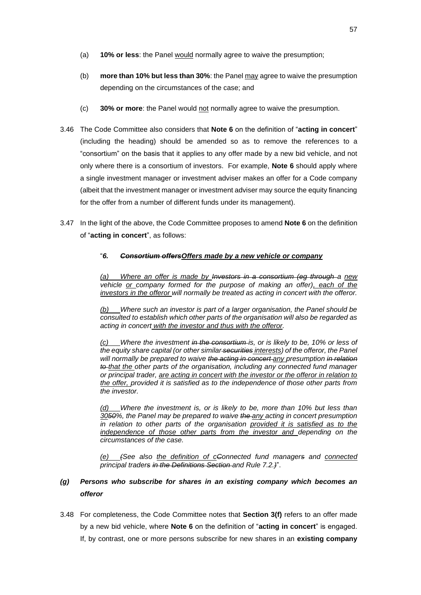- (a) **10% or less**: the Panel would normally agree to waive the presumption;
- (b) **more than 10% but less than 30%**: the Panel may agree to waive the presumption depending on the circumstances of the case; and
- (c) **30% or more**: the Panel would not normally agree to waive the presumption.
- 3.46 The Code Committee also considers that **Note 6** on the definition of "**acting in concert**" (including the heading) should be amended so as to remove the references to a "consortium" on the basis that it applies to any offer made by a new bid vehicle, and not only where there is a consortium of investors. For example, **Note 6** should apply where a single investment manager or investment adviser makes an offer for a Code company (albeit that the investment manager or investment adviser may source the equity financing for the offer from a number of different funds under its management).
- 3.47 In the light of the above, the Code Committee proposes to amend **Note 6** on the definition of "**acting in concert**", as follows:

## "*6. Consortium offersOffers made by a new vehicle or company*

*(a) Where an offer is made by Investors in a consortium (eg through a new vehicle or company formed for the purpose of making an offer), each of the investors in the offeror will normally be treated as acting in concert with the offeror.*

*(b) Where such an investor is part of a larger organisation, the Panel should be consulted to establish which other parts of the organisation will also be regarded as acting in concert with the investor and thus with the offeror.*

*(Where the investment in the consortium is, or is likely to be, 10% or less of the equity share capital (or other similar securities interests) of the offeror, the Panel*  will normally be prepared to waive the acting in concert any presumption in relation *to that the other parts of the organisation, including any connected fund manager or principal trader, are acting in concert with the investor or the offeror in relation to the offer, provided it is satisfied as to the independence of those other parts from the investor.*

*(d) Where the investment is, or is likely to be, more than 10% but less than 3050%, the Panel may be prepared to waive the any acting in concert presumption in relation to other parts of the organisation provided it is satisfied as to the independence of those other parts from the investor and depending on the circumstances of the case.*

*(e) (See also the definition of cConnected fund managers and connected principal traders in the Definitions Section and Rule 7.2.)*".

# *(g) Persons who subscribe for shares in an existing company which becomes an offeror*

3.48 For completeness, the Code Committee notes that **Section 3(f)** refers to an offer made by a new bid vehicle, where **Note 6** on the definition of "**acting in concert**" is engaged. If, by contrast, one or more persons subscribe for new shares in an **existing company**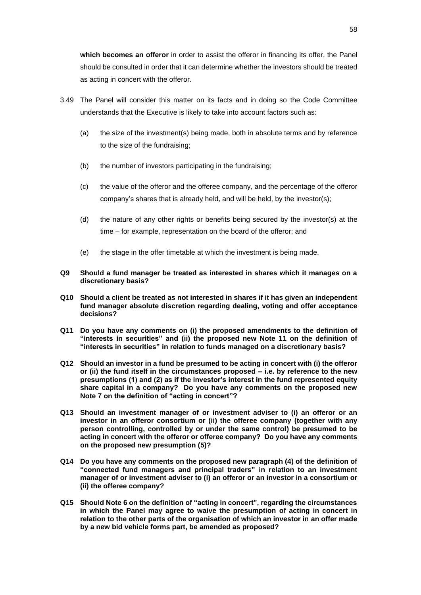**which becomes an offeror** in order to assist the offeror in financing its offer, the Panel should be consulted in order that it can determine whether the investors should be treated as acting in concert with the offeror.

- 3.49 The Panel will consider this matter on its facts and in doing so the Code Committee understands that the Executive is likely to take into account factors such as:
	- (a) the size of the investment(s) being made, both in absolute terms and by reference to the size of the fundraising;
	- (b) the number of investors participating in the fundraising;
	- (c) the value of the offeror and the offeree company, and the percentage of the offeror company's shares that is already held, and will be held, by the investor(s);
	- (d) the nature of any other rights or benefits being secured by the investor(s) at the time – for example, representation on the board of the offeror; and
	- (e) the stage in the offer timetable at which the investment is being made.
- **Q9 Should a fund manager be treated as interested in shares which it manages on a discretionary basis?**
- **Q10 Should a client be treated as not interested in shares if it has given an independent fund manager absolute discretion regarding dealing, voting and offer acceptance decisions?**
- **Q11 Do you have any comments on (i) the proposed amendments to the definition of "interests in securities" and (ii) the proposed new Note 11 on the definition of "interests in securities" in relation to funds managed on a discretionary basis?**
- **Q12 Should an investor in a fund be presumed to be acting in concert with (i) the offeror or (ii) the fund itself in the circumstances proposed – i.e. by reference to the new presumptions (1) and (2) as if the investor's interest in the fund represented equity share capital in a company? Do you have any comments on the proposed new Note 7 on the definition of "acting in concert"?**
- **Q13 Should an investment manager of or investment adviser to (i) an offeror or an investor in an offeror consortium or (ii) the offeree company (together with any person controlling, controlled by or under the same control) be presumed to be acting in concert with the offeror or offeree company? Do you have any comments on the proposed new presumption (5)?**
- **Q14 Do you have any comments on the proposed new paragraph (4) of the definition of "connected fund managers and principal traders" in relation to an investment manager of or investment adviser to (i) an offeror or an investor in a consortium or (ii) the offeree company?**
- **Q15 Should Note 6 on the definition of "acting in concert", regarding the circumstances in which the Panel may agree to waive the presumption of acting in concert in relation to the other parts of the organisation of which an investor in an offer made by a new bid vehicle forms part, be amended as proposed?**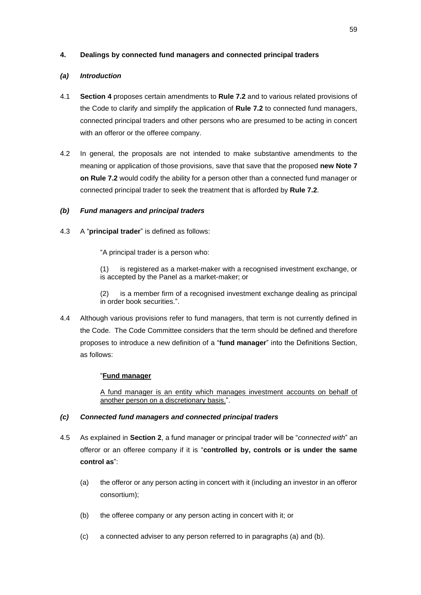# **4. Dealings by connected fund managers and connected principal traders**

# *(a) Introduction*

- 4.1 **Section 4** proposes certain amendments to **Rule 7.2** and to various related provisions of the Code to clarify and simplify the application of **Rule 7.2** to connected fund managers, connected principal traders and other persons who are presumed to be acting in concert with an offeror or the offeree company.
- 4.2 In general, the proposals are not intended to make substantive amendments to the meaning or application of those provisions, save that save that the proposed **new Note 7 on Rule 7.2** would codify the ability for a person other than a connected fund manager or connected principal trader to seek the treatment that is afforded by **Rule 7.2**.

# *(b) Fund managers and principal traders*

4.3 A "**principal trader**" is defined as follows:

"A principal trader is a person who:

(1) is registered as a market-maker with a recognised investment exchange, or is accepted by the Panel as a market-maker; or

(2) is a member firm of a recognised investment exchange dealing as principal in order book securities.".

4.4 Although various provisions refer to fund managers, that term is not currently defined in the Code. The Code Committee considers that the term should be defined and therefore proposes to introduce a new definition of a "**fund manager**" into the Definitions Section, as follows:

# "**Fund manager**

A fund manager is an entity which manages investment accounts on behalf of another person on a discretionary basis.".

# *(c) Connected fund managers and connected principal traders*

- 4.5 As explained in **Section 2**, a fund manager or principal trader will be "*connected with*" an offeror or an offeree company if it is "**controlled by, controls or is under the same control as**":
	- (a) the offeror or any person acting in concert with it (including an investor in an offeror consortium);
	- (b) the offeree company or any person acting in concert with it; or
	- (c) a connected adviser to any person referred to in paragraphs (a) and (b).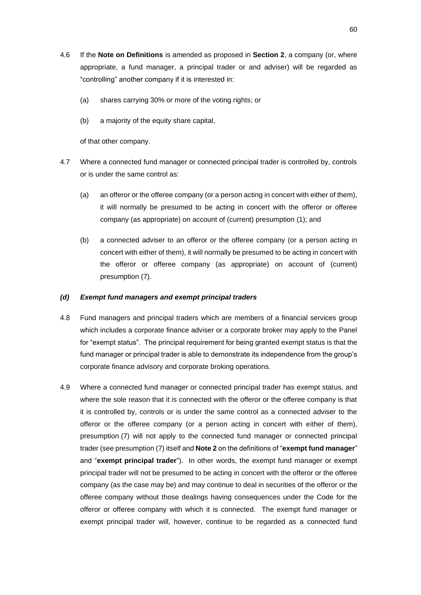- 4.6 If the **Note on Definitions** is amended as proposed in **Section 2**, a company (or, where appropriate, a fund manager, a principal trader or and adviser) will be regarded as "controlling" another company if it is interested in:
	- (a) shares carrying 30% or more of the voting rights; or
	- (b) a majority of the equity share capital,

of that other company.

- 4.7 Where a connected fund manager or connected principal trader is controlled by, controls or is under the same control as:
	- (a) an offeror or the offeree company (or a person acting in concert with either of them), it will normally be presumed to be acting in concert with the offeror or offeree company (as appropriate) on account of (current) presumption (1); and
	- (b) a connected adviser to an offeror or the offeree company (or a person acting in concert with either of them), it will normally be presumed to be acting in concert with the offeror or offeree company (as appropriate) on account of (current) presumption (7).

#### *(d) Exempt fund managers and exempt principal traders*

- 4.8 Fund managers and principal traders which are members of a financial services group which includes a corporate finance adviser or a corporate broker may apply to the Panel for "exempt status". The principal requirement for being granted exempt status is that the fund manager or principal trader is able to demonstrate its independence from the group's corporate finance advisory and corporate broking operations.
- 4.9 Where a connected fund manager or connected principal trader has exempt status, and where the sole reason that it is connected with the offeror or the offeree company is that it is controlled by, controls or is under the same control as a connected adviser to the offeror or the offeree company (or a person acting in concert with either of them), presumption (7) will not apply to the connected fund manager or connected principal trader (see presumption (7) itself and **Note 2** on the definitions of "**exempt fund manager**" and "**exempt principal trader**"). In other words, the exempt fund manager or exempt principal trader will not be presumed to be acting in concert with the offeror or the offeree company (as the case may be) and may continue to deal in securities of the offeror or the offeree company without those dealings having consequences under the Code for the offeror or offeree company with which it is connected. The exempt fund manager or exempt principal trader will, however, continue to be regarded as a connected fund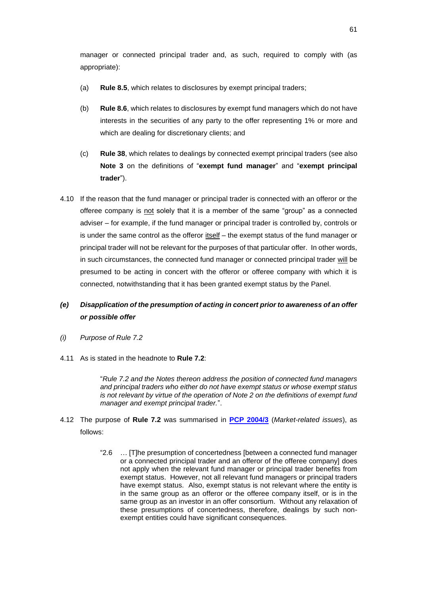manager or connected principal trader and, as such, required to comply with (as appropriate):

- (a) **Rule 8.5**, which relates to disclosures by exempt principal traders;
- (b) **Rule 8.6**, which relates to disclosures by exempt fund managers which do not have interests in the securities of any party to the offer representing 1% or more and which are dealing for discretionary clients; and
- (c) **Rule 38**, which relates to dealings by connected exempt principal traders (see also **Note 3** on the definitions of "**exempt fund manager**" and "**exempt principal trader**").
- 4.10 If the reason that the fund manager or principal trader is connected with an offeror or the offeree company is not solely that it is a member of the same "group" as a connected adviser – for example, if the fund manager or principal trader is controlled by, controls or is under the same control as the offeror  $itself - the example$ </u> principal trader will not be relevant for the purposes of that particular offer. In other words, in such circumstances, the connected fund manager or connected principal trader will be presumed to be acting in concert with the offeror or offeree company with which it is connected, notwithstanding that it has been granted exempt status by the Panel.

# *(e) Disapplication of the presumption of acting in concert prior to awareness of an offer or possible offer*

- *(i) Purpose of Rule 7.2*
- 4.11 As is stated in the headnote to **Rule 7.2**:

"*Rule 7.2 and the Notes thereon address the position of connected fund managers and principal traders who either do not have exempt status or whose exempt status is not relevant by virtue of the operation of Note 2 on the definitions of exempt fund manager and exempt principal trader.*".

- 4.12 The purpose of **Rule 7.2** was summarised in **[PCP 2004/3](https://www.thetakeoverpanel.org.uk/wp-content/uploads/2008/11/pcp200403.pdf)** (*Market-related issues*), as follows:
	- "2.6 … [T]he presumption of concertedness [between a connected fund manager or a connected principal trader and an offeror of the offeree company] does not apply when the relevant fund manager or principal trader benefits from exempt status. However, not all relevant fund managers or principal traders have exempt status. Also, exempt status is not relevant where the entity is in the same group as an offeror or the offeree company itself, or is in the same group as an investor in an offer consortium. Without any relaxation of these presumptions of concertedness, therefore, dealings by such nonexempt entities could have significant consequences.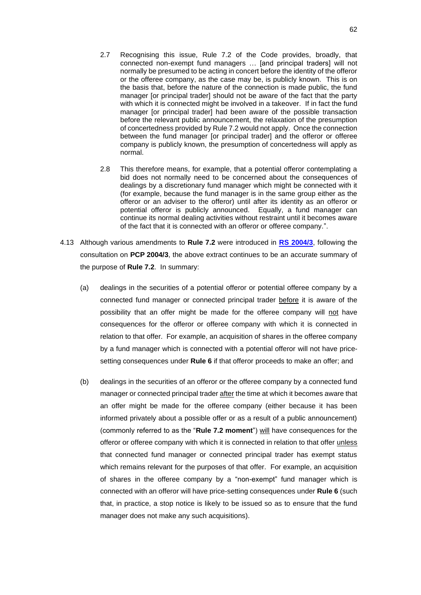- 2.7 Recognising this issue, Rule 7.2 of the Code provides, broadly, that connected non-exempt fund managers … [and principal traders] will not normally be presumed to be acting in concert before the identity of the offeror or the offeree company, as the case may be, is publicly known. This is on the basis that, before the nature of the connection is made public, the fund manager [or principal trader] should not be aware of the fact that the party with which it is connected might be involved in a takeover. If in fact the fund manager [or principal trader] had been aware of the possible transaction before the relevant public announcement, the relaxation of the presumption of concertedness provided by Rule 7.2 would not apply. Once the connection between the fund manager [or principal trader] and the offeror or offeree company is publicly known, the presumption of concertedness will apply as normal.
- 2.8 This therefore means, for example, that a potential offeror contemplating a bid does not normally need to be concerned about the consequences of dealings by a discretionary fund manager which might be connected with it (for example, because the fund manager is in the same group either as the offeror or an adviser to the offeror) until after its identity as an offeror or potential offeror is publicly announced. Equally, a fund manager can continue its normal dealing activities without restraint until it becomes aware of the fact that it is connected with an offeror or offeree company.".
- 4.13 Although various amendments to **Rule 7.2** were introduced in **[RS 2004/3](https://www.thetakeoverpanel.org.uk/wp-content/uploads/2008/11/rs200403.pdf)**, following the consultation on **PCP 2004/3**, the above extract continues to be an accurate summary of the purpose of **Rule 7.2**. In summary:
	- (a) dealings in the securities of a potential offeror or potential offeree company by a connected fund manager or connected principal trader before it is aware of the possibility that an offer might be made for the offeree company will not have consequences for the offeror or offeree company with which it is connected in relation to that offer. For example, an acquisition of shares in the offeree company by a fund manager which is connected with a potential offeror will not have pricesetting consequences under **Rule 6** if that offeror proceeds to make an offer; and
	- (b) dealings in the securities of an offeror or the offeree company by a connected fund manager or connected principal trader after the time at which it becomes aware that an offer might be made for the offeree company (either because it has been informed privately about a possible offer or as a result of a public announcement) (commonly referred to as the "**Rule 7.2 moment**") will have consequences for the offeror or offeree company with which it is connected in relation to that offer *unless* that connected fund manager or connected principal trader has exempt status which remains relevant for the purposes of that offer. For example, an acquisition of shares in the offeree company by a "non-exempt" fund manager which is connected with an offeror will have price-setting consequences under **Rule 6** (such that, in practice, a stop notice is likely to be issued so as to ensure that the fund manager does not make any such acquisitions).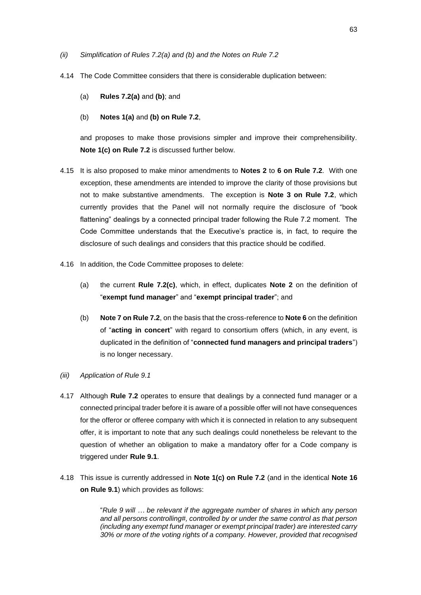- *(ii) Simplification of Rules 7.2(a) and (b) and the Notes on Rule 7.2*
- 4.14 The Code Committee considers that there is considerable duplication between:
	- (a) **Rules 7.2(a)** and **(b)**; and
	- (b) **Notes 1(a)** and **(b) on Rule 7.2**,

and proposes to make those provisions simpler and improve their comprehensibility. **Note 1(c) on Rule 7.2** is discussed further below.

- 4.15 It is also proposed to make minor amendments to **Notes 2** to **6 on Rule 7.2**. With one exception, these amendments are intended to improve the clarity of those provisions but not to make substantive amendments. The exception is **Note 3 on Rule 7.2**, which currently provides that the Panel will not normally require the disclosure of "book flattening" dealings by a connected principal trader following the Rule 7.2 moment. The Code Committee understands that the Executive's practice is, in fact, to require the disclosure of such dealings and considers that this practice should be codified.
- 4.16 In addition, the Code Committee proposes to delete:
	- (a) the current **Rule 7.2(c)**, which, in effect, duplicates **Note 2** on the definition of "**exempt fund manager**" and "**exempt principal trader**"; and
	- (b) **Note 7 on Rule 7.2**, on the basis that the cross-reference to **Note 6** on the definition of "**acting in concert**" with regard to consortium offers (which, in any event, is duplicated in the definition of "**connected fund managers and principal traders**") is no longer necessary.
- *(iii) Application of Rule 9.1*
- 4.17 Although **Rule 7.2** operates to ensure that dealings by a connected fund manager or a connected principal trader before it is aware of a possible offer will not have consequences for the offeror or offeree company with which it is connected in relation to any subsequent offer, it is important to note that any such dealings could nonetheless be relevant to the question of whether an obligation to make a mandatory offer for a Code company is triggered under **Rule 9.1**.
- 4.18 This issue is currently addressed in **Note 1(c) on Rule 7.2** (and in the identical **Note 16 on Rule 9.1**) which provides as follows:

"*Rule 9 will … be relevant if the aggregate number of shares in which any person and all persons controlling#, controlled by or under the same control as that person (including any exempt fund manager or exempt principal trader) are interested carry 30% or more of the voting rights of a company. However, provided that recognised*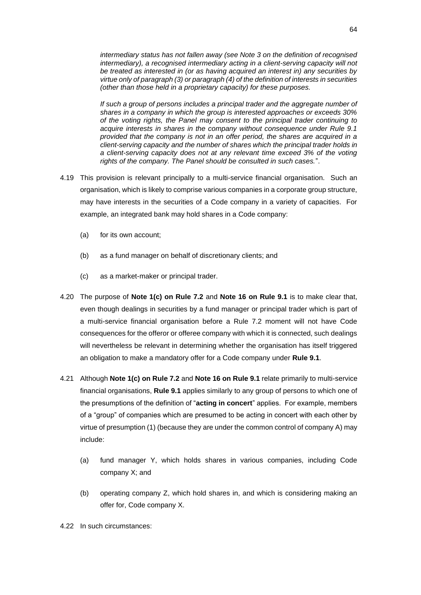*intermediary status has not fallen away (see Note 3 on the definition of recognised intermediary), a recognised intermediary acting in a client-serving capacity will not be treated as interested in (or as having acquired an interest in) any securities by virtue only of paragraph (3) or paragraph (4) of the definition of interests in securities (other than those held in a proprietary capacity) for these purposes.*

*If such a group of persons includes a principal trader and the aggregate number of shares in a company in which the group is interested approaches or exceeds 30% of the voting rights, the Panel may consent to the principal trader continuing to acquire interests in shares in the company without consequence under Rule 9.1 provided that the company is not in an offer period, the shares are acquired in a client-serving capacity and the number of shares which the principal trader holds in a client-serving capacity does not at any relevant time exceed 3% of the voting rights of the company. The Panel should be consulted in such cases.*".

- 4.19 This provision is relevant principally to a multi-service financial organisation. Such an organisation, which is likely to comprise various companies in a corporate group structure, may have interests in the securities of a Code company in a variety of capacities. For example, an integrated bank may hold shares in a Code company:
	- (a) for its own account;
	- (b) as a fund manager on behalf of discretionary clients; and
	- (c) as a market-maker or principal trader.
- 4.20 The purpose of **Note 1(c) on Rule 7.2** and **Note 16 on Rule 9.1** is to make clear that, even though dealings in securities by a fund manager or principal trader which is part of a multi-service financial organisation before a Rule 7.2 moment will not have Code consequences for the offeror or offeree company with which it is connected, such dealings will nevertheless be relevant in determining whether the organisation has itself triggered an obligation to make a mandatory offer for a Code company under **Rule 9.1**.
- 4.21 Although **Note 1(c) on Rule 7.2** and **Note 16 on Rule 9.1** relate primarily to multi-service financial organisations, **Rule 9.1** applies similarly to any group of persons to which one of the presumptions of the definition of "**acting in concert**" applies. For example, members of a "group" of companies which are presumed to be acting in concert with each other by virtue of presumption (1) (because they are under the common control of company A) may include:
	- (a) fund manager Y, which holds shares in various companies, including Code company X; and
	- (b) operating company Z, which hold shares in, and which is considering making an offer for, Code company X.
- 4.22 In such circumstances: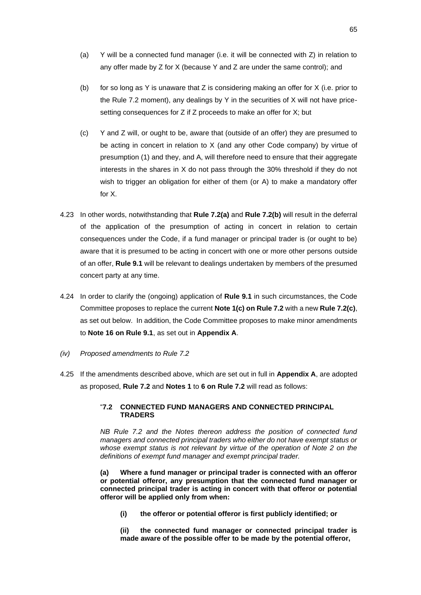- (a) Y will be a connected fund manager (i.e. it will be connected with Z) in relation to any offer made by Z for X (because Y and Z are under the same control); and
- (b) for so long as Y is unaware that Z is considering making an offer for X (i.e. prior to the Rule 7.2 moment), any dealings by Y in the securities of X will not have pricesetting consequences for Z if Z proceeds to make an offer for X; but
- (c) Y and Z will, or ought to be, aware that (outside of an offer) they are presumed to be acting in concert in relation to X (and any other Code company) by virtue of presumption (1) and they, and A, will therefore need to ensure that their aggregate interests in the shares in X do not pass through the 30% threshold if they do not wish to trigger an obligation for either of them (or A) to make a mandatory offer for X.
- 4.23 In other words, notwithstanding that **Rule 7.2(a)** and **Rule 7.2(b)** will result in the deferral of the application of the presumption of acting in concert in relation to certain consequences under the Code, if a fund manager or principal trader is (or ought to be) aware that it is presumed to be acting in concert with one or more other persons outside of an offer, **Rule 9.1** will be relevant to dealings undertaken by members of the presumed concert party at any time.
- 4.24 In order to clarify the (ongoing) application of **Rule 9.1** in such circumstances, the Code Committee proposes to replace the current **Note 1(c) on Rule 7.2** with a new **Rule 7.2(c)**, as set out below. In addition, the Code Committee proposes to make minor amendments to **Note 16 on Rule 9.1**, as set out in **Appendix A**.
- *(iv) Proposed amendments to Rule 7.2*
- 4.25 If the amendments described above, which are set out in full in **Appendix A**, are adopted as proposed, **Rule 7.2** and **Notes 1** to **6 on Rule 7.2** will read as follows:

## "**7.2 CONNECTED FUND MANAGERS AND CONNECTED PRINCIPAL TRADERS**

*NB Rule 7.2 and the Notes thereon address the position of connected fund managers and connected principal traders who either do not have exempt status or whose exempt status is not relevant by virtue of the operation of Note 2 on the definitions of exempt fund manager and exempt principal trader.*

**(a) Where a fund manager or principal trader is connected with an offeror or potential offeror, any presumption that the connected fund manager or connected principal trader is acting in concert with that offeror or potential offeror will be applied only from when:**

**(i) the offeror or potential offeror is first publicly identified; or**

**(ii) the connected fund manager or connected principal trader is made aware of the possible offer to be made by the potential offeror,**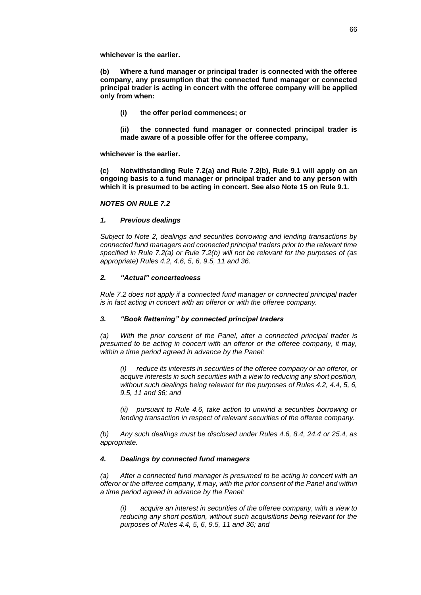**whichever is the earlier.**

**(b) Where a fund manager or principal trader is connected with the offeree company, any presumption that the connected fund manager or connected principal trader is acting in concert with the offeree company will be applied only from when:**

**(i) the offer period commences; or**

**(ii) the connected fund manager or connected principal trader is made aware of a possible offer for the offeree company,**

**whichever is the earlier.**

**(c) Notwithstanding Rule 7.2(a) and Rule 7.2(b), Rule 9.1 will apply on an ongoing basis to a fund manager or principal trader and to any person with which it is presumed to be acting in concert. See also Note 15 on Rule 9.1.**

## *NOTES ON RULE 7.2*

## *1. Previous dealings*

*Subject to Note 2, dealings and securities borrowing and lending transactions by connected fund managers and connected principal traders prior to the relevant time specified in Rule 7.2(a) or Rule 7.2(b) will not be relevant for the purposes of (as appropriate) Rules 4.2, 4.6, 5, 6, 9.5, 11 and 36.*

## *2. "Actual" concertedness*

*Rule 7.2 does not apply if a connected fund manager or connected principal trader is in fact acting in concert with an offeror or with the offeree company.*

# *3. "Book flattening" by connected principal traders*

*(a) With the prior consent of the Panel, after a connected principal trader is presumed to be acting in concert with an offeror or the offeree company, it may, within a time period agreed in advance by the Panel:*

*(i) reduce its interests in securities of the offeree company or an offeror, or acquire interests in such securities with a view to reducing any short position, without such dealings being relevant for the purposes of Rules 4.2, 4.4, 5, 6, 9.5, 11 and 36; and* 

*(ii) pursuant to Rule 4.6, take action to unwind a securities borrowing or lending transaction in respect of relevant securities of the offeree company.*

*(b) Any such dealings must be disclosed under Rules 4.6, 8.4, 24.4 or 25.4, as appropriate.*

# *4. Dealings by connected fund managers*

*(a) After a connected fund manager is presumed to be acting in concert with an offeror or the offeree company, it may, with the prior consent of the Panel and within a time period agreed in advance by the Panel:*

*(i) acquire an interest in securities of the offeree company, with a view to reducing any short position, without such acquisitions being relevant for the purposes of Rules 4.4, 5, 6, 9.5, 11 and 36; and*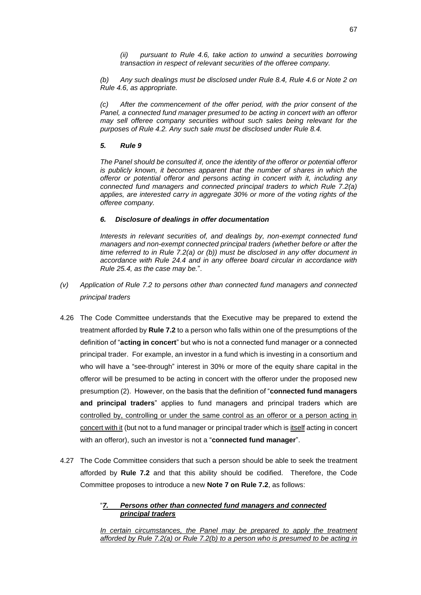*(ii) pursuant to Rule 4.6, take action to unwind a securities borrowing transaction in respect of relevant securities of the offeree company.*

*(b) Any such dealings must be disclosed under Rule 8.4, Rule 4.6 or Note 2 on Rule 4.6, as appropriate.*

*(c) After the commencement of the offer period, with the prior consent of the Panel, a connected fund manager presumed to be acting in concert with an offeror may sell offeree company securities without such sales being relevant for the purposes of Rule 4.2. Any such sale must be disclosed under Rule 8.4.*

# *5. Rule 9*

*The Panel should be consulted if, once the identity of the offeror or potential offeror is publicly known, it becomes apparent that the number of shares in which the offeror or potential offeror and persons acting in concert with it, including any connected fund managers and connected principal traders to which Rule 7.2(a) applies, are interested carry in aggregate 30% or more of the voting rights of the offeree company.*

# *6. Disclosure of dealings in offer documentation*

*Interests in relevant securities of, and dealings by, non-exempt connected fund managers and non-exempt connected principal traders (whether before or after the time referred to in Rule 7.2(a) or (b)) must be disclosed in any offer document in accordance with Rule 24.4 and in any offeree board circular in accordance with Rule 25.4, as the case may be.*".

- *(v) Application of Rule 7.2 to persons other than connected fund managers and connected principal traders*
- 4.26 The Code Committee understands that the Executive may be prepared to extend the treatment afforded by **Rule 7.2** to a person who falls within one of the presumptions of the definition of "**acting in concert**" but who is not a connected fund manager or a connected principal trader. For example, an investor in a fund which is investing in a consortium and who will have a "see-through" interest in 30% or more of the equity share capital in the offeror will be presumed to be acting in concert with the offeror under the proposed new presumption (2). However, on the basis that the definition of "**connected fund managers and principal traders**" applies to fund managers and principal traders which are controlled by, controlling or under the same control as an offeror or a person acting in concert with it (but not to a fund manager or principal trader which is itself acting in concert with an offeror), such an investor is not a "**connected fund manager**".
- 4.27 The Code Committee considers that such a person should be able to seek the treatment afforded by **Rule 7.2** and that this ability should be codified. Therefore, the Code Committee proposes to introduce a new **Note 7 on Rule 7.2**, as follows:

# "*7. Persons other than connected fund managers and connected principal traders*

*In certain circumstances, the Panel may be prepared to apply the treatment afforded by Rule 7.2(a) or Rule 7.2(b) to a person who is presumed to be acting in*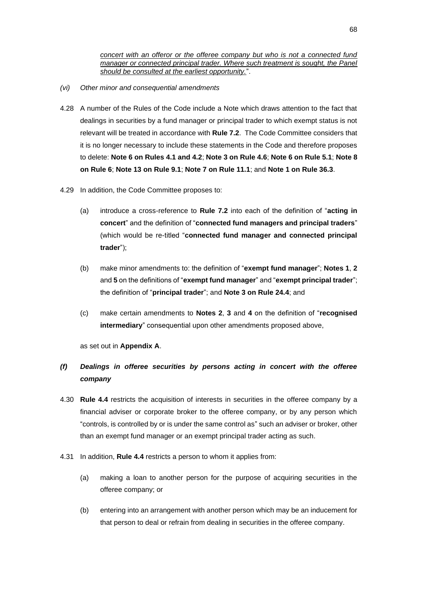*concert with an offeror or the offeree company but who is not a connected fund manager or connected principal trader. Where such treatment is sought, the Panel should be consulted at the earliest opportunity.*".

- *(vi) Other minor and consequential amendments*
- 4.28 A number of the Rules of the Code include a Note which draws attention to the fact that dealings in securities by a fund manager or principal trader to which exempt status is not relevant will be treated in accordance with **Rule 7.2**. The Code Committee considers that it is no longer necessary to include these statements in the Code and therefore proposes to delete: **Note 6 on Rules 4.1 and 4.2**; **Note 3 on Rule 4.6**; **Note 6 on Rule 5.1**; **Note 8 on Rule 6**; **Note 13 on Rule 9.1**; **Note 7 on Rule 11.1**; and **Note 1 on Rule 36.3**.
- 4.29 In addition, the Code Committee proposes to:
	- (a) introduce a cross-reference to **Rule 7.2** into each of the definition of "**acting in concert**" and the definition of "**connected fund managers and principal traders**" (which would be re-titled "**connected fund manager and connected principal trader**");
	- (b) make minor amendments to: the definition of "**exempt fund manager**"; **Notes 1**, **2** and **5** on the definitions of "**exempt fund manager**" and "**exempt principal trader**"; the definition of "**principal trader**"; and **Note 3 on Rule 24.4**; and
	- (c) make certain amendments to **Notes 2**, **3** and **4** on the definition of "**recognised intermediary**" consequential upon other amendments proposed above,

as set out in **Appendix A**.

# *(f) Dealings in offeree securities by persons acting in concert with the offeree company*

- 4.30 **Rule 4.4** restricts the acquisition of interests in securities in the offeree company by a financial adviser or corporate broker to the offeree company, or by any person which "controls, is controlled by or is under the same control as" such an adviser or broker, other than an exempt fund manager or an exempt principal trader acting as such.
- 4.31 In addition, **Rule 4.4** restricts a person to whom it applies from:
	- (a) making a loan to another person for the purpose of acquiring securities in the offeree company; or
	- (b) entering into an arrangement with another person which may be an inducement for that person to deal or refrain from dealing in securities in the offeree company.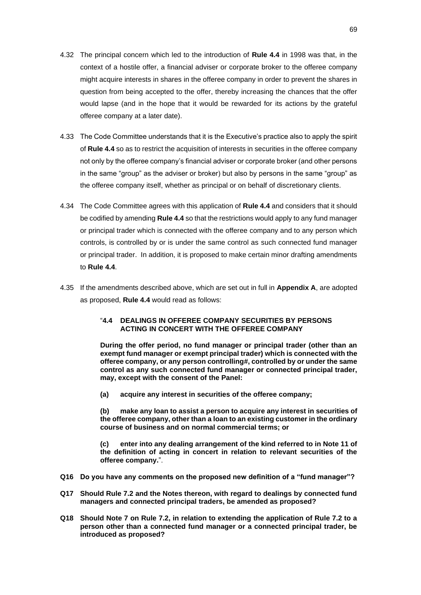- 4.32 The principal concern which led to the introduction of **Rule 4.4** in 1998 was that, in the context of a hostile offer, a financial adviser or corporate broker to the offeree company might acquire interests in shares in the offeree company in order to prevent the shares in question from being accepted to the offer, thereby increasing the chances that the offer would lapse (and in the hope that it would be rewarded for its actions by the grateful offeree company at a later date).
- 4.33 The Code Committee understands that it is the Executive's practice also to apply the spirit of **Rule 4.4** so as to restrict the acquisition of interests in securities in the offeree company not only by the offeree company's financial adviser or corporate broker (and other persons in the same "group" as the adviser or broker) but also by persons in the same "group" as the offeree company itself, whether as principal or on behalf of discretionary clients.
- 4.34 The Code Committee agrees with this application of **Rule 4.4** and considers that it should be codified by amending **Rule 4.4** so that the restrictions would apply to any fund manager or principal trader which is connected with the offeree company and to any person which controls, is controlled by or is under the same control as such connected fund manager or principal trader. In addition, it is proposed to make certain minor drafting amendments to **Rule 4.4**.
- 4.35 If the amendments described above, which are set out in full in **Appendix A**, are adopted as proposed, **Rule 4.4** would read as follows:

#### "**4.4 DEALINGS IN OFFEREE COMPANY SECURITIES BY PERSONS ACTING IN CONCERT WITH THE OFFEREE COMPANY**

**During the offer period, no fund manager or principal trader (other than an exempt fund manager or exempt principal trader) which is connected with the offeree company, or any person controlling#, controlled by or under the same control as any such connected fund manager or connected principal trader, may, except with the consent of the Panel:**

**(a) acquire any interest in securities of the offeree company;**

**(b) make any loan to assist a person to acquire any interest in securities of the offeree company, other than a loan to an existing customer in the ordinary course of business and on normal commercial terms; or**

**(c) enter into any dealing arrangement of the kind referred to in Note 11 of the definition of acting in concert in relation to relevant securities of the offeree company.**".

- **Q16 Do you have any comments on the proposed new definition of a "fund manager"?**
- **Q17 Should Rule 7.2 and the Notes thereon, with regard to dealings by connected fund managers and connected principal traders, be amended as proposed?**
- **Q18 Should Note 7 on Rule 7.2, in relation to extending the application of Rule 7.2 to a person other than a connected fund manager or a connected principal trader, be introduced as proposed?**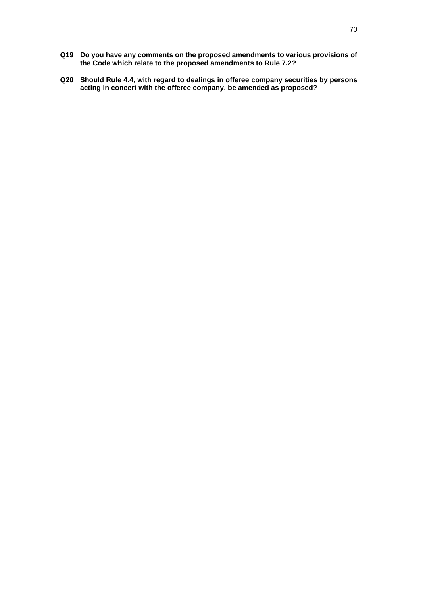- **Q19 Do you have any comments on the proposed amendments to various provisions of the Code which relate to the proposed amendments to Rule 7.2?**
- **Q20 Should Rule 4.4, with regard to dealings in offeree company securities by persons acting in concert with the offeree company, be amended as proposed?**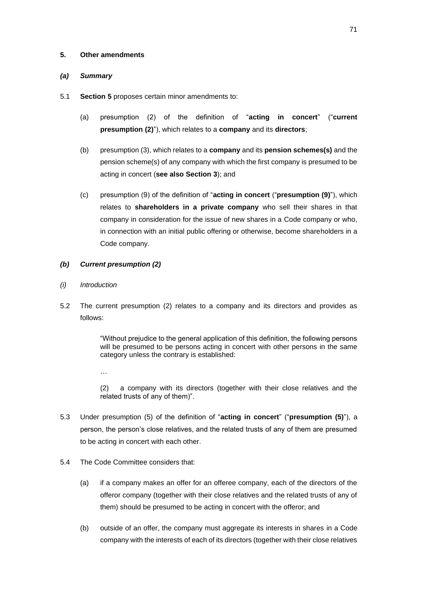### **5. Other amendments**

# *(a) Summary*

- 5.1 **Section 5** proposes certain minor amendments to:
	- (a) presumption (2) of the definition of "**acting in concert**" ("**current presumption (2)**"), which relates to a **company** and its **directors**;
	- (b) presumption (3), which relates to a **company** and its **pension schemes(s)** and the pension scheme(s) of any company with which the first company is presumed to be acting in concert (**see also Section 3**); and
	- (c) presumption (9) of the definition of "**acting in concert** ("**presumption (9)**"), which relates to **shareholders in a private company** who sell their shares in that company in consideration for the issue of new shares in a Code company or who, in connection with an initial public offering or otherwise, become shareholders in a Code company.
- *(b) Current presumption (2)*
- *(i) Introduction*
- 5.2 The current presumption (2) relates to a company and its directors and provides as follows:

"Without prejudice to the general application of this definition, the following persons will be presumed to be persons acting in concert with other persons in the same category unless the contrary is established:

…

(2) a company with its directors (together with their close relatives and the related trusts of any of them)".

- 5.3 Under presumption (5) of the definition of "**acting in concert**" ("**presumption (5)**"), a person, the person's close relatives, and the related trusts of any of them are presumed to be acting in concert with each other.
- 5.4 The Code Committee considers that:
	- (a) if a company makes an offer for an offeree company, each of the directors of the offeror company (together with their close relatives and the related trusts of any of them) should be presumed to be acting in concert with the offeror; and
	- (b) outside of an offer, the company must aggregate its interests in shares in a Code company with the interests of each of its directors (together with their close relatives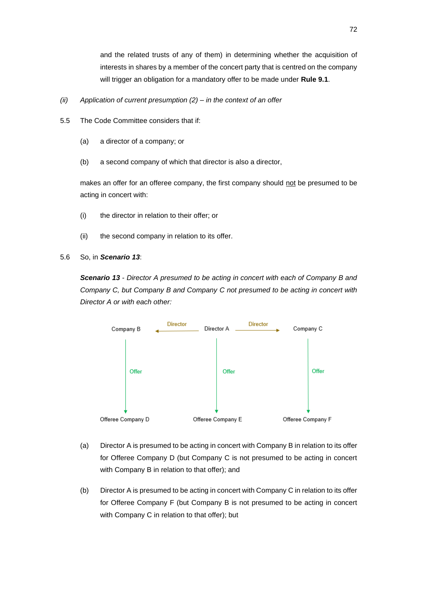and the related trusts of any of them) in determining whether the acquisition of interests in shares by a member of the concert party that is centred on the company will trigger an obligation for a mandatory offer to be made under **Rule 9.1**.

- *(ii) Application of current presumption (2) – in the context of an offer*
- 5.5 The Code Committee considers that if:
	- (a) a director of a company; or
	- (b) a second company of which that director is also a director,

makes an offer for an offeree company, the first company should not be presumed to be acting in concert with:

- (i) the director in relation to their offer; or
- (ii) the second company in relation to its offer.
- 5.6 So, in *Scenario 13*:

*Scenario 13 - Director A presumed to be acting in concert with each of Company B and Company C, but Company B and Company C not presumed to be acting in concert with Director A or with each other:*



- (a) Director A is presumed to be acting in concert with Company B in relation to its offer for Offeree Company D (but Company C is not presumed to be acting in concert with Company B in relation to that offer); and
- (b) Director A is presumed to be acting in concert with Company C in relation to its offer for Offeree Company F (but Company B is not presumed to be acting in concert with Company C in relation to that offer); but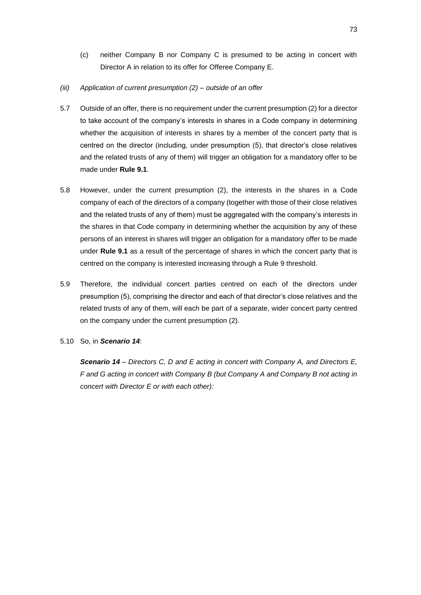- (c) neither Company B nor Company C is presumed to be acting in concert with Director A in relation to its offer for Offeree Company E.
- *(iii) Application of current presumption (2) – outside of an offer*
- 5.7 Outside of an offer, there is no requirement under the current presumption (2) for a director to take account of the company's interests in shares in a Code company in determining whether the acquisition of interests in shares by a member of the concert party that is centred on the director (including, under presumption (5), that director's close relatives and the related trusts of any of them) will trigger an obligation for a mandatory offer to be made under **Rule 9.1**.
- 5.8 However, under the current presumption (2), the interests in the shares in a Code company of each of the directors of a company (together with those of their close relatives and the related trusts of any of them) must be aggregated with the company's interests in the shares in that Code company in determining whether the acquisition by any of these persons of an interest in shares will trigger an obligation for a mandatory offer to be made under **Rule 9.1** as a result of the percentage of shares in which the concert party that is centred on the company is interested increasing through a Rule 9 threshold.
- 5.9 Therefore, the individual concert parties centred on each of the directors under presumption (5), comprising the director and each of that director's close relatives and the related trusts of any of them, will each be part of a separate, wider concert party centred on the company under the current presumption (2).
- 5.10 So, in *Scenario 14*:

*Scenario 14 – Directors C, D and E acting in concert with Company A, and Directors E, F and G acting in concert with Company B (but Company A and Company B not acting in concert with Director E or with each other):*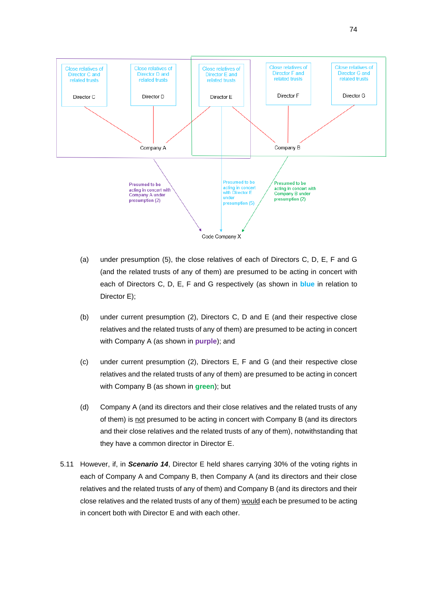

- (a) under presumption (5), the close relatives of each of Directors C, D, E, F and G (and the related trusts of any of them) are presumed to be acting in concert with each of Directors C, D, E, F and G respectively (as shown in **blue** in relation to Director E);
- (b) under current presumption (2), Directors C, D and E (and their respective close relatives and the related trusts of any of them) are presumed to be acting in concert with Company A (as shown in **purple**); and
- (c) under current presumption (2), Directors E, F and G (and their respective close relatives and the related trusts of any of them) are presumed to be acting in concert with Company B (as shown in **green**); but
- (d) Company A (and its directors and their close relatives and the related trusts of any of them) is not presumed to be acting in concert with Company B (and its directors and their close relatives and the related trusts of any of them), notwithstanding that they have a common director in Director E.
- 5.11 However, if, in *Scenario 14*, Director E held shares carrying 30% of the voting rights in each of Company A and Company B, then Company A (and its directors and their close relatives and the related trusts of any of them) and Company B (and its directors and their close relatives and the related trusts of any of them) would each be presumed to be acting in concert both with Director E and with each other.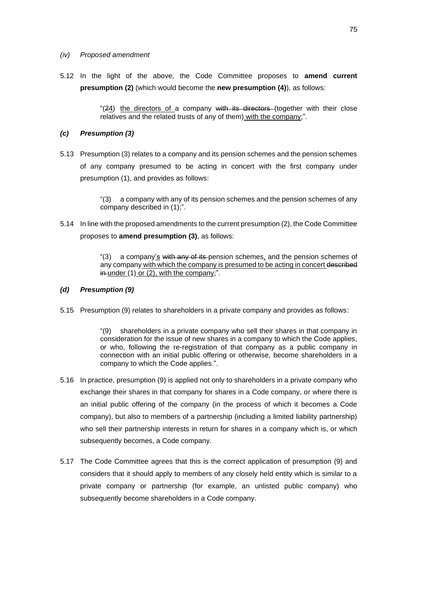#### *(iv) Proposed amendment*

5.12 In the light of the above, the Code Committee proposes to **amend current presumption (2)** (which would become the **new presumption (4)**), as follows:

> " $(24)$  the directors of a company with its directors (together with their close relatives and the related trusts of any of them) with the company;".

#### *(c) Presumption (3)*

5.13 Presumption (3) relates to a company and its pension schemes and the pension schemes of any company presumed to be acting in concert with the first company under presumption (1), and provides as follows:

> "(3) a company with any of its pension schemes and the pension schemes of any company described in (1);".

5.14 In line with the proposed amendments to the current presumption (2), the Code Committee proposes to **amend presumption (3)**, as follows:

> "(3) a company's with any of its pension schemes, and the pension schemes of any company with which the company is presumed to be acting in concert described  $in$  under (1) or (2), with the company;".

### *(d) Presumption (9)*

5.15 Presumption (9) relates to shareholders in a private company and provides as follows:

"(9) shareholders in a private company who sell their shares in that company in consideration for the issue of new shares in a company to which the Code applies, or who, following the re-registration of that company as a public company in connection with an initial public offering or otherwise, become shareholders in a company to which the Code applies.".

- 5.16 In practice, presumption (9) is applied not only to shareholders in a private company who exchange their shares in that company for shares in a Code company, or where there is an initial public offering of the company (in the process of which it becomes a Code company), but also to members of a partnership (including a limited liability partnership) who sell their partnership interests in return for shares in a company which is, or which subsequently becomes, a Code company.
- 5.17 The Code Committee agrees that this is the correct application of presumption (9) and considers that it should apply to members of any closely held entity which is similar to a private company or partnership (for example, an unlisted public company) who subsequently become shareholders in a Code company.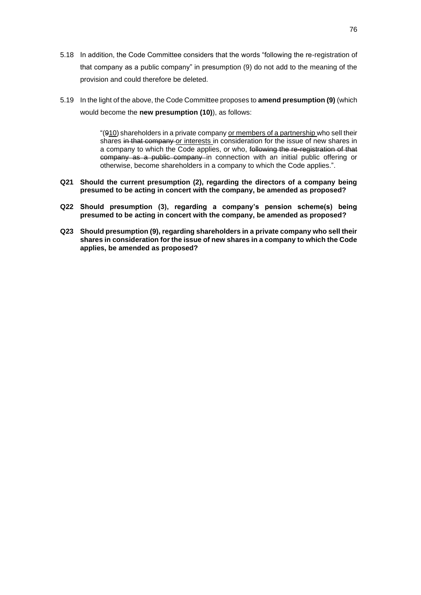- 5.18 In addition, the Code Committee considers that the words "following the re-registration of that company as a public company" in presumption (9) do not add to the meaning of the provision and could therefore be deleted.
- 5.19 In the light of the above, the Code Committee proposes to **amend presumption (9)** (which would become the **new presumption (10)**), as follows:

"(910) shareholders in a private company or members of a partnership who sell their shares in that company or interests in consideration for the issue of new shares in a company to which the Code applies, or who, following the re-registration of that company as a public company in connection with an initial public offering or otherwise, become shareholders in a company to which the Code applies.".

- **Q21 Should the current presumption (2), regarding the directors of a company being presumed to be acting in concert with the company, be amended as proposed?**
- **Q22 Should presumption (3), regarding a company's pension scheme(s) being presumed to be acting in concert with the company, be amended as proposed?**
- **Q23 Should presumption (9), regarding shareholders in a private company who sell their shares in consideration for the issue of new shares in a company to which the Code applies, be amended as proposed?**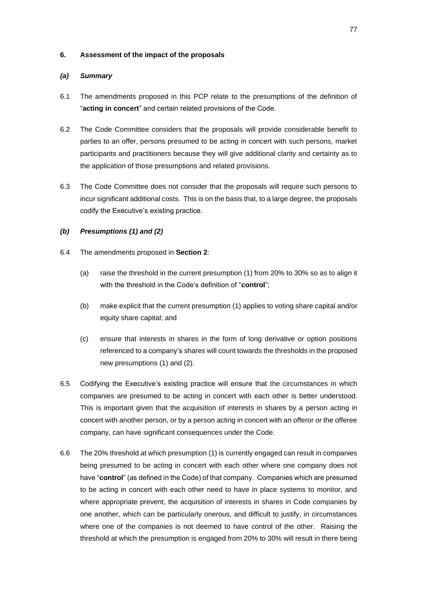### **6. Assessment of the impact of the proposals**

# *(a) Summary*

- 6.1 The amendments proposed in this PCP relate to the presumptions of the definition of "**acting in concert**" and certain related provisions of the Code.
- 6.2 The Code Committee considers that the proposals will provide considerable benefit to parties to an offer, persons presumed to be acting in concert with such persons, market participants and practitioners because they will give additional clarity and certainty as to the application of those presumptions and related provisions.
- 6.3 The Code Committee does not consider that the proposals will require such persons to incur significant additional costs. This is on the basis that, to a large degree, the proposals codify the Executive's existing practice.

# *(b) Presumptions (1) and (2)*

- 6.4 The amendments proposed in **Section 2**:
	- (a) raise the threshold in the current presumption (1) from 20% to 30% so as to align it with the threshold in the Code's definition of "**control**";
	- (b) make explicit that the current presumption (1) applies to voting share capital and/or equity share capital; and
	- (c) ensure that interests in shares in the form of long derivative or option positions referenced to a company's shares will count towards the thresholds in the proposed new presumptions (1) and (2).
- 6.5 Codifying the Executive's existing practice will ensure that the circumstances in which companies are presumed to be acting in concert with each other is better understood. This is important given that the acquisition of interests in shares by a person acting in concert with another person, or by a person acting in concert with an offeror or the offeree company, can have significant consequences under the Code.
- 6.6 The 20% threshold at which presumption (1) is currently engaged can result in companies being presumed to be acting in concert with each other where one company does not have "**control**" (as defined in the Code) of that company. Companies which are presumed to be acting in concert with each other need to have in place systems to monitor, and where appropriate prevent, the acquisition of interests in shares in Code companies by one another, which can be particularly onerous, and difficult to justify, in circumstances where one of the companies is not deemed to have control of the other. Raising the threshold at which the presumption is engaged from 20% to 30% will result in there being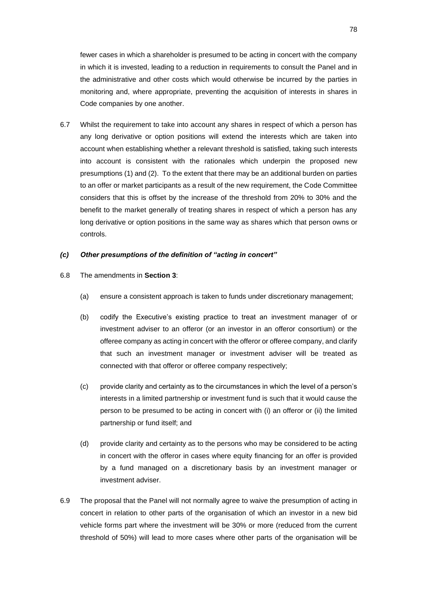fewer cases in which a shareholder is presumed to be acting in concert with the company in which it is invested, leading to a reduction in requirements to consult the Panel and in the administrative and other costs which would otherwise be incurred by the parties in monitoring and, where appropriate, preventing the acquisition of interests in shares in Code companies by one another.

6.7 Whilst the requirement to take into account any shares in respect of which a person has any long derivative or option positions will extend the interests which are taken into account when establishing whether a relevant threshold is satisfied, taking such interests into account is consistent with the rationales which underpin the proposed new presumptions (1) and (2). To the extent that there may be an additional burden on parties to an offer or market participants as a result of the new requirement, the Code Committee considers that this is offset by the increase of the threshold from 20% to 30% and the benefit to the market generally of treating shares in respect of which a person has any long derivative or option positions in the same way as shares which that person owns or controls.

#### *(c) Other presumptions of the definition of "acting in concert"*

- 6.8 The amendments in **Section 3**:
	- (a) ensure a consistent approach is taken to funds under discretionary management;
	- (b) codify the Executive's existing practice to treat an investment manager of or investment adviser to an offeror (or an investor in an offeror consortium) or the offeree company as acting in concert with the offeror or offeree company, and clarify that such an investment manager or investment adviser will be treated as connected with that offeror or offeree company respectively;
	- (c) provide clarity and certainty as to the circumstances in which the level of a person's interests in a limited partnership or investment fund is such that it would cause the person to be presumed to be acting in concert with (i) an offeror or (ii) the limited partnership or fund itself; and
	- (d) provide clarity and certainty as to the persons who may be considered to be acting in concert with the offeror in cases where equity financing for an offer is provided by a fund managed on a discretionary basis by an investment manager or investment adviser.
- 6.9 The proposal that the Panel will not normally agree to waive the presumption of acting in concert in relation to other parts of the organisation of which an investor in a new bid vehicle forms part where the investment will be 30% or more (reduced from the current threshold of 50%) will lead to more cases where other parts of the organisation will be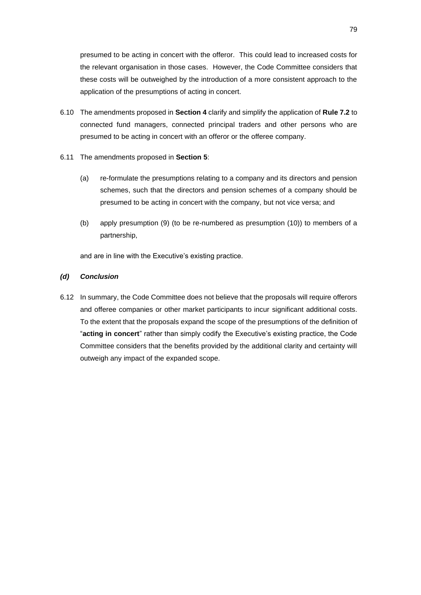presumed to be acting in concert with the offeror. This could lead to increased costs for the relevant organisation in those cases. However, the Code Committee considers that these costs will be outweighed by the introduction of a more consistent approach to the application of the presumptions of acting in concert.

- 6.10 The amendments proposed in **Section 4** clarify and simplify the application of **Rule 7.2** to connected fund managers, connected principal traders and other persons who are presumed to be acting in concert with an offeror or the offeree company.
- 6.11 The amendments proposed in **Section 5**:
	- (a) re-formulate the presumptions relating to a company and its directors and pension schemes, such that the directors and pension schemes of a company should be presumed to be acting in concert with the company, but not vice versa; and
	- (b) apply presumption (9) (to be re-numbered as presumption (10)) to members of a partnership,

and are in line with the Executive's existing practice.

# *(d) Conclusion*

6.12 In summary, the Code Committee does not believe that the proposals will require offerors and offeree companies or other market participants to incur significant additional costs. To the extent that the proposals expand the scope of the presumptions of the definition of "**acting in concert**" rather than simply codify the Executive's existing practice, the Code Committee considers that the benefits provided by the additional clarity and certainty will outweigh any impact of the expanded scope.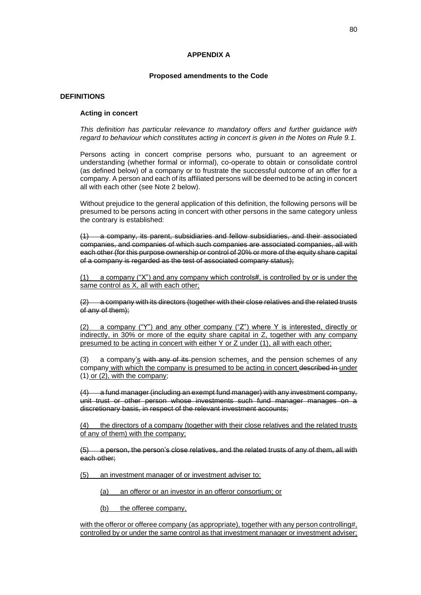#### **APPENDIX A**

#### **Proposed amendments to the Code**

#### **DEFINITIONS**

#### **Acting in concert**

*This definition has particular relevance to mandatory offers and further guidance with regard to behaviour which constitutes acting in concert is given in the Notes on Rule 9.1.*

Persons acting in concert comprise persons who, pursuant to an agreement or understanding (whether formal or informal), co-operate to obtain or consolidate control (as defined below) of a company or to frustrate the successful outcome of an offer for a company. A person and each of its affiliated persons will be deemed to be acting in concert all with each other (see Note 2 below).

Without prejudice to the general application of this definition, the following persons will be presumed to be persons acting in concert with other persons in the same category unless the contrary is established:

(1) a company, its parent, subsidiaries and fellow subsidiaries, and their associated companies, and companies of which such companies are associated companies, all with each other (for this purpose ownership or control of 20% or more of the equity share capital of a company is regarded as the test of associated company status);

(1) a company ("X") and any company which controls#, is controlled by or is under the same control as X, all with each other;

(2) a company with its directors (together with their close relatives and the related trusts of any of them);

(2) a company ("Y") and any other company ("Z") where Y is interested, directly or indirectly, in 30% or more of the equity share capital in Z, together with any company presumed to be acting in concert with either Y or Z under (1), all with each other;

(3) a company's with any of its pension schemes, and the pension schemes of any company with which the company is presumed to be acting in concert described in under (1) or (2), with the company;

(4) a fund manager (including an exempt fund manager) with any investment company, unit trust or other person whose investments such fund manager manages on a discretionary basis, in respect of the relevant investment accounts;

(4) the directors of a company (together with their close relatives and the related trusts of any of them) with the company;

(5) a person, the person's close relatives, and the related trusts of any of them, all with each other;

(5) an investment manager of or investment adviser to:

(a) an offeror or an investor in an offeror consortium; or

(b) the offeree company,

with the offeror or offeree company (as appropriate), together with any person controlling#, controlled by or under the same control as that investment manager or investment adviser;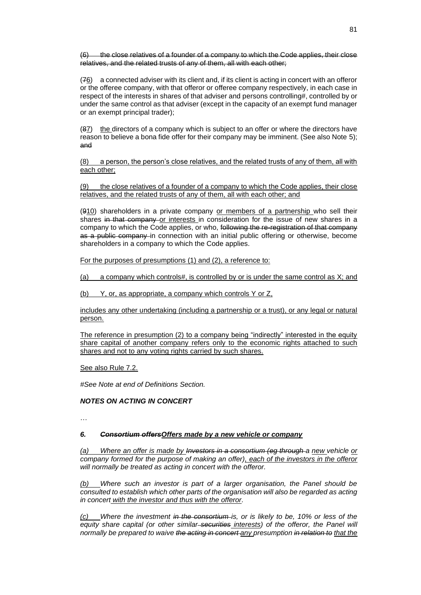the close relatives of a founder of a company to which the Code applies, their close relatives, and the related trusts of any of them, all with each other;

(76) a connected adviser with its client and, if its client is acting in concert with an offeror or the offeree company, with that offeror or offeree company respectively, in each case in respect of the interests in shares of that adviser and persons controlling#, controlled by or under the same control as that adviser (except in the capacity of an exempt fund manager or an exempt principal trader);

(87) the directors of a company which is subject to an offer or where the directors have reason to believe a bona fide offer for their company may be imminent. (See also Note 5); and

(8) a person, the person's close relatives, and the related trusts of any of them, all with each other;

(9) the close relatives of a founder of a company to which the Code applies, their close relatives, and the related trusts of any of them, all with each other; and

(910) shareholders in a private company or members of a partnership who sell their shares in that company or interests in consideration for the issue of new shares in a company to which the Code applies, or who, following the re-registration of that company as a public company in connection with an initial public offering or otherwise, become shareholders in a company to which the Code applies.

For the purposes of presumptions (1) and (2), a reference to:

(a) a company which controls#, is controlled by or is under the same control as  $X$ ; and

(b) Y, or, as appropriate, a company which controls Y or Z,

includes any other undertaking (including a partnership or a trust), or any legal or natural person.

The reference in presumption (2) to a company being "indirectly" interested in the equity share capital of another company refers only to the economic rights attached to such shares and not to any voting rights carried by such shares.

See also Rule 7.2.

*#See Note at end of Definitions Section.*

#### *NOTES ON ACTING IN CONCERT*

…

#### *6. Consortium offersOffers made by a new vehicle or company*

*(a) Where an offer is made by Investors in a consortium (eg through a new vehicle or company formed for the purpose of making an offer), each of the investors in the offeror will normally be treated as acting in concert with the offeror.*

*(b) Where such an investor is part of a larger organisation, the Panel should be consulted to establish which other parts of the organisation will also be regarded as acting in concert with the investor and thus with the offeror.*

*(c) Where the investment in the consortium is, or is likely to be, 10% or less of the equity share capital (or other similar securities interests) of the offeror, the Panel will normally be prepared to waive the acting in concert any presumption in relation to that the*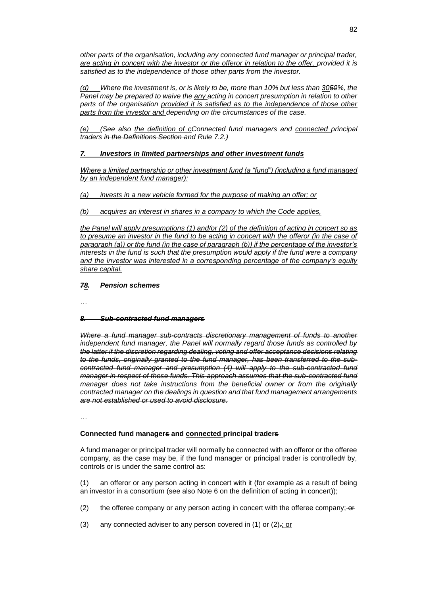*other parts of the organisation, including any connected fund manager or principal trader, are acting in concert with the investor or the offeror in relation to the offer, provided it is satisfied as to the independence of those other parts from the investor.*

*(d) Where the investment is, or is likely to be, more than 10% but less than 3050%, the Panel may be prepared to waive the any acting in concert presumption in relation to other*  parts of the organisation provided it is satisfied as to the independence of those other *parts from the investor and depending on the circumstances of the case.*

*(e) (See also the definition of cConnected fund managers and connected principal traders in the Definitions Section and Rule 7.2.)*

# *7. Investors in limited partnerships and other investment funds*

*Where a limited partnership or other investment fund (a "fund") (including a fund managed by an independent fund manager):*

*(a) invests in a new vehicle formed for the purpose of making an offer; or*

*(b) acquires an interest in shares in a company to which the Code applies,* 

*the Panel will apply presumptions (1) and/or (2) of the definition of acting in concert so as to presume an investor in the fund to be acting in concert with the offeror (in the case of paragraph (a)) or the fund (in the case of paragraph (b)) if the percentage of the investor's interests in the fund is such that the presumption would apply if the fund were a company and the investor was interested in a corresponding percentage of the company's equity share capital.*

#### *78. Pension schemes*

…

#### *8. Sub-contracted fund managers*

*Where a fund manager sub-contracts discretionary management of funds to another independent fund manager, the Panel will normally regard those funds as controlled by the latter if the discretion regarding dealing, voting and offer acceptance decisions relating to the funds, originally granted to the fund manager, has been transferred to the subcontracted fund manager and presumption (4) will apply to the sub-contracted fund manager in respect of those funds. This approach assumes that the sub-contracted fund manager does not take instructions from the beneficial owner or from the originally contracted manager on the dealings in question and that fund management arrangements are not established or used to avoid disclosure.*

…

#### **Connected fund managers and connected principal traders**

A fund manager or principal trader will normally be connected with an offeror or the offeree company, as the case may be, if the fund manager or principal trader is controlled# by, controls or is under the same control as:

(1) an offeror or any person acting in concert with it (for example as a result of being an investor in a consortium (see also Note 6 on the definition of acting in concert));

- (2) the offeree company or any person acting in concert with the offeree company;  $-$ or
- (3) any connected adviser to any person covered in  $(1)$  or  $(2)$ .; or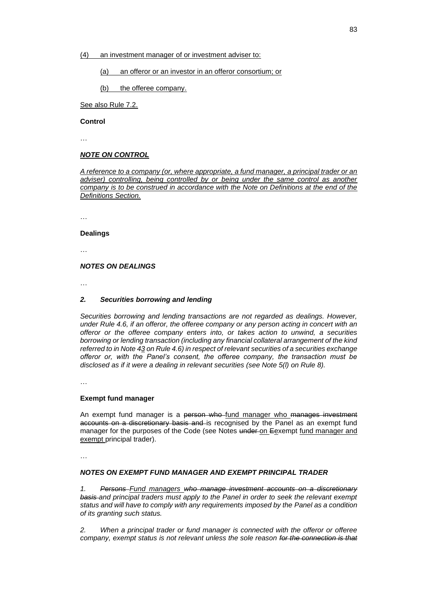(4) an investment manager of or investment adviser to:

(a) an offeror or an investor in an offeror consortium; or

(b) the offeree company.

See also Rule 7.2.

**Control**

…

### *NOTE ON CONTROL*

*A reference to a company (or, where appropriate, a fund manager, a principal trader or an*  adviser) controlling, being controlled by or being under the same control as another *company is to be construed in accordance with the Note on Definitions at the end of the Definitions Section.*

…

#### **Dealings**

…

### *NOTES ON DEALINGS*

…

#### *2. Securities borrowing and lending*

*Securities borrowing and lending transactions are not regarded as dealings. However, under Rule 4.6, if an offeror, the offeree company or any person acting in concert with an offeror or the offeree company enters into, or takes action to unwind, a securities borrowing or lending transaction (including any financial collateral arrangement of the kind referred to in Note 43 on Rule 4.6) in respect of relevant securities of a securities exchange offeror or, with the Panel's consent, the offeree company, the transaction must be disclosed as if it were a dealing in relevant securities (see Note 5(l) on Rule 8).*

…

#### **Exempt fund manager**

An exempt fund manager is a person who fund manager who manages investment accounts on a discretionary basis and is recognised by the Panel as an exempt fund manager for the purposes of the Code (see Notes under on Eexempt fund manager and exempt principal trader).

…

#### *NOTES ON EXEMPT FUND MANAGER AND EXEMPT PRINCIPAL TRADER*

*1. Persons Fund managers who manage investment accounts on a discretionary basis and principal traders must apply to the Panel in order to seek the relevant exempt status and will have to comply with any requirements imposed by the Panel as a condition of its granting such status.*

*2. When a principal trader or fund manager is connected with the offeror or offeree company, exempt status is not relevant unless the sole reason for the connection is that*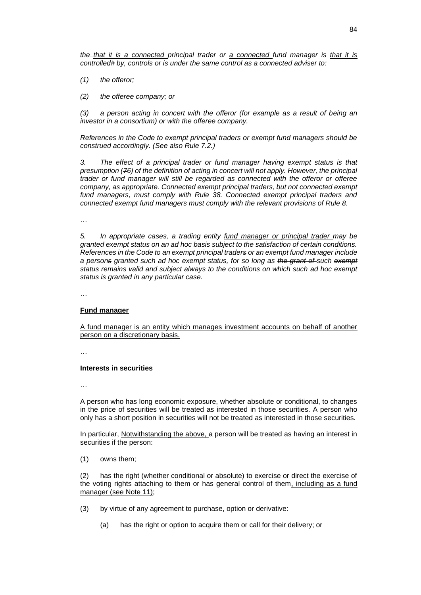*the that it is a connected principal trader or a connected fund manager is that it is controlled# by, controls or is under the same control as a connected adviser to:*

- *(1) the offeror;*
- *(2) the offeree company; or*

*(3) a person acting in concert with the offeror (for example as a result of being an investor in a consortium) or with the offeree company.*

*References in the Code to exempt principal traders or exempt fund managers should be construed accordingly. (See also Rule 7.2.)*

*3. The effect of a principal trader or fund manager having exempt status is that presumption (76) of the definition of acting in concert will not apply. However, the principal trader or fund manager will still be regarded as connected with the offeror or offeree company, as appropriate. Connected exempt principal traders, but not connected exempt fund managers, must comply with Rule 38. Connected exempt principal traders and connected exempt fund managers must comply with the relevant provisions of Rule 8.*

…

*5. In appropriate cases, a trading entity fund manager or principal trader may be granted exempt status on an ad hoc basis subject to the satisfaction of certain conditions. References in the Code to an exempt principal traders or an exempt fund manager include a persons granted such ad hoc exempt status, for so long as the grant of such exempt status remains valid and subject always to the conditions on which such ad hoc exempt status is granted in any particular case.*

…

#### **Fund manager**

A fund manager is an entity which manages investment accounts on behalf of another person on a discretionary basis.

…

#### **Interests in securities**

…

A person who has long economic exposure, whether absolute or conditional, to changes in the price of securities will be treated as interested in those securities. A person who only has a short position in securities will not be treated as interested in those securities.

In particular, Notwithstanding the above, a person will be treated as having an interest in securities if the person:

(1) owns them;

(2) has the right (whether conditional or absolute) to exercise or direct the exercise of the voting rights attaching to them or has general control of them, including as a fund manager (see Note 11);

- (3) by virtue of any agreement to purchase, option or derivative:
	- (a) has the right or option to acquire them or call for their delivery; or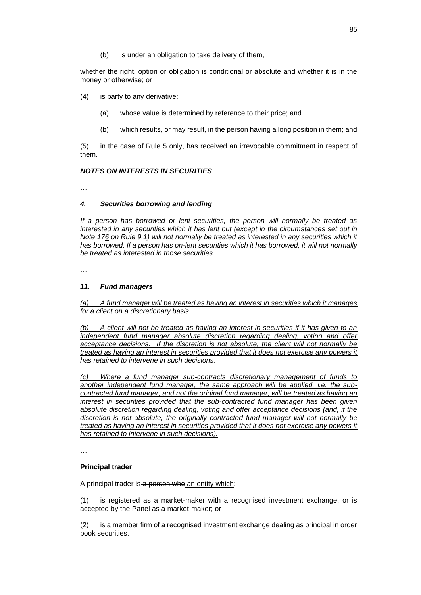(b) is under an obligation to take delivery of them,

whether the right, option or obligation is conditional or absolute and whether it is in the money or otherwise; or

- (4) is party to any derivative:
	- (a) whose value is determined by reference to their price; and
	- (b) which results, or may result, in the person having a long position in them; and

(5) in the case of Rule 5 only, has received an irrevocable commitment in respect of them.

### *NOTES ON INTERESTS IN SECURITIES*

…

# *4. Securities borrowing and lending*

*If a person has borrowed or lent securities, the person will normally be treated as interested in any securities which it has lent but (except in the circumstances set out in Note 176 on Rule 9.1) will not normally be treated as interested in any securities which it*  has borrowed. If a person has on-lent securities which it has borrowed, it will not normally *be treated as interested in those securities.*

…

### *11. Fund managers*

*(a) A fund manager will be treated as having an interest in securities which it manages for a client on a discretionary basis.*

*(b) A client will not be treated as having an interest in securities if it has given to an independent fund manager absolute discretion regarding dealing, voting and offer acceptance decisions. If the discretion is not absolute, the client will not normally be treated as having an interest in securities provided that it does not exercise any powers it has retained to intervene in such decisions.*

*(c) Where a fund manager sub-contracts discretionary management of funds to another independent fund manager, the same approach will be applied, i.e. the subcontracted fund manager, and not the original fund manager, will be treated as having an interest in securities provided that the sub-contracted fund manager has been given absolute discretion regarding dealing, voting and offer acceptance decisions (and, if the discretion is not absolute, the originally contracted fund manager will not normally be treated as having an interest in securities provided that it does not exercise any powers it has retained to intervene in such decisions).*

…

#### **Principal trader**

A principal trader is a person who an entity which:

(1) is registered as a market-maker with a recognised investment exchange, or is accepted by the Panel as a market-maker; or

(2) is a member firm of a recognised investment exchange dealing as principal in order book securities.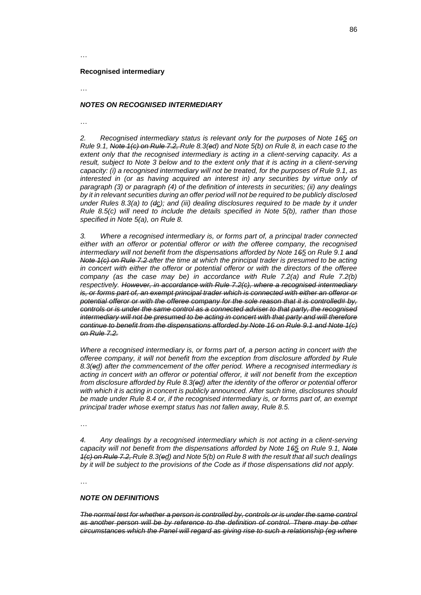…

#### **Recognised intermediary**

…

### *NOTES ON RECOGNISED INTERMEDIARY*

…

*2. Recognised intermediary status is relevant only for the purposes of Note 165 on Rule 9.1, Note 1(c) on Rule 7.2, Rule 8.3(ed) and Note 5(b) on Rule 8, in each case to the extent only that the recognised intermediary is acting in a client-serving capacity. As a result, subject to Note 3 below and to the extent only that it is acting in a client-serving capacity: (i) a recognised intermediary will not be treated, for the purposes of Rule 9.1, as interested in (or as having acquired an interest in) any securities by virtue only of paragraph (3) or paragraph (4) of the definition of interests in securities; (ii) any dealings by it in relevant securities during an offer period will not be required to be publicly disclosed under Rules 8.3(a) to (dc); and (iii) dealing disclosures required to be made by it under Rule 8.5(c) will need to include the details specified in Note 5(b), rather than those specified in Note 5(a), on Rule 8.*

*3. Where a recognised intermediary is, or forms part of, a principal trader connected either with an offeror or potential offeror or with the offeree company, the recognised intermediary will not benefit from the dispensations afforded by Note 165 on Rule 9.1 and Note 1(c) on Rule 7.2 after the time at which the principal trader is presumed to be acting in concert with either the offeror or potential offeror or with the directors of the offeree company (as the case may be) in accordance with Rule 7.2(a) and Rule 7.2(b) respectively. However, in accordance with Rule 7.2(c), where a recognised intermediary is, or forms part of, an exempt principal trader which is connected with either an offeror or potential offeror or with the offeree company for the sole reason that it is controlled# by, controls or is under the same control as a connected adviser to that party, the recognised intermediary will not be presumed to be acting in concert with that party and will therefore continue to benefit from the dispensations afforded by Note 16 on Rule 9.1 and Note 1(c) on Rule 7.2.*

*Where a recognised intermediary is, or forms part of, a person acting in concert with the offeree company, it will not benefit from the exception from disclosure afforded by Rule 8.3(ed) after the commencement of the offer period. Where a recognised intermediary is acting in concert with an offeror or potential offeror, it will not benefit from the exception from disclosure afforded by Rule 8.3(ed) after the identity of the offeror or potential offeror with which it is acting in concert is publicly announced. After such time, disclosures should be made under Rule 8.4 or, if the recognised intermediary is, or forms part of, an exempt principal trader whose exempt status has not fallen away, Rule 8.5.*

…

*4. Any dealings by a recognised intermediary which is not acting in a client-serving capacity will not benefit from the dispensations afforded by Note 165 on Rule 9.1, Note 1(c) on Rule 7.2, Rule 8.3(ed) and Note 5(b) on Rule 8 with the result that all such dealings by it will be subject to the provisions of the Code as if those dispensations did not apply.*

…

#### *NOTE ON DEFINITIONS*

*The normal test for whether a person is controlled by, controls or is under the same control as another person will be by reference to the definition of control. There may be other circumstances which the Panel will regard as giving rise to such a relationship (eg where*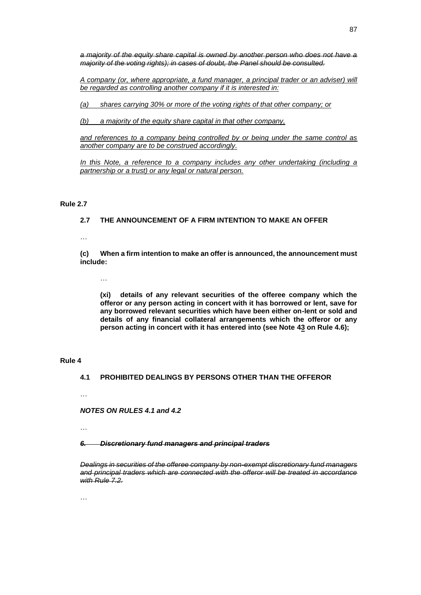*a majority of the equity share capital is owned by another person who does not have a majority of the voting rights); in cases of doubt, the Panel should be consulted.*

*A company (or, where appropriate, a fund manager, a principal trader or an adviser) will be regarded as controlling another company if it is interested in:*

*(a) shares carrying 30% or more of the voting rights of that other company; or*

*(b) a majority of the equity share capital in that other company,*

*and references to a company being controlled by or being under the same control as another company are to be construed accordingly.*

*In this Note, a reference to a company includes any other undertaking (including a partnership or a trust) or any legal or natural person.*

# **Rule 2.7**

# **2.7 THE ANNOUNCEMENT OF A FIRM INTENTION TO MAKE AN OFFER**

…

**(c) When a firm intention to make an offer is announced, the announcement must include:**

…

**(xi) details of any relevant securities of the offeree company which the offeror or any person acting in concert with it has borrowed or lent, save for any borrowed relevant securities which have been either on-lent or sold and details of any financial collateral arrangements which the offeror or any person acting in concert with it has entered into (see Note 43 on Rule 4.6);**

### **Rule 4**

**4.1 PROHIBITED DEALINGS BY PERSONS OTHER THAN THE OFFEROR**

…

*NOTES ON RULES 4.1 and 4.2*

…

*6. Discretionary fund managers and principal traders*

*Dealings in securities of the offeree company by non-exempt discretionary fund managers and principal traders which are connected with the offeror will be treated in accordance with Rule 7.2.*

…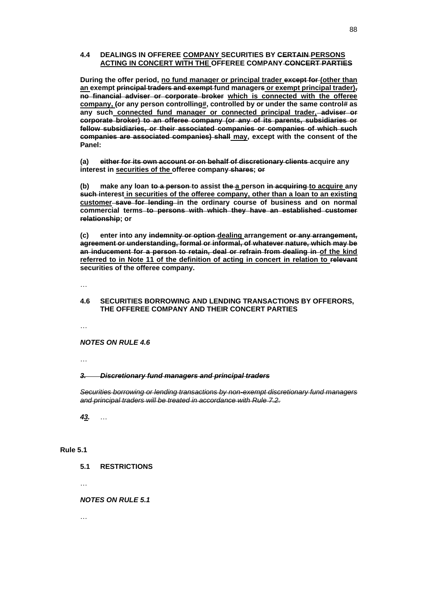### **4.4 DEALINGS IN OFFEREE COMPANY SECURITIES BY CERTAIN PERSONS ACTING IN CONCERT WITH THE OFFEREE COMPANY CONCERT PARTIES**

**During the offer period, no fund manager or principal trader except for (other than an exempt principal traders and exempt fund managers or exempt principal trader), no financial adviser or corporate broker which is connected with the offeree company, (or any person controlling#, controlled by or under the same control# as any such connected fund manager or connected principal trader, adviser or corporate broker) to an offeree company (or any of its parents, subsidiaries or fellow subsidiaries, or their associated companies or companies of which such companies are associated companies) shall may, except with the consent of the Panel:**

**(a) either for its own account or on behalf of discretionary clients acquire any interest in securities of the offeree company shares; or**

**(b) make any loan to a person to assist the a person in acquiring to acquire any such interest in securities of the offeree company, other than a loan to an existing customer save for lending in the ordinary course of business and on normal commercial terms to persons with which they have an established customer relationship; or**

**(c) enter into any indemnity or option dealing arrangement or any arrangement, agreement or understanding, formal or informal, of whatever nature, which may be an inducement for a person to retain, deal or refrain from dealing in of the kind referred to in Note 11 of the definition of acting in concert in relation to relevant securities of the offeree company.**

…

### **4.6 SECURITIES BORROWING AND LENDING TRANSACTIONS BY OFFERORS, THE OFFEREE COMPANY AND THEIR CONCERT PARTIES**

…

*NOTES ON RULE 4.6*

…

#### *3. Discretionary fund managers and principal traders*

*Securities borrowing or lending transactions by non-exempt discretionary fund managers and principal traders will be treated in accordance with Rule 7.2.*

*43.* …

#### **Rule 5.1**

**5.1 RESTRICTIONS**

…

#### *NOTES ON RULE 5.1*

…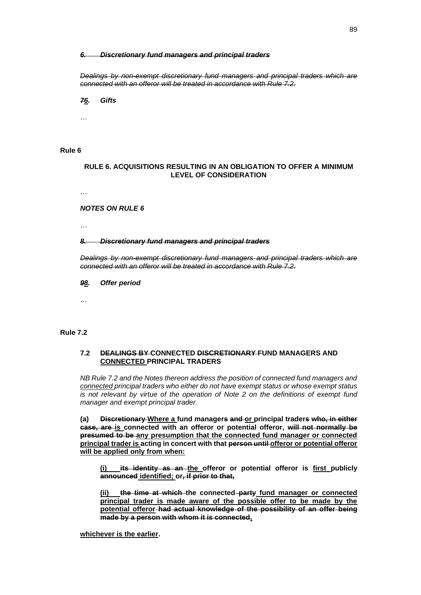#### *6. Discretionary fund managers and principal traders*

*Dealings by non-exempt discretionary fund managers and principal traders which are connected with an offeror will be treated in accordance with Rule 7.2.*

*76. Gifts*

…

#### **Rule 6**

### **RULE 6. ACQUISITIONS RESULTING IN AN OBLIGATION TO OFFER A MINIMUM LEVEL OF CONSIDERATION**

…

*NOTES ON RULE 6*

…

#### *8. Discretionary fund managers and principal traders*

*Dealings by non-exempt discretionary fund managers and principal traders which are connected with an offeror will be treated in accordance with Rule 7.2.*

*98. Offer period*

…

#### **Rule 7.2**

### **7.2 DEALINGS BY CONNECTED DISCRETIONARY FUND MANAGERS AND CONNECTED PRINCIPAL TRADERS**

*NB Rule 7.2 and the Notes thereon address the position of connected fund managers and connected principal traders who either do not have exempt status or whose exempt status is not relevant by virtue of the operation of Note 2 on the definitions of exempt fund manager and exempt principal trader.*

**(a) Discretionary Where a fund managers and or principal traders who, in either case, are is connected with an offeror or potential offeror, will not normally be presumed to be any presumption that the connected fund manager or connected principal trader is acting in concert with that person until offeror or potential offeror will be applied only from when:**

**(i) its identity as an the offeror or potential offeror is first publicly announced identified; or, if prior to that,**

**(ii) the time at which the connected party fund manager or connected principal trader is made aware of the possible offer to be made by the potential offeror had actual knowledge of the possibility of an offer being made by a person with whom it is connected,**

**whichever is the earlier.**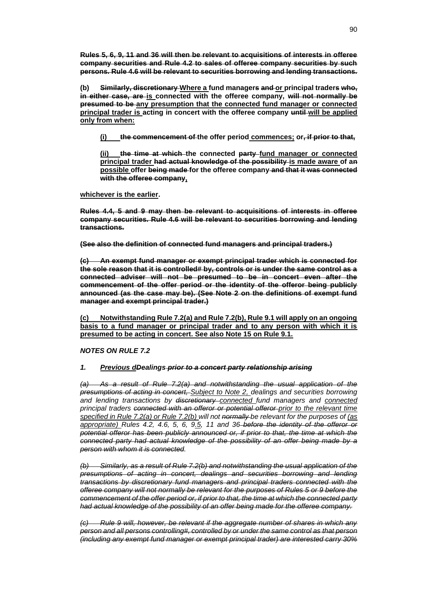**Rules 5, 6, 9, 11 and 36 will then be relevant to acquisitions of interests in offeree company securities and Rule 4.2 to sales of offeree company securities by such persons. Rule 4.6 will be relevant to securities borrowing and lending transactions.**

**(b) Similarly, discretionary Where a fund managers and or principal traders who, in either case, are is connected with the offeree company, will not normally be presumed to be any presumption that the connected fund manager or connected**  principal trader is acting in concert with the offeree company until-will be applied **only from when:**

**(i) the commencement of the offer period commences; or, if prior to that,**

**(ii) the time at which the connected party fund manager or connected principal trader had actual knowledge of the possibility is made aware of an possible offer being made for the offeree company and that it was connected with the offeree company,**

**whichever is the earlier.**

**Rules 4.4, 5 and 9 may then be relevant to acquisitions of interests in offeree company securities. Rule 4.6 will be relevant to securities borrowing and lending transactions.**

**(See also the definition of connected fund managers and principal traders.)**

**(c) An exempt fund manager or exempt principal trader which is connected for the sole reason that it is controlled# by, controls or is under the same control as a connected adviser will not be presumed to be in concert even after the commencement of the offer period or the identity of the offeror being publicly announced (as the case may be). (See Note 2 on the definitions of exempt fund manager and exempt principal trader.)**

**(c) Notwithstanding Rule 7.2(a) and Rule 7.2(b), Rule 9.1 will apply on an ongoing basis to a fund manager or principal trader and to any person with which it is presumed to be acting in concert. See also Note 15 on Rule 9.1.**

*NOTES ON RULE 7.2*

#### *1. Previous dDealings prior to a concert party relationship arising*

*(a) As a result of Rule 7.2(a) and notwithstanding the usual application of the presumptions of acting in concert, Subject to Note 2, dealings and securities borrowing and lending transactions by discretionary connected fund managers and connected principal traders connected with an offeror or potential offeror prior to the relevant time specified in Rule 7.2(a) or Rule 7.2(b) will not normally be relevant for the purposes of (as appropriate) Rules 4.2, 4.6, 5, 6, 9.5, 11 and 36 before the identity of the offeror or potential offeror has been publicly announced or, if prior to that, the time at which the connected party had actual knowledge of the possibility of an offer being made by a person with whom it is connected.*

*(b) Similarly, as a result of Rule 7.2(b) and notwithstanding the usual application of the presumptions of acting in concert, dealings and securities borrowing and lending transactions by discretionary fund managers and principal traders connected with the offeree company will not normally be relevant for the purposes of Rules 5 or 9 before the commencement of the offer period or, if prior to that, the time at which the connected party had actual knowledge of the possibility of an offer being made for the offeree company.*

*(c) Rule 9 will, however, be relevant if the aggregate number of shares in which any person and all persons controlling#, controlled by or under the same control as that person (including any exempt fund manager or exempt principal trader) are interested carry 30%*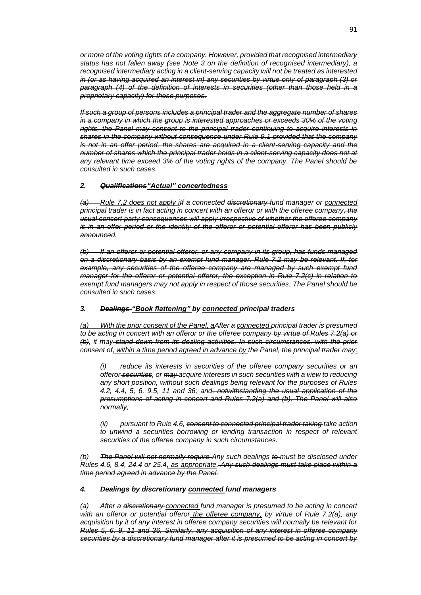*or more of the voting rights of a company. However, provided that recognised intermediary status has not fallen away (see Note 3 on the definition of recognised intermediary), a recognised intermediary acting in a client-serving capacity will not be treated as interested in (or as having acquired an interest in) any securities by virtue only of paragraph (3) or paragraph (4) of the definition of interests in securities (other than those held in a proprietary capacity) for these purposes.*

*If such a group of persons includes a principal trader and the aggregate number of shares in a company in which the group is interested approaches or exceeds 30% of the voting rights, the Panel may consent to the principal trader continuing to acquire interests in shares in the company without consequence under Rule 9.1 provided that the company is not in an offer period, the shares are acquired in a client-serving capacity and the number of shares which the principal trader holds in a client-serving capacity does not at any relevant time exceed 3% of the voting rights of the company. The Panel should be consulted in such cases.*

# *2. Qualifications"Actual" concertedness*

*(a) Rule 7.2 does not apply iIf a connected discretionary fund manager or connected principal trader is in fact acting in concert with an offeror or with the offeree company, the usual concert party consequences will apply irrespective of whether the offeree company is in an offer period or the identity of the offeror or potential offeror has been publicly announced.*

*(b) If an offeror or potential offeror, or any company in its group, has funds managed on a discretionary basis by an exempt fund manager, Rule 7.2 may be relevant. If, for example, any securities of the offeree company are managed by such exempt fund manager for the offeror or potential offeror, the exception in Rule 7.2(c) in relation to exempt fund managers may not apply in respect of those securities. The Panel should be consulted in such cases.*

### *3. Dealings "Book flattening" by connected principal traders*

*(a) With the prior consent of the Panel, aAfter a connected principal trader is presumed to be acting in concert with an offeror or the offeree company by virtue of Rules 7.2(a) or (b), it may stand down from its dealing activities. In such circumstances, with the prior consent of, within a time period agreed in advance by the Panel, the principal trader may:*

*(i) reduce its interests in securities of the offeree company securities or an offeror securities, or may acquire interests in such securities with a view to reducing any short position, without such dealings being relevant for the purposes of Rules 4.2, 4.4, 5, 6, 9.5, 11 and 36; and, notwithstanding the usual application of the presumptions of acting in concert and Rules 7.2(a) and (b). The Panel will also normally,*

*(ii) pursuant to Rule 4.6, consent to connected principal trader taking take action to unwind a securities borrowing or lending transaction in respect of relevant securities of the offeree company in such circumstances.*

*(b) The Panel will not normally require Any such dealings to must be disclosed under Rules 4.6, 8.4, 24.4 or 25.4, as appropriate. Any such dealings must take place within a time period agreed in advance by the Panel.*

#### *4. Dealings by discretionary connected fund managers*

*(a) After a discretionary connected fund manager is presumed to be acting in concert with an offeror or potential offeror the offeree company, by virtue of Rule 7.2(a), any acquisition by it of any interest in offeree company securities will normally be relevant for Rules 5, 6, 9, 11 and 36. Similarly, any acquisition of any interest in offeree company securities by a discretionary fund manager after it is presumed to be acting in concert by*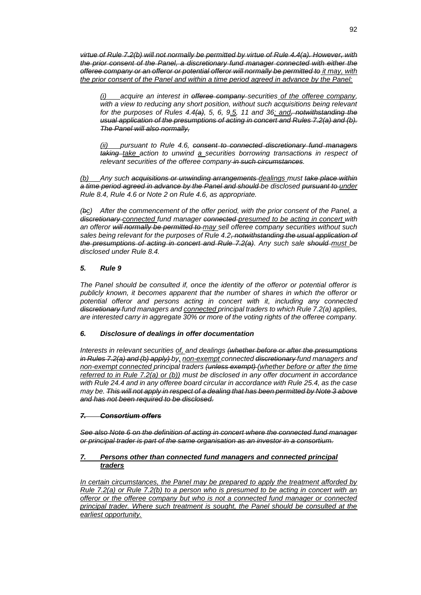*virtue of Rule 7.2(b) will not normally be permitted by virtue of Rule 4.4(a). However, with the prior consent of the Panel, a discretionary fund manager connected with either the offeree company or an offeror or potential offeror will normally be permitted to it may, with the prior consent of the Panel and within a time period agreed in advance by the Panel:*

*(i) acquire an interest in offeree company securities of the offeree company, with a view to reducing any short position, without such acquisitions being relevant for the purposes of Rules 4.4(a), 5, 6, 9.5, 11 and 36; and, notwithstanding the usual application of the presumptions of acting in concert and Rules 7.2(a) and (b). The Panel will also normally,* 

*(ii) pursuant to Rule 4.6, consent to connected discretionary fund managers taking take action to unwind a securities borrowing transactions in respect of relevant securities of the offeree company in such circumstances.*

*(b) Any such acquisitions or unwinding arrangements dealings must take place within a time period agreed in advance by the Panel and should be disclosed pursuant to under Rule 8.4, Rule 4.6 or Note 2 on Rule 4.6, as appropriate.*

*(bc) After the commencement of the offer period, with the prior consent of the Panel, a discretionary connected fund manager connected presumed to be acting in concert with an offeror will normally be permitted to may sell offeree company securities without such sales being relevant for the purposes of Rule 4.2, notwithstanding the usual application of the presumptions of acting in concert and Rule 7.2(a). Any such sale should must be disclosed under Rule 8.4.*

### *5. Rule 9*

*The Panel should be consulted if, once the identity of the offeror or potential offeror is publicly known, it becomes apparent that the number of shares in which the offeror or potential offeror and persons acting in concert with it, including any connected discretionary fund managers and connected principal traders to which Rule 7.2(a) applies, are interested carry in aggregate 30% or more of the voting rights of the offeree company.*

### *6. Disclosure of dealings in offer documentation*

*Interests in relevant securities of, and dealings (whether before or after the presumptions in Rules 7.2(a) and (b) apply) by, non-exempt connected discretionary fund managers and non-exempt connected principal traders (unless exempt) (whether before or after the time referred to in Rule 7.2(a) or (b)) must be disclosed in any offer document in accordance with Rule 24.4 and in any offeree board circular in accordance with Rule 25.4, as the case may be. This will not apply in respect of a dealing that has been permitted by Note 3 above and has not been required to be disclosed.*

#### *7. Consortium offers*

*See also Note 6 on the definition of acting in concert where the connected fund manager or principal trader is part of the same organisation as an investor in a consortium.*

### *7. Persons other than connected fund managers and connected principal traders*

*In certain circumstances, the Panel may be prepared to apply the treatment afforded by Rule 7.2(a) or Rule 7.2(b) to a person who is presumed to be acting in concert with an offeror or the offeree company but who is not a connected fund manager or connected principal trader. Where such treatment is sought, the Panel should be consulted at the earliest opportunity.*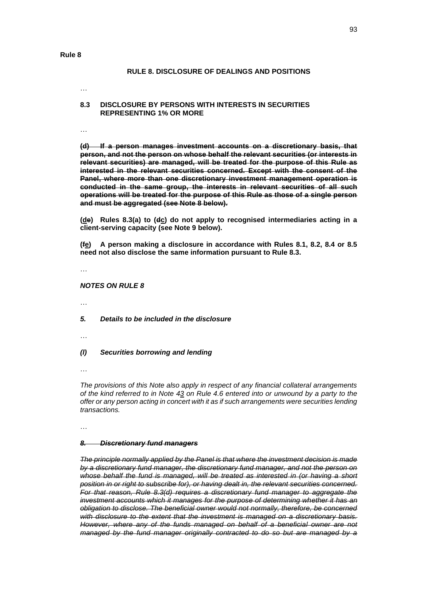#### **Rule 8**

#### **RULE 8. DISCLOSURE OF DEALINGS AND POSITIONS**

…

#### **8.3 DISCLOSURE BY PERSONS WITH INTERESTS IN SECURITIES REPRESENTING 1% OR MORE**

…

**(d) If a person manages investment accounts on a discretionary basis, that person, and not the person on whose behalf the relevant securities (or interests in relevant securities) are managed, will be treated for the purpose of this Rule as interested in the relevant securities concerned. Except with the consent of the Panel, where more than one discretionary investment management operation is conducted in the same group, the interests in relevant securities of all such operations will be treated for the purpose of this Rule as those of a single person and must be aggregated (see Note 8 below).**

**(de) Rules 8.3(a) to (dc) do not apply to recognised intermediaries acting in a client-serving capacity (see Note 9 below).**

**(fe) A person making a disclosure in accordance with Rules 8.1, 8.2, 8.4 or 8.5 need not also disclose the same information pursuant to Rule 8.3.**

…

*NOTES ON RULE 8*

…

- *5. Details to be included in the disclosure*
- …
- *(l) Securities borrowing and lending*

…

*The provisions of this Note also apply in respect of any financial collateral arrangements of the kind referred to in Note 43 on Rule 4.6 entered into or unwound by a party to the offer or any person acting in concert with it as if such arrangements were securities lending transactions.*

…

#### *8. Discretionary fund managers*

*The principle normally applied by the Panel is that where the investment decision is made by a discretionary fund manager, the discretionary fund manager, and not the person on whose behalf the fund is managed, will be treated as interested in (or having a short position in or right to subscribe for), or having dealt in, the relevant securities concerned. For that reason, Rule 8.3(d) requires a discretionary fund manager to aggregate the investment accounts which it manages for the purpose of determining whether it has an obligation to disclose. The beneficial owner would not normally, therefore, be concerned with disclosure to the extent that the investment is managed on a discretionary basis. However, where any of the funds managed on behalf of a beneficial owner are not managed by the fund manager originally contracted to do so but are managed by a*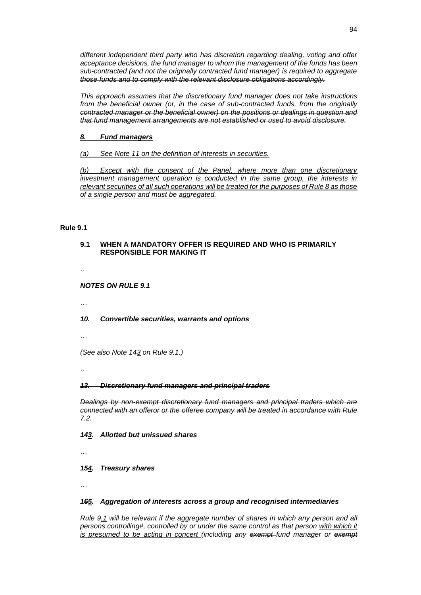*different independent third party who has discretion regarding dealing, voting and offer acceptance decisions, the fund manager to whom the management of the funds has been sub-contracted (and not the originally contracted fund manager) is required to aggregate those funds and to comply with the relevant disclosure obligations accordingly.*

*This approach assumes that the discretionary fund manager does not take instructions from the beneficial owner (or, in the case of sub-contracted funds, from the originally contracted manager or the beneficial owner) on the positions or dealings in question and that fund management arrangements are not established or used to avoid disclosure.*

# *8. Fund managers*

*(a) See Note 11 on the definition of interests in securities.*

*(b) Except with the consent of the Panel, where more than one discretionary investment management operation is conducted in the same group, the interests in relevant securities of all such operations will be treated for the purposes of Rule 8 as those of a single person and must be aggregated.*

#### **Rule 9.1**

### **9.1 WHEN A MANDATORY OFFER IS REQUIRED AND WHO IS PRIMARILY RESPONSIBLE FOR MAKING IT**

…

*NOTES ON RULE 9.1*

…

#### *10. Convertible securities, warrants and options*

…

*(See also Note 143 on Rule 9.1.)*

…

#### *13. Discretionary fund managers and principal traders*

*Dealings by non-exempt discretionary fund managers and principal traders which are connected with an offeror or the offeree company will be treated in accordance with Rule 7.2.*

*143. Allotted but unissued shares*

…

*154. Treasury shares*

…

#### *165. Aggregation of interests across a group and recognised intermediaries*

*Rule 9.1 will be relevant if the aggregate number of shares in which any person and all persons controlling#, controlled by or under the same control as that person with which it is presumed to be acting in concert (including any exempt-fund manager or exempt*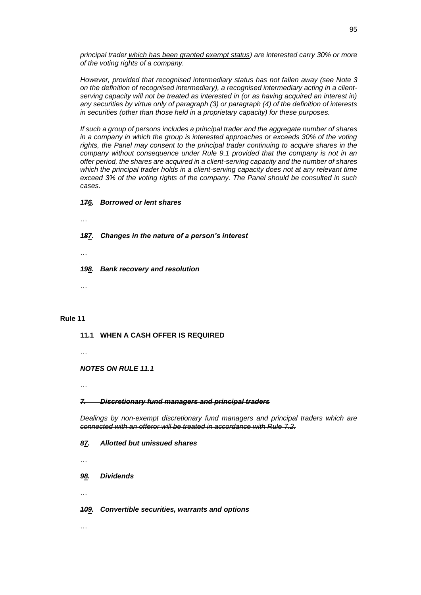*principal trader which has been granted exempt status) are interested carry 30% or more of the voting rights of a company.*

*However, provided that recognised intermediary status has not fallen away (see Note 3 on the definition of recognised intermediary), a recognised intermediary acting in a clientserving capacity will not be treated as interested in (or as having acquired an interest in) any securities by virtue only of paragraph (3) or paragraph (4) of the definition of interests in securities (other than those held in a proprietary capacity) for these purposes.*

*If such a group of persons includes a principal trader and the aggregate number of shares in a company in which the group is interested approaches or exceeds 30% of the voting rights, the Panel may consent to the principal trader continuing to acquire shares in the company without consequence under Rule 9.1 provided that the company is not in an offer period, the shares are acquired in a client-serving capacity and the number of shares which the principal trader holds in a client-serving capacity does not at any relevant time exceed 3% of the voting rights of the company. The Panel should be consulted in such cases.*

#### *176. Borrowed or lent shares*

…

*187. Changes in the nature of a person's interest*

…

*198. Bank recovery and resolution*

…

#### **Rule 11**

**11.1 WHEN A CASH OFFER IS REQUIRED**

…

#### *NOTES ON RULE 11.1*

…

#### *7. Discretionary fund managers and principal traders*

*Dealings by non-exempt discretionary fund managers and principal traders which are connected with an offeror will be treated in accordance with Rule 7.2.*

*87. Allotted but unissued shares*

…

*98. Dividends*

…

…

#### *109. Convertible securities, warrants and options*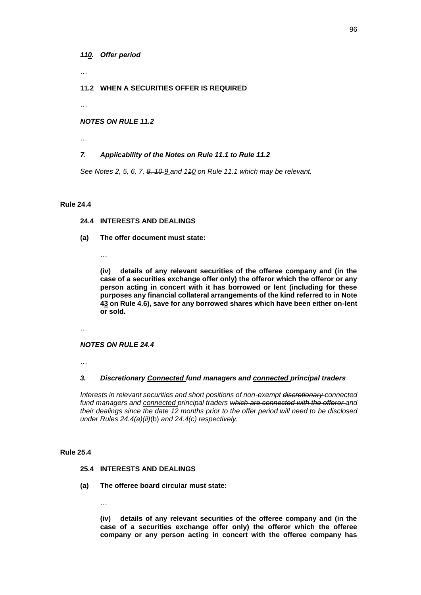*110. Offer period*

…

### **11.2 WHEN A SECURITIES OFFER IS REQUIRED**

…

### *NOTES ON RULE 11.2*

…

# *7. Applicability of the Notes on Rule 11.1 to Rule 11.2*

*See Notes 2, 5, 6, 7, 8, 10 9 and 110 on Rule 11.1 which may be relevant.*

#### **Rule 24.4**

## **24.4 INTERESTS AND DEALINGS**

- **(a) The offer document must state:**
	- …

**(iv) details of any relevant securities of the offeree company and (in the case of a securities exchange offer only) the offeror which the offeror or any person acting in concert with it has borrowed or lent (including for these purposes any financial collateral arrangements of the kind referred to in Note 43 on Rule 4.6), save for any borrowed shares which have been either on-lent or sold.**

…

#### *NOTES ON RULE 24.4*

…

### *3. Discretionary Connected fund managers and connected principal traders*

*Interests in relevant securities and short positions of non-exempt discretionary connected*  fund managers and **connected principal traders which are connected with the offeror** and *their dealings since the date 12 months prior to the offer period will need to be disclosed under Rules 24.4(a)(ii)*(b) *and 24.4(c) respectively.*

#### **Rule 25.4**

### **25.4 INTERESTS AND DEALINGS**

**(a) The offeree board circular must state:**

…

**(iv) details of any relevant securities of the offeree company and (in the case of a securities exchange offer only) the offeror which the offeree company or any person acting in concert with the offeree company has**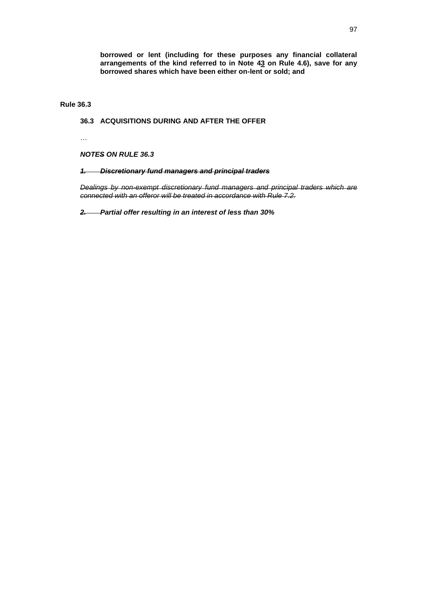**borrowed or lent (including for these purposes any financial collateral arrangements of the kind referred to in Note 43 on Rule 4.6), save for any borrowed shares which have been either on-lent or sold; and**

**Rule 36.3**

# **36.3 ACQUISITIONS DURING AND AFTER THE OFFER**

…

*NOTES ON RULE 36.3*

*1. Discretionary fund managers and principal traders*

*Dealings by non-exempt discretionary fund managers and principal traders which are connected with an offeror will be treated in accordance with Rule 7.2.*

*2. Partial offer resulting in an interest of less than 30%*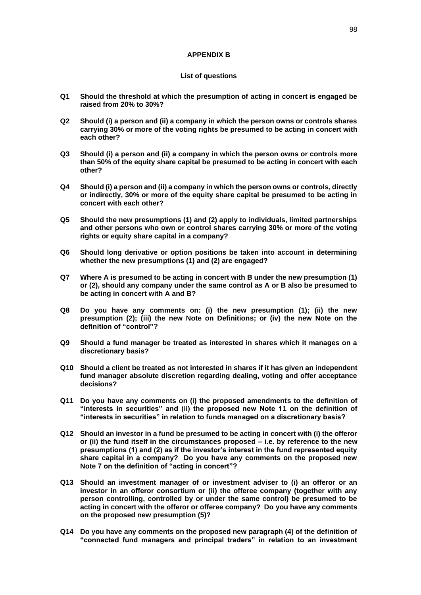#### **APPENDIX B**

#### **List of questions**

- **Q1 Should the threshold at which the presumption of acting in concert is engaged be raised from 20% to 30%?**
- **Q2 Should (i) a person and (ii) a company in which the person owns or controls shares carrying 30% or more of the voting rights be presumed to be acting in concert with each other?**
- **Q3 Should (i) a person and (ii) a company in which the person owns or controls more than 50% of the equity share capital be presumed to be acting in concert with each other?**
- **Q4 Should (i) a person and (ii) a company in which the person owns or controls, directly or indirectly, 30% or more of the equity share capital be presumed to be acting in concert with each other?**
- **Q5 Should the new presumptions (1) and (2) apply to individuals, limited partnerships and other persons who own or control shares carrying 30% or more of the voting rights or equity share capital in a company?**
- **Q6 Should long derivative or option positions be taken into account in determining whether the new presumptions (1) and (2) are engaged?**
- **Q7 Where A is presumed to be acting in concert with B under the new presumption (1) or (2), should any company under the same control as A or B also be presumed to be acting in concert with A and B?**
- **Q8 Do you have any comments on: (i) the new presumption (1); (ii) the new presumption (2); (iii) the new Note on Definitions; or (iv) the new Note on the definition of "control"?**
- **Q9 Should a fund manager be treated as interested in shares which it manages on a discretionary basis?**
- **Q10 Should a client be treated as not interested in shares if it has given an independent fund manager absolute discretion regarding dealing, voting and offer acceptance decisions?**
- **Q11 Do you have any comments on (i) the proposed amendments to the definition of "interests in securities" and (ii) the proposed new Note 11 on the definition of "interests in securities" in relation to funds managed on a discretionary basis?**
- **Q12 Should an investor in a fund be presumed to be acting in concert with (i) the offeror or (ii) the fund itself in the circumstances proposed – i.e. by reference to the new presumptions (1) and (2) as if the investor's interest in the fund represented equity share capital in a company? Do you have any comments on the proposed new Note 7 on the definition of "acting in concert"?**
- **Q13 Should an investment manager of or investment adviser to (i) an offeror or an investor in an offeror consortium or (ii) the offeree company (together with any person controlling, controlled by or under the same control) be presumed to be acting in concert with the offeror or offeree company? Do you have any comments on the proposed new presumption (5)?**
- **Q14 Do you have any comments on the proposed new paragraph (4) of the definition of "connected fund managers and principal traders" in relation to an investment**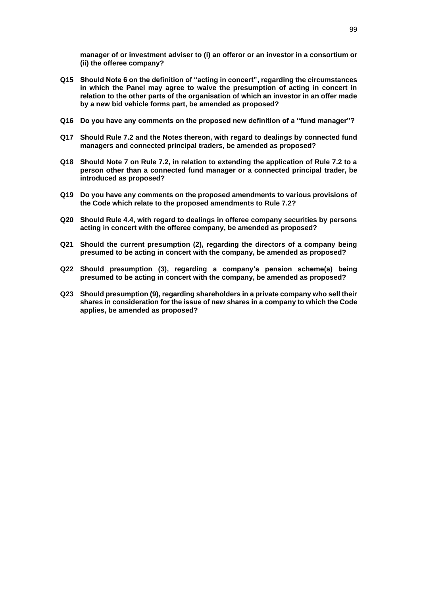**manager of or investment adviser to (i) an offeror or an investor in a consortium or (ii) the offeree company?**

- **Q15 Should Note 6 on the definition of "acting in concert", regarding the circumstances in which the Panel may agree to waive the presumption of acting in concert in relation to the other parts of the organisation of which an investor in an offer made by a new bid vehicle forms part, be amended as proposed?**
- **Q16 Do you have any comments on the proposed new definition of a "fund manager"?**
- **Q17 Should Rule 7.2 and the Notes thereon, with regard to dealings by connected fund managers and connected principal traders, be amended as proposed?**
- **Q18 Should Note 7 on Rule 7.2, in relation to extending the application of Rule 7.2 to a person other than a connected fund manager or a connected principal trader, be introduced as proposed?**
- **Q19 Do you have any comments on the proposed amendments to various provisions of the Code which relate to the proposed amendments to Rule 7.2?**
- **Q20 Should Rule 4.4, with regard to dealings in offeree company securities by persons acting in concert with the offeree company, be amended as proposed?**
- **Q21 Should the current presumption (2), regarding the directors of a company being presumed to be acting in concert with the company, be amended as proposed?**
- **Q22 Should presumption (3), regarding a company's pension scheme(s) being presumed to be acting in concert with the company, be amended as proposed?**
- **Q23 Should presumption (9), regarding shareholders in a private company who sell their shares in consideration for the issue of new shares in a company to which the Code applies, be amended as proposed?**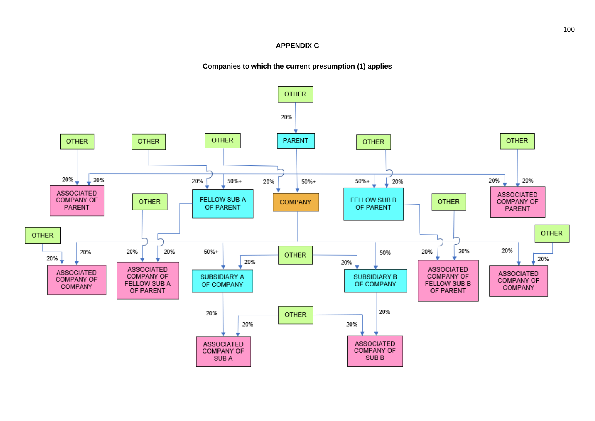### **APPENDIX C**

### **Companies to which the current presumption (1) applies**

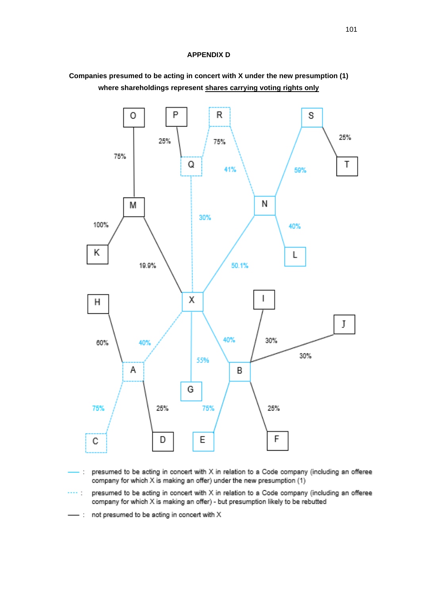### **APPENDIX D**



# **Companies presumed to be acting in concert with X under the new presumption (1) where shareholdings represent shares carrying voting rights only**

presumed to be acting in concert with X in relation to a Code company (including an offeree  $\mathbb{Z}^{\times}$ company for which X is making an offer) under the new presumption (1)

presumed to be acting in concert with X in relation to a Code company (including an offeree saa gu company for which X is making an offer) - but presumption likely to be rebutted

not presumed to be acting in concert with X  $-$  :

101